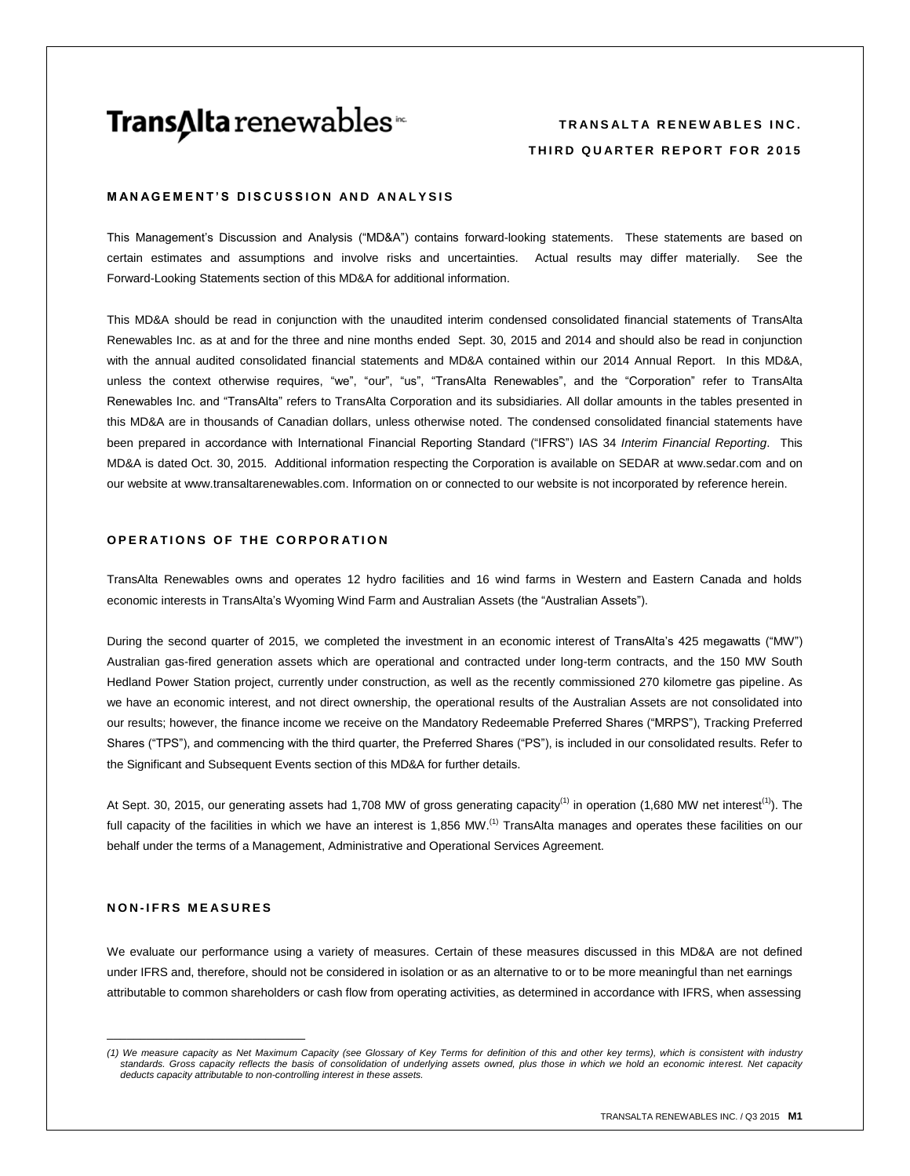# **Trans∆Ita** renewables<sup>™</sup>

# **T R A N S A L T A R E N E W A B L E S I N C . THIRD QUARTER REPORT FOR 2015**

## **MANAGEMENT'S DISCUSSION AND ANALYSIS**

This Management's Discussion and Analysis ("MD&A") contains forward-looking statements. These statements are based on certain estimates and assumptions and involve risks and uncertainties. Actual results may differ materially. See the Forward-Looking Statements section of this MD&A for additional information.

This MD&A should be read in conjunction with the unaudited interim condensed consolidated financial statements of TransAlta Renewables Inc. as at and for the three and nine months ended Sept. 30, 2015 and 2014 and should also be read in conjunction with the annual audited consolidated financial statements and MD&A contained within our 2014 Annual Report. In this MD&A, unless the context otherwise requires, "we", "our", "us", "TransAlta Renewables", and the "Corporation" refer to TransAlta Renewables Inc. and "TransAlta" refers to TransAlta Corporation and its subsidiaries. All dollar amounts in the tables presented in this MD&A are in thousands of Canadian dollars, unless otherwise noted. The condensed consolidated financial statements have been prepared in accordance with International Financial Reporting Standard ("IFRS") IAS 34 *Interim Financial Reporting*. This MD&A is dated Oct. 30, 2015. Additional information respecting the Corporation is available on SEDAR a[t www.sedar.com](http://www.sedar.com/) and on our website at www.transaltarenewables.com. Information on or connected to our website is not incorporated by reference herein.

# **OPERATIONS OF THE CORPORATION**

TransAlta Renewables owns and operates 12 hydro facilities and 16 wind farms in Western and Eastern Canada and holds economic interests in TransAlta's Wyoming Wind Farm and Australian Assets (the "Australian Assets").

During the second quarter of 2015, we completed the investment in an economic interest of TransAlta's 425 megawatts ("MW") Australian gas-fired generation assets which are operational and contracted under long-term contracts, and the 150 MW South Hedland Power Station project, currently under construction, as well as the recently commissioned 270 kilometre gas pipeline. As we have an economic interest, and not direct ownership, the operational results of the Australian Assets are not consolidated into our results; however, the finance income we receive on the Mandatory Redeemable Preferred Shares ("MRPS"), Tracking Preferred Shares ("TPS"), and commencing with the third quarter, the Preferred Shares ("PS"), is included in our consolidated results. Refer to the Significant and Subsequent Events section of this MD&A for further details.

At Sept. 30, 2015, our generating assets had 1,708 MW of gross generating capacity<sup>(1)</sup> in operation (1,680 MW net interest<sup>(1)</sup>). The full capacity of the facilities in which we have an interest is 1,856 MW.<sup>(1)</sup> TransAlta manages and operates these facilities on our behalf under the terms of a Management, Administrative and Operational Services Agreement.

## **N O N - I F R S M E A S U R E S**

\_\_\_\_\_\_\_\_\_\_\_\_\_\_\_\_\_\_\_\_\_\_\_\_\_\_\_\_\_\_

We evaluate our performance using a variety of measures. Certain of these measures discussed in this MD&A are not defined under IFRS and, therefore, should not be considered in isolation or as an alternative to or to be more meaningful than net earnings attributable to common shareholders or cash flow from operating activities, as determined in accordance with IFRS, when assessing

<sup>(1)</sup> We measure capacity as Net Maximum Capacity (see Glossary of Key Terms for definition of this and other key terms), which is consistent with industry<br>standards. Gross capacity reflects the basis of consolidation of und *deducts capacity attributable to non-controlling interest in these assets.*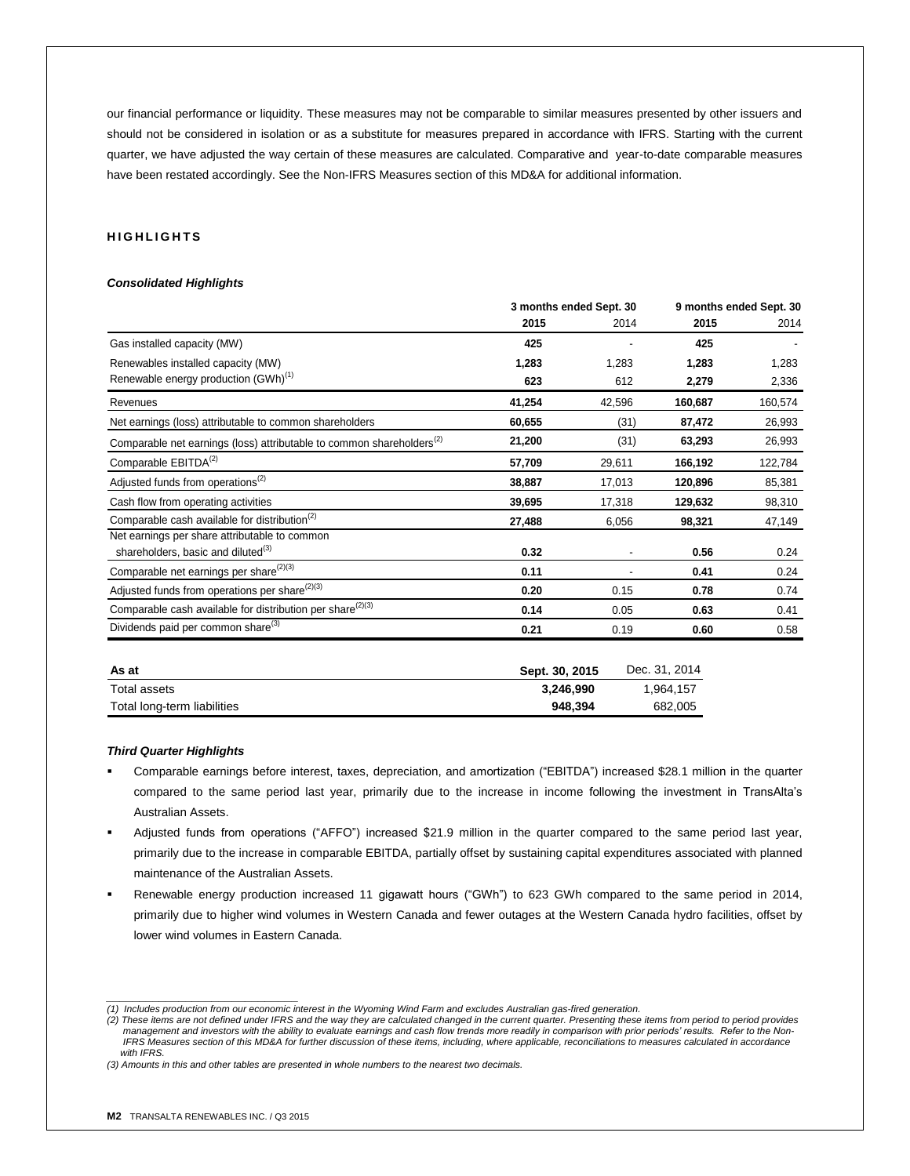our financial performance or liquidity. These measures may not be comparable to similar measures presented by other issuers and should not be considered in isolation or as a substitute for measures prepared in accordance with IFRS. Starting with the current quarter, we have adjusted the way certain of these measures are calculated. Comparative and year-to-date comparable measures have been restated accordingly. See the Non-IFRS Measures section of this MD&A for additional information.

# **H I G H L I G H T S**

#### *Consolidated Highlights*

|                                                                                   | 3 months ended Sept. 30 |        | 9 months ended Sept. 30 |         |
|-----------------------------------------------------------------------------------|-------------------------|--------|-------------------------|---------|
|                                                                                   | 2015                    | 2014   | 2015                    | 2014    |
| Gas installed capacity (MW)                                                       | 425                     |        | 425                     |         |
| Renewables installed capacity (MW)                                                | 1,283                   | 1,283  | 1,283                   | 1,283   |
| Renewable energy production (GWh) <sup>(1)</sup>                                  | 623                     | 612    | 2,279                   | 2,336   |
| Revenues                                                                          | 41,254                  | 42,596 | 160,687                 | 160,574 |
| Net earnings (loss) attributable to common shareholders                           | 60,655                  | (31)   | 87,472                  | 26,993  |
| Comparable net earnings (loss) attributable to common shareholders <sup>(2)</sup> | 21,200                  | (31)   | 63,293                  | 26,993  |
| Comparable EBITDA <sup>(2)</sup>                                                  | 57,709                  | 29,611 | 166,192                 | 122,784 |
| Adjusted funds from operations <sup>(2)</sup>                                     | 38,887                  | 17,013 | 120,896                 | 85,381  |
| Cash flow from operating activities                                               | 39,695                  | 17,318 | 129,632                 | 98,310  |
| Comparable cash available for distribution <sup>(2)</sup>                         | 27,488                  | 6,056  | 98,321                  | 47,149  |
| Net earnings per share attributable to common                                     |                         |        |                         |         |
| shareholders, basic and diluted <sup>(3)</sup>                                    | 0.32                    |        | 0.56                    | 0.24    |
| Comparable net earnings per share <sup>(2)(3)</sup>                               | 0.11                    |        | 0.41                    | 0.24    |
| Adjusted funds from operations per share <sup>(2)(3)</sup>                        | 0.20                    | 0.15   | 0.78                    | 0.74    |
| Comparable cash available for distribution per share <sup>(2)(3)</sup>            | 0.14                    | 0.05   | 0.63                    | 0.41    |
| Dividends paid per common share <sup>(3)</sup>                                    | 0.21                    | 0.19   | 0.60                    | 0.58    |
|                                                                                   |                         |        |                         |         |

| As at                       | Sept. 30, 2015 | Dec. 31, 2014 |
|-----------------------------|----------------|---------------|
| Total assets                | 3.246.990      | 1.964.157     |
| Total long-term liabilities | 948.394        | 682.005       |

## *Third Quarter Highlights*

- Comparable earnings before interest, taxes, depreciation, and amortization ("EBITDA") increased \$28.1 million in the quarter compared to the same period last year, primarily due to the increase in income following the investment in TransAlta's Australian Assets.
- Adjusted funds from operations ("AFFO") increased \$21.9 million in the quarter compared to the same period last year, primarily due to the increase in comparable EBITDA, partially offset by sustaining capital expenditures associated with planned maintenance of the Australian Assets.
- Renewable energy production increased 11 gigawatt hours ("GWh") to 623 GWh compared to the same period in 2014, primarily due to higher wind volumes in Western Canada and fewer outages at the Western Canada hydro facilities, offset by lower wind volumes in Eastern Canada.

*\_\_\_\_\_\_\_\_\_\_\_\_\_\_\_\_\_\_\_\_\_\_\_\_\_\_\_\_\_*

*<sup>(1)</sup> Includes production from our economic interest in the Wyoming Wind Farm and excludes Australian gas-fired generation.*

*<sup>(2)</sup> These items are not defined under IFRS and the way they are calculated changed in the current quarter. Presenting these items from period to period provides management and investors with the ability to evaluate earnings and cash flow trends more readily in comparison with prior periods' results. Refer to the Non-* IFRS Measures section of this MD&A for further discussion of these items, including, where applicable, reconciliations to measures calculated in accordance  *with IFRS.* 

*<sup>(3)</sup> Amounts in this and other tables are presented in whole numbers to the nearest two decimals.*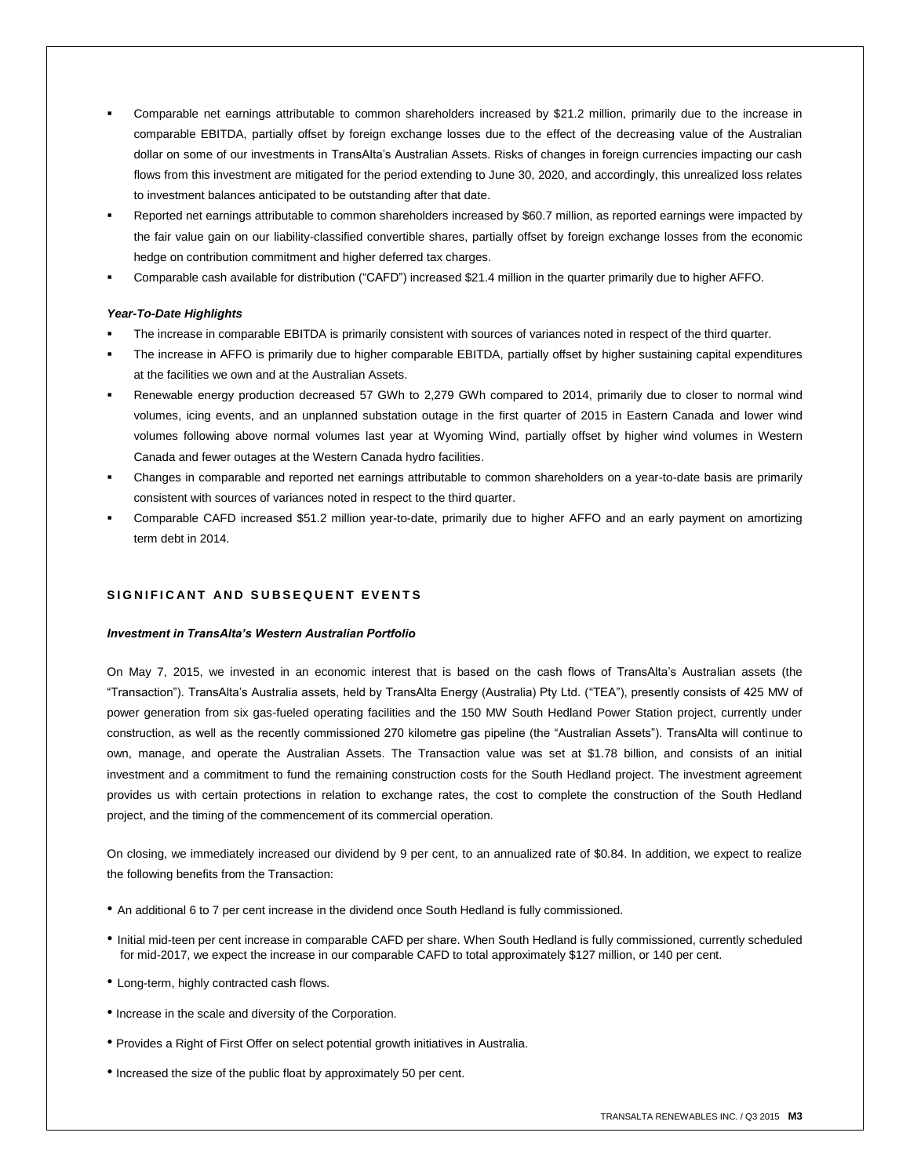- Comparable net earnings attributable to common shareholders increased by \$21.2 million, primarily due to the increase in comparable EBITDA, partially offset by foreign exchange losses due to the effect of the decreasing value of the Australian dollar on some of our investments in TransAlta's Australian Assets. Risks of changes in foreign currencies impacting our cash flows from this investment are mitigated for the period extending to June 30, 2020, and accordingly, this unrealized loss relates to investment balances anticipated to be outstanding after that date.
- Reported net earnings attributable to common shareholders increased by \$60.7 million, as reported earnings were impacted by the fair value gain on our liability-classified convertible shares, partially offset by foreign exchange losses from the economic hedge on contribution commitment and higher deferred tax charges.
- Comparable cash available for distribution ("CAFD") increased \$21.4 million in the quarter primarily due to higher AFFO.

## *Year-To-Date Highlights*

- The increase in comparable EBITDA is primarily consistent with sources of variances noted in respect of the third quarter.
- The increase in AFFO is primarily due to higher comparable EBITDA, partially offset by higher sustaining capital expenditures at the facilities we own and at the Australian Assets.
- Renewable energy production decreased 57 GWh to 2,279 GWh compared to 2014, primarily due to closer to normal wind volumes, icing events, and an unplanned substation outage in the first quarter of 2015 in Eastern Canada and lower wind volumes following above normal volumes last year at Wyoming Wind, partially offset by higher wind volumes in Western Canada and fewer outages at the Western Canada hydro facilities.
- Changes in comparable and reported net earnings attributable to common shareholders on a year-to-date basis are primarily consistent with sources of variances noted in respect to the third quarter.
- Comparable CAFD increased \$51.2 million year-to-date, primarily due to higher AFFO and an early payment on amortizing term debt in 2014.

# **S I G N I F I C A N T A N D S U B S E Q U E N T E V E N T S**

## *Investment in TransAlta's Western Australian Portfolio*

On May 7, 2015, we invested in an economic interest that is based on the cash flows of TransAlta's Australian assets (the "Transaction"). TransAlta's Australia assets, held by TransAlta Energy (Australia) Pty Ltd. ("TEA"), presently consists of 425 MW of power generation from six gas-fueled operating facilities and the 150 MW South Hedland Power Station project, currently under construction, as well as the recently commissioned 270 kilometre gas pipeline (the "Australian Assets"). TransAlta will continue to own, manage, and operate the Australian Assets. The Transaction value was set at \$1.78 billion, and consists of an initial investment and a commitment to fund the remaining construction costs for the South Hedland project. The investment agreement provides us with certain protections in relation to exchange rates, the cost to complete the construction of the South Hedland project, and the timing of the commencement of its commercial operation.

On closing, we immediately increased our dividend by 9 per cent, to an annualized rate of \$0.84. In addition, we expect to realize the following benefits from the Transaction:

- An additional 6 to 7 per cent increase in the dividend once South Hedland is fully commissioned.
- Initial mid-teen per cent increase in comparable CAFD per share. When South Hedland is fully commissioned, currently scheduled for mid-2017, we expect the increase in our comparable CAFD to total approximately \$127 million, or 140 per cent.
- Long-term, highly contracted cash flows.
- Increase in the scale and diversity of the Corporation.
- Provides a Right of First Offer on select potential growth initiatives in Australia.
- Increased the size of the public float by approximately 50 per cent.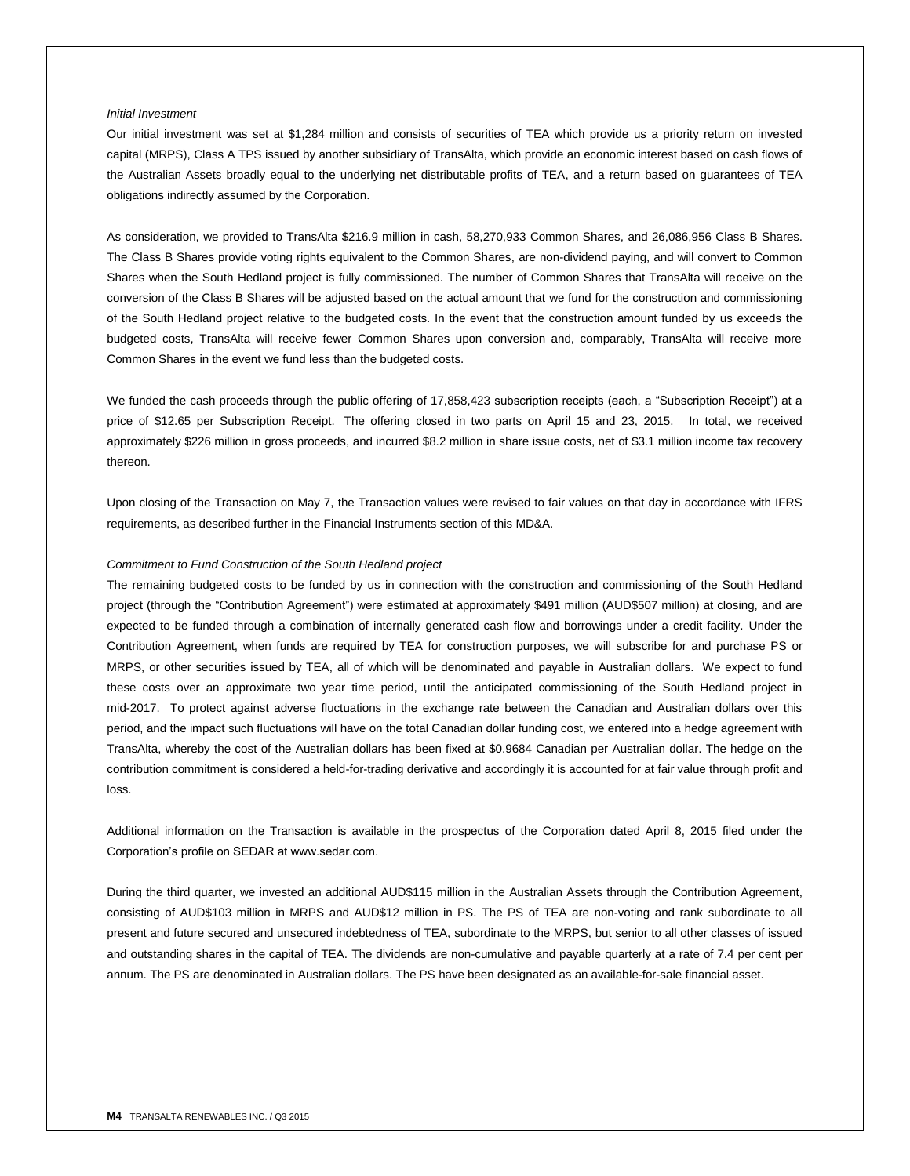## *Initial Investment*

Our initial investment was set at \$1,284 million and consists of securities of TEA which provide us a priority return on invested capital (MRPS), Class A TPS issued by another subsidiary of TransAlta, which provide an economic interest based on cash flows of the Australian Assets broadly equal to the underlying net distributable profits of TEA, and a return based on guarantees of TEA obligations indirectly assumed by the Corporation.

As consideration, we provided to TransAlta \$216.9 million in cash, 58,270,933 Common Shares, and 26,086,956 Class B Shares. The Class B Shares provide voting rights equivalent to the Common Shares, are non-dividend paying, and will convert to Common Shares when the South Hedland project is fully commissioned. The number of Common Shares that TransAlta will receive on the conversion of the Class B Shares will be adjusted based on the actual amount that we fund for the construction and commissioning of the South Hedland project relative to the budgeted costs. In the event that the construction amount funded by us exceeds the budgeted costs, TransAlta will receive fewer Common Shares upon conversion and, comparably, TransAlta will receive more Common Shares in the event we fund less than the budgeted costs.

We funded the cash proceeds through the public offering of 17,858,423 subscription receipts (each, a "Subscription Receipt") at a price of \$12.65 per Subscription Receipt. The offering closed in two parts on April 15 and 23, 2015. In total, we received approximately \$226 million in gross proceeds, and incurred \$8.2 million in share issue costs, net of \$3.1 million income tax recovery thereon.

Upon closing of the Transaction on May 7, the Transaction values were revised to fair values on that day in accordance with IFRS requirements, as described further in the Financial Instruments section of this MD&A.

## *Commitment to Fund Construction of the South Hedland project*

The remaining budgeted costs to be funded by us in connection with the construction and commissioning of the South Hedland project (through the "Contribution Agreement") were estimated at approximately \$491 million (AUD\$507 million) at closing, and are expected to be funded through a combination of internally generated cash flow and borrowings under a credit facility. Under the Contribution Agreement, when funds are required by TEA for construction purposes, we will subscribe for and purchase PS or MRPS, or other securities issued by TEA, all of which will be denominated and payable in Australian dollars. We expect to fund these costs over an approximate two year time period, until the anticipated commissioning of the South Hedland project in mid-2017. To protect against adverse fluctuations in the exchange rate between the Canadian and Australian dollars over this period, and the impact such fluctuations will have on the total Canadian dollar funding cost, we entered into a hedge agreement with TransAlta, whereby the cost of the Australian dollars has been fixed at \$0.9684 Canadian per Australian dollar. The hedge on the contribution commitment is considered a held-for-trading derivative and accordingly it is accounted for at fair value through profit and loss.

Additional information on the Transaction is available in the prospectus of the Corporation dated April 8, 2015 filed under the Corporation's profile on SEDAR at www.sedar.com.

During the third quarter, we invested an additional AUD\$115 million in the Australian Assets through the Contribution Agreement, consisting of AUD\$103 million in MRPS and AUD\$12 million in PS. The PS of TEA are non-voting and rank subordinate to all present and future secured and unsecured indebtedness of TEA, subordinate to the MRPS, but senior to all other classes of issued and outstanding shares in the capital of TEA. The dividends are non-cumulative and payable quarterly at a rate of 7.4 per cent per annum. The PS are denominated in Australian dollars. The PS have been designated as an available-for-sale financial asset.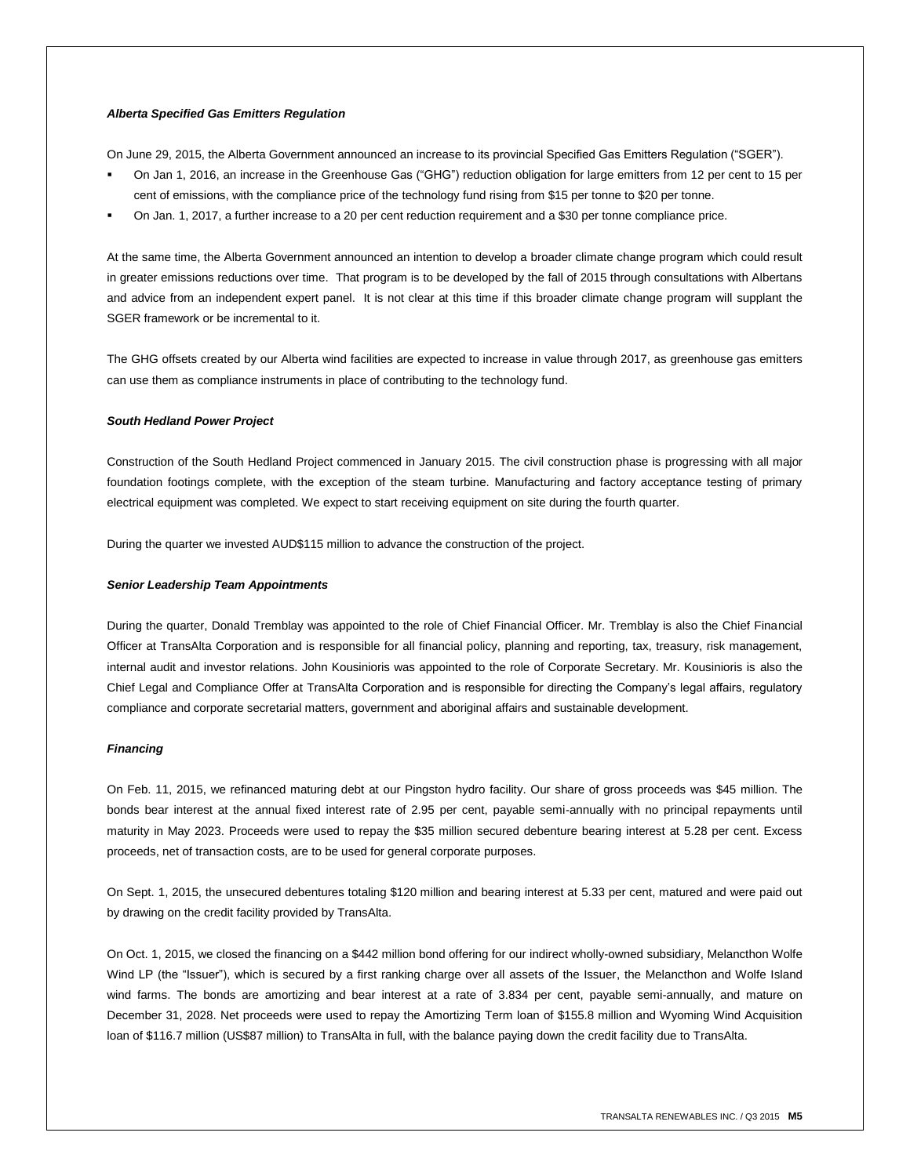## *Alberta Specified Gas Emitters Regulation*

On June 29, 2015, the Alberta Government announced an increase to its provincial Specified Gas Emitters Regulation ("SGER").

- On Jan 1, 2016, an increase in the Greenhouse Gas ("GHG") reduction obligation for large emitters from 12 per cent to 15 per cent of emissions, with the compliance price of the technology fund rising from \$15 per tonne to \$20 per tonne.
- On Jan. 1, 2017, a further increase to a 20 per cent reduction requirement and a \$30 per tonne compliance price.

At the same time, the Alberta Government announced an intention to develop a broader climate change program which could result in greater emissions reductions over time. That program is to be developed by the fall of 2015 through consultations with Albertans and advice from an independent expert panel. It is not clear at this time if this broader climate change program will supplant the SGER framework or be incremental to it.

The GHG offsets created by our Alberta wind facilities are expected to increase in value through 2017, as greenhouse gas emitters can use them as compliance instruments in place of contributing to the technology fund.

## *South Hedland Power Project*

Construction of the South Hedland Project commenced in January 2015. The civil construction phase is progressing with all major foundation footings complete, with the exception of the steam turbine. Manufacturing and factory acceptance testing of primary electrical equipment was completed. We expect to start receiving equipment on site during the fourth quarter.

During the quarter we invested AUD\$115 million to advance the construction of the project.

## *Senior Leadership Team Appointments*

During the quarter, Donald Tremblay was appointed to the role of Chief Financial Officer. Mr. Tremblay is also the Chief Financial Officer at TransAlta Corporation and is responsible for all financial policy, planning and reporting, tax, treasury, risk management, internal audit and investor relations. John Kousinioris was appointed to the role of Corporate Secretary. Mr. Kousinioris is also the Chief Legal and Compliance Offer at TransAlta Corporation and is responsible for directing the Company's legal affairs, regulatory compliance and corporate secretarial matters, government and aboriginal affairs and sustainable development.

## *Financing*

On Feb. 11, 2015, we refinanced maturing debt at our Pingston hydro facility. Our share of gross proceeds was \$45 million. The bonds bear interest at the annual fixed interest rate of 2.95 per cent, payable semi-annually with no principal repayments until maturity in May 2023. Proceeds were used to repay the \$35 million secured debenture bearing interest at 5.28 per cent. Excess proceeds, net of transaction costs, are to be used for general corporate purposes.

On Sept. 1, 2015, the unsecured debentures totaling \$120 million and bearing interest at 5.33 per cent, matured and were paid out by drawing on the credit facility provided by TransAlta.

On Oct. 1, 2015, we closed the financing on a \$442 million bond offering for our indirect wholly-owned subsidiary, Melancthon Wolfe Wind LP (the "Issuer"), which is secured by a first ranking charge over all assets of the Issuer, the Melancthon and Wolfe Island wind farms. The bonds are amortizing and bear interest at a rate of 3.834 per cent, payable semi-annually, and mature on December 31, 2028. Net proceeds were used to repay the Amortizing Term loan of \$155.8 million and Wyoming Wind Acquisition loan of \$116.7 million (US\$87 million) to TransAlta in full, with the balance paying down the credit facility due to TransAlta.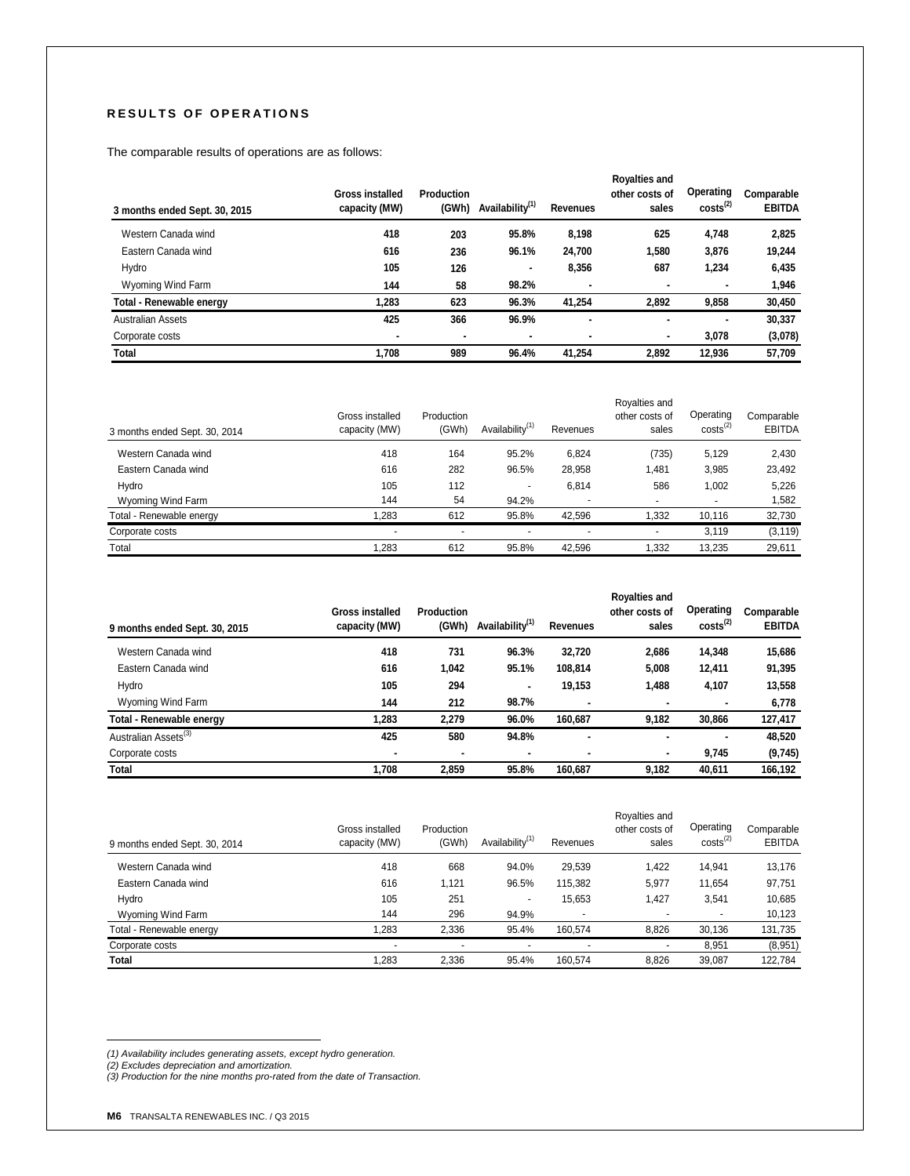# **R E S U L T S O F O P E R A T I O N S**

The comparable results of operations are as follows:

| 3 months ended Sept. 30, 2015 | <b>Gross installed</b><br>capacity (MW) | <b>Production</b><br>(GWh) | Availability <sup>(1)</sup> | <b>Revenues</b> | <b>Royalties and</b><br>other costs of<br>sales | Operating<br>$costs^{(2)}$ | Comparable<br><b>EBITDA</b> |
|-------------------------------|-----------------------------------------|----------------------------|-----------------------------|-----------------|-------------------------------------------------|----------------------------|-----------------------------|
| Western Canada wind           | 418                                     | 203                        | 95.8%                       | 8.198           | 625                                             | 4,748                      | 2,825                       |
| Eastern Canada wind           | 616                                     | 236                        | 96.1%                       | 24,700          | 1,580                                           | 3,876                      | 19,244                      |
| Hydro                         | 105                                     | 126                        | ۰                           | 8,356           | 687                                             | 1,234                      | 6,435                       |
| Wyoming Wind Farm             | 144                                     | 58                         | 98.2%                       |                 | ٠                                               |                            | 1,946                       |
| Total - Renewable energy      | 1,283                                   | 623                        | 96.3%                       | 41,254          | 2.892                                           | 9,858                      | 30,450                      |
| <b>Australian Assets</b>      | 425                                     | 366                        | 96.9%                       | ۰               |                                                 |                            | 30,337                      |
| Corporate costs               |                                         | ٠                          | ۰                           |                 | ٠                                               | 3,078                      | (3,078)                     |
| <b>Total</b>                  | 1,708                                   | 989                        | 96.4%                       | 41.254          | 2.892                                           | 12,936                     | 57,709                      |

| 3 months ended Sept. 30, 2014 | Gross installed<br>capacity (MW) | Production<br>(GWh)      | Availability <sup>(1)</sup> | Revenues | Royalties and<br>other costs of<br>sales | Operating<br>$costs^{(2)}$ | Comparable<br><b>EBITDA</b> |
|-------------------------------|----------------------------------|--------------------------|-----------------------------|----------|------------------------------------------|----------------------------|-----------------------------|
| Western Canada wind           | 418                              | 164                      | 95.2%                       | 6,824    | (735)                                    | 5,129                      | 2,430                       |
| Eastern Canada wind           | 616                              | 282                      | 96.5%                       | 28,958   | 1.481                                    | 3,985                      | 23,492                      |
| Hydro                         | 105                              | 112                      | $\overline{\phantom{a}}$    | 6.814    | 586                                      | 1.002                      | 5.226                       |
| Wyoming Wind Farm             | 144                              | 54                       | 94.2%                       |          |                                          |                            | 1,582                       |
| Total - Renewable energy      | 1.283                            | 612                      | 95.8%                       | 42.596   | .332                                     | 10,116                     | 32,730                      |
| Corporate costs               | $\overline{\phantom{a}}$         | $\overline{\phantom{a}}$ | $\blacksquare$              |          |                                          | 3.119                      | (3, 119)                    |
| Total                         | 1.283                            | 612                      | 95.8%                       | 42.596   | .332                                     | 13.235                     | 29,611                      |

| 9 months ended Sept. 30, 2015    | <b>Gross installed</b><br>capacity (MW) | Production<br>(GWh) | Availability <sup>(1)</sup> | <b>Revenues</b> | <b>Royalties and</b><br>other costs of<br>sales | Operating<br>$costs^{(2)}$ | Comparable<br><b>EBITDA</b> |
|----------------------------------|-----------------------------------------|---------------------|-----------------------------|-----------------|-------------------------------------------------|----------------------------|-----------------------------|
| Western Canada wind              | 418                                     | 731                 | 96.3%                       | 32,720          | 2,686                                           | 14,348                     | 15,686                      |
| Eastern Canada wind              | 616                                     | 1,042               | 95.1%                       | 108,814         | 5,008                                           | 12.411                     | 91,395                      |
| Hydro                            | 105                                     | 294                 | ۰                           | 19,153          | 1,488                                           | 4,107                      | 13,558                      |
| Wyoming Wind Farm                | 144                                     | 212                 | 98.7%                       |                 | ۰                                               |                            | 6,778                       |
| <b>Total - Renewable energy</b>  | 1.283                                   | 2.279               | 96.0%                       | 160.687         | 9,182                                           | 30,866                     | 127,417                     |
| Australian Assets <sup>(3)</sup> | 425                                     | 580                 | 94.8%                       | ۰               | $\blacksquare$                                  | $\blacksquare$             | 48,520                      |
| Corporate costs                  |                                         | ۰                   | ۰                           | ۰               | ٠                                               | 9,745                      | (9,745)                     |
| <b>Total</b>                     | 1.708                                   | 2.859               | 95.8%                       | 160.687         | 9.182                                           | 40.611                     | 166,192                     |

| 9 months ended Sept. 30, 2014 | Gross installed<br>capacity (MW) | Production<br>(GWh) | Availability <sup>(1)</sup> | Revenues | Royalties and<br>other costs of<br>sales | Operating<br>$costs^{(2)}$ | Comparable<br><b>EBITDA</b> |
|-------------------------------|----------------------------------|---------------------|-----------------------------|----------|------------------------------------------|----------------------------|-----------------------------|
| Western Canada wind           | 418                              | 668                 | 94.0%                       | 29,539   | 1.422                                    | 14.941                     | 13,176                      |
| Eastern Canada wind           | 616                              | 1.121               | 96.5%                       | 115.382  | 5.977                                    | 11.654                     | 97,751                      |
| Hydro                         | 105                              | 251                 | $\overline{\phantom{a}}$    | 15.653   | 1.427                                    | 3,541                      | 10,685                      |
| Wyoming Wind Farm             | 144                              | 296                 | 94.9%                       |          | ۰                                        | ٠                          | 10,123                      |
| Total - Renewable energy      | .283                             | 2.336               | 95.4%                       | 160.574  | 8.826                                    | 30,136                     | 131,735                     |
| Corporate costs               |                                  |                     |                             |          | ۰                                        | 8,951                      | (8,951)                     |
| Total                         | 1,283                            | 2,336               | 95.4%                       | 160.574  | 8,826                                    | 39.087                     | 122,784                     |

*(1) Availability includes generating assets, except hydro generation. (2) Excludes depreciation and amortization. (3) Production for the nine months pro-rated from the date of Transaction.*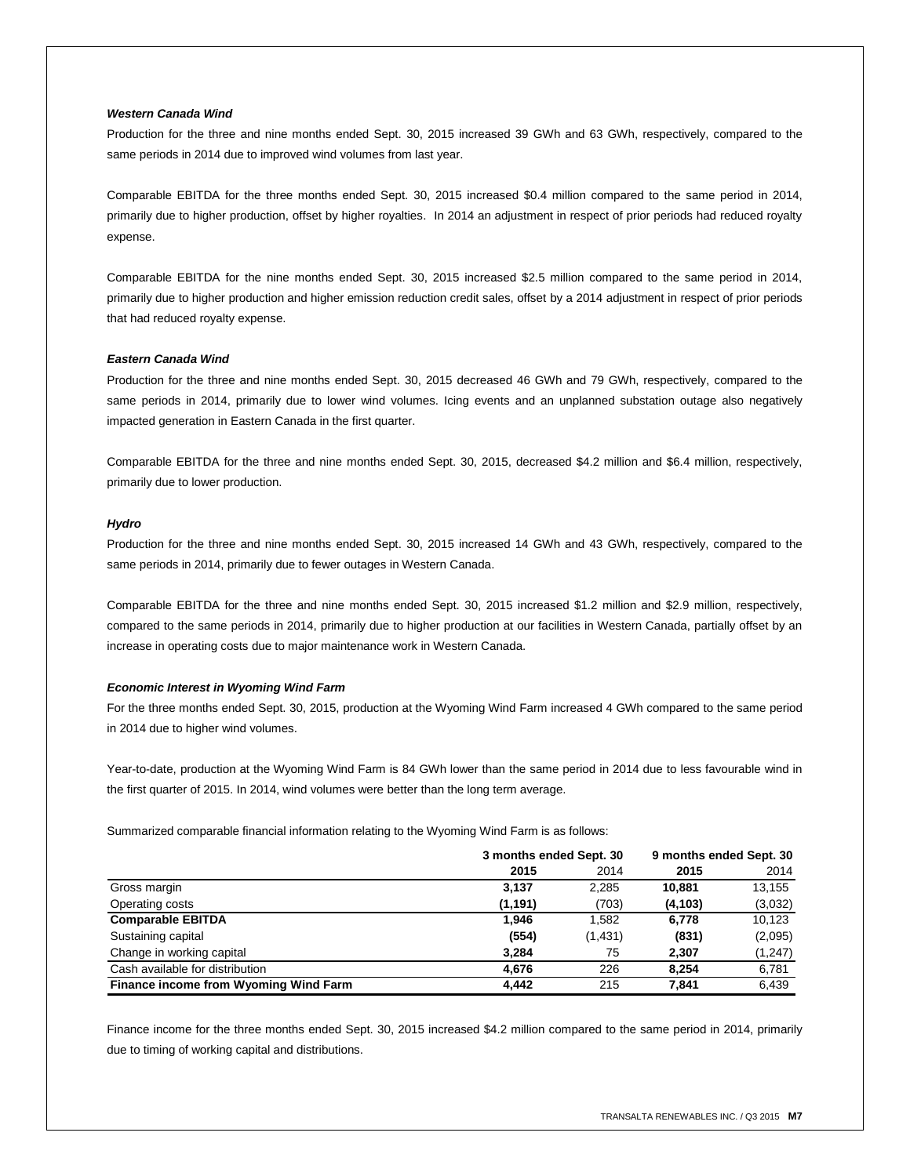## *Western Canada Wind*

Production for the three and nine months ended Sept. 30, 2015 increased 39 GWh and 63 GWh, respectively, compared to the same periods in 2014 due to improved wind volumes from last year.

Comparable EBITDA for the three months ended Sept. 30, 2015 increased \$0.4 million compared to the same period in 2014, primarily due to higher production, offset by higher royalties. In 2014 an adjustment in respect of prior periods had reduced royalty expense.

Comparable EBITDA for the nine months ended Sept. 30, 2015 increased \$2.5 million compared to the same period in 2014, primarily due to higher production and higher emission reduction credit sales, offset by a 2014 adjustment in respect of prior periods that had reduced royalty expense.

## *Eastern Canada Wind*

Production for the three and nine months ended Sept. 30, 2015 decreased 46 GWh and 79 GWh, respectively, compared to the same periods in 2014, primarily due to lower wind volumes. Icing events and an unplanned substation outage also negatively impacted generation in Eastern Canada in the first quarter.

Comparable EBITDA for the three and nine months ended Sept. 30, 2015, decreased \$4.2 million and \$6.4 million, respectively, primarily due to lower production.

## *Hydro*

Production for the three and nine months ended Sept. 30, 2015 increased 14 GWh and 43 GWh, respectively, compared to the same periods in 2014, primarily due to fewer outages in Western Canada.

Comparable EBITDA for the three and nine months ended Sept. 30, 2015 increased \$1.2 million and \$2.9 million, respectively, compared to the same periods in 2014, primarily due to higher production at our facilities in Western Canada, partially offset by an increase in operating costs due to major maintenance work in Western Canada.

## *Economic Interest in Wyoming Wind Farm*

For the three months ended Sept. 30, 2015, production at the Wyoming Wind Farm increased 4 GWh compared to the same period in 2014 due to higher wind volumes.

Year-to-date, production at the Wyoming Wind Farm is 84 GWh lower than the same period in 2014 due to less favourable wind in the first quarter of 2015. In 2014, wind volumes were better than the long term average.

Summarized comparable financial information relating to the Wyoming Wind Farm is as follows:

|                                       | 3 months ended Sept. 30 |         | 9 months ended Sept. 30 |          |
|---------------------------------------|-------------------------|---------|-------------------------|----------|
|                                       | 2015                    | 2014    | 2015                    | 2014     |
| Gross margin                          | 3,137                   | 2,285   | 10.881                  | 13,155   |
| Operating costs                       | (1,191)                 | (703)   | (4, 103)                | (3,032)  |
| <b>Comparable EBITDA</b>              | 1.946                   | 1,582   | 6,778                   | 10,123   |
| Sustaining capital                    | (554)                   | (1,431) | (831)                   | (2,095)  |
| Change in working capital             | 3.284                   | 75      | 2,307                   | (1, 247) |
| Cash available for distribution       | 4.676                   | 226     | 8.254                   | 6,781    |
| Finance income from Wyoming Wind Farm | 4.442                   | 215     | 7.841                   | 6,439    |

Finance income for the three months ended Sept. 30, 2015 increased \$4.2 million compared to the same period in 2014, primarily due to timing of working capital and distributions.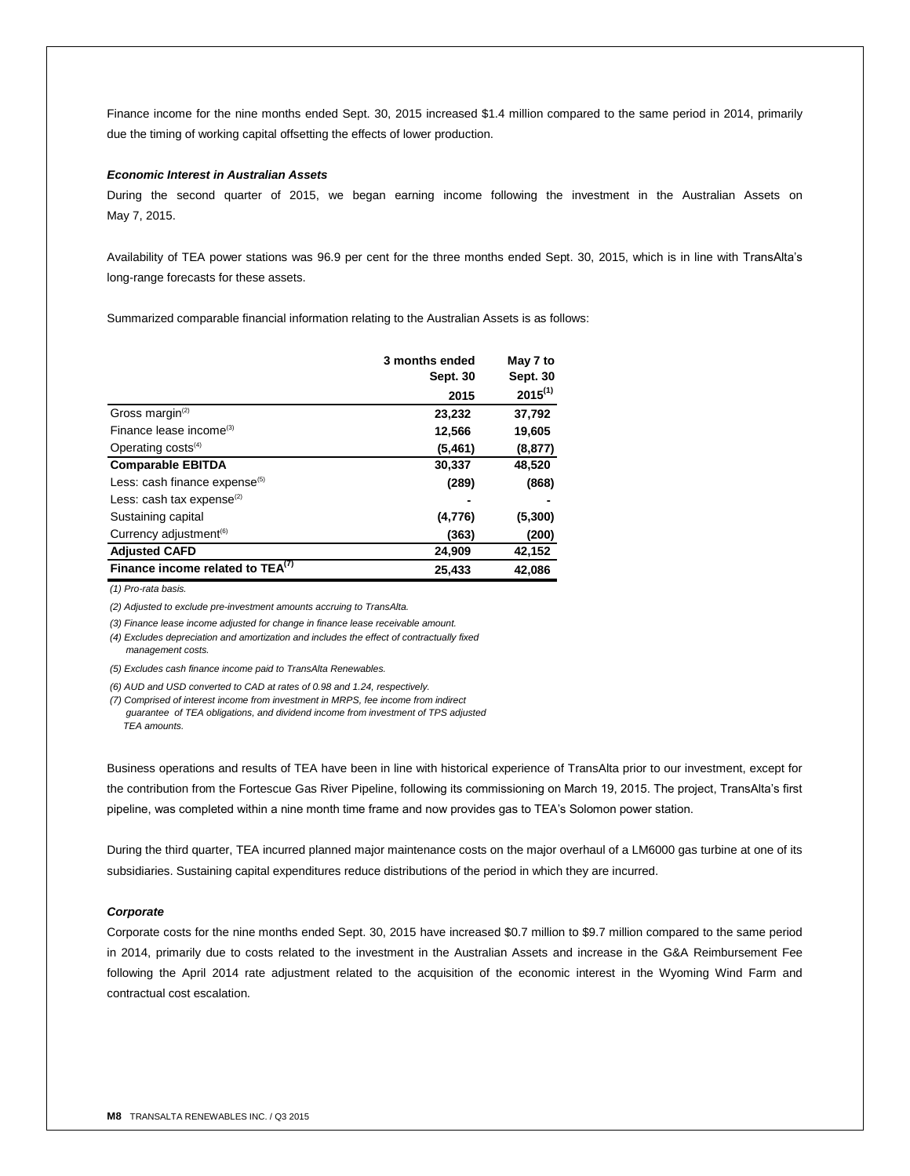Finance income for the nine months ended Sept. 30, 2015 increased \$1.4 million compared to the same period in 2014, primarily due the timing of working capital offsetting the effects of lower production.

#### *Economic Interest in Australian Assets*

During the second quarter of 2015, we began earning income following the investment in the Australian Assets on May 7, 2015.

Availability of TEA power stations was 96.9 per cent for the three months ended Sept. 30, 2015, which is in line with TransAlta's long-range forecasts for these assets.

Summarized comparable financial information relating to the Australian Assets is as follows:

|                                              | 3 months ended  | May 7 to     |
|----------------------------------------------|-----------------|--------------|
|                                              | <b>Sept. 30</b> | Sept. 30     |
|                                              | 2015            | $2015^{(1)}$ |
| Gross margin <sup>(2)</sup>                  | 23,232          | 37,792       |
| Finance lease income <sup>(3)</sup>          | 12,566          | 19,605       |
| Operating $costs^{(4)}$                      | (5,461)         | (8, 877)     |
| <b>Comparable EBITDA</b>                     | 30,337          | 48,520       |
| Less: cash finance expense <sup>(5)</sup>    | (289)           | (868)        |
| Less: cash tax expense $(2)$                 |                 |              |
| Sustaining capital                           | (4, 776)        | (5, 300)     |
| Currency adjustment <sup>(6)</sup>           | (363)           | (200)        |
| <b>Adjusted CAFD</b>                         | 24,909          | 42,152       |
| Finance income related to TEA <sup>(7)</sup> | 25,433          | 42,086       |

*(1) Pro-rata basis.*

*(2) Adjusted to exclude pre-investment amounts accruing to TransAlta.*

*(3) Finance lease income adjusted for change in finance lease receivable amount.*

*(4) Excludes depreciation and amortization and includes the effect of contractually fixed management costs.*

*(5) Excludes cash finance income paid to TransAlta Renewables.*

*(6) AUD and USD converted to CAD at rates of 0.98 and 1.24, respectively.*

*(7) Comprised of interest income from investment in MRPS, fee income from indirect* 

 *guarantee of TEA obligations, and dividend income from investment of TPS adjusted TEA amounts.*

Business operations and results of TEA have been in line with historical experience of TransAlta prior to our investment, except for the contribution from the Fortescue Gas River Pipeline, following its commissioning on March 19, 2015. The project, TransAlta's first pipeline, was completed within a nine month time frame and now provides gas to TEA's Solomon power station.

During the third quarter, TEA incurred planned major maintenance costs on the major overhaul of a LM6000 gas turbine at one of its subsidiaries. Sustaining capital expenditures reduce distributions of the period in which they are incurred.

## *Corporate*

Corporate costs for the nine months ended Sept. 30, 2015 have increased \$0.7 million to \$9.7 million compared to the same period in 2014, primarily due to costs related to the investment in the Australian Assets and increase in the G&A Reimbursement Fee following the April 2014 rate adjustment related to the acquisition of the economic interest in the Wyoming Wind Farm and contractual cost escalation.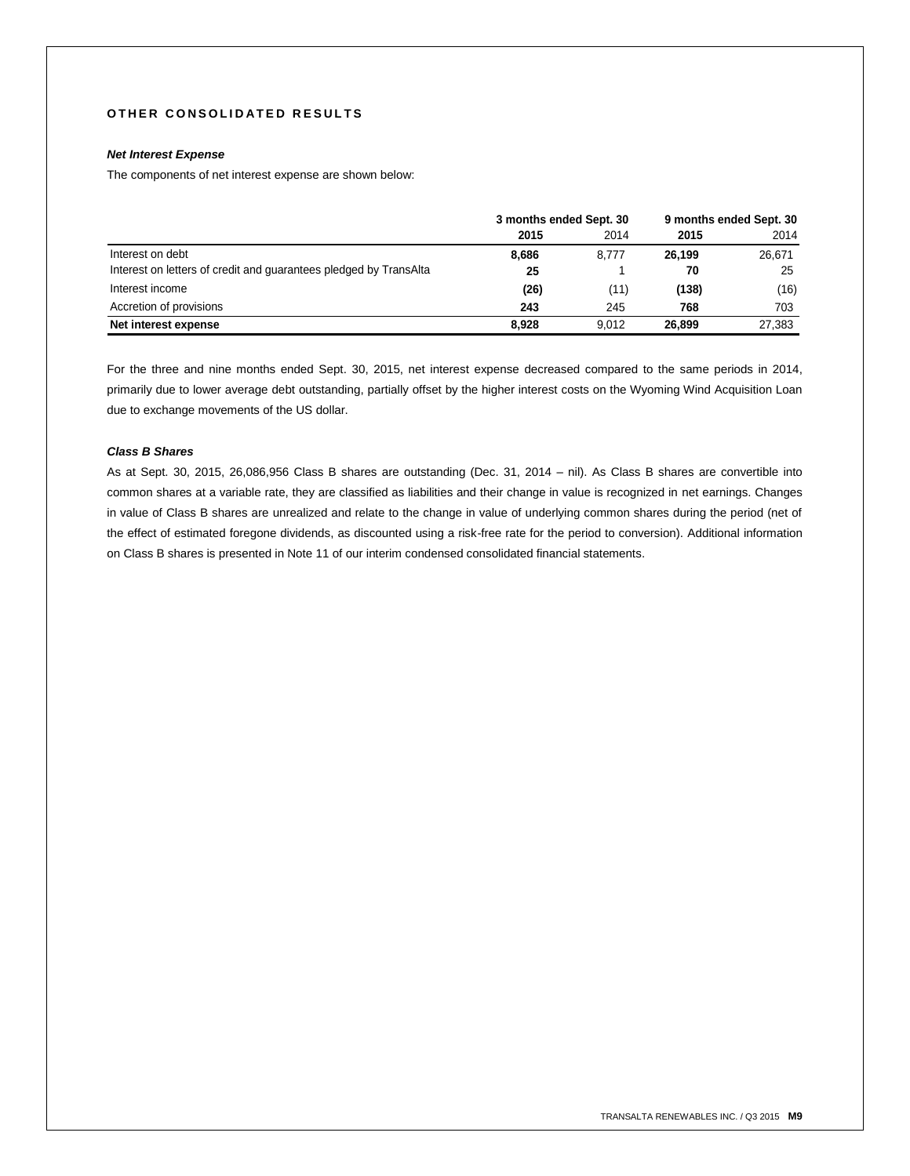## **O T H E R C O N S O L I D A T E D R E S U L T S**

# *Net Interest Expense*

The components of net interest expense are shown below:

|                                                                   | 3 months ended Sept. 30 |       | 9 months ended Sept. 30 |        |
|-------------------------------------------------------------------|-------------------------|-------|-------------------------|--------|
|                                                                   | 2015                    | 2014  | 2015                    | 2014   |
| Interest on debt                                                  | 8,686                   | 8.777 | 26.199                  | 26,671 |
| Interest on letters of credit and guarantees pledged by TransAlta | 25                      |       | 70                      | 25     |
| Interest income                                                   | (26)                    | (11)  | (138)                   | (16)   |
| Accretion of provisions                                           | 243                     | 245   | 768                     | 703    |
| Net interest expense                                              | 8.928                   | 9.012 | 26.899                  | 27,383 |

For the three and nine months ended Sept. 30, 2015, net interest expense decreased compared to the same periods in 2014, primarily due to lower average debt outstanding, partially offset by the higher interest costs on the Wyoming Wind Acquisition Loan due to exchange movements of the US dollar.

## *Class B Shares*

As at Sept. 30, 2015, 26,086,956 Class B shares are outstanding (Dec. 31, 2014 – nil). As Class B shares are convertible into common shares at a variable rate, they are classified as liabilities and their change in value is recognized in net earnings. Changes in value of Class B shares are unrealized and relate to the change in value of underlying common shares during the period (net of the effect of estimated foregone dividends, as discounted using a risk-free rate for the period to conversion). Additional information on Class B shares is presented in Note 11 of our interim condensed consolidated financial statements.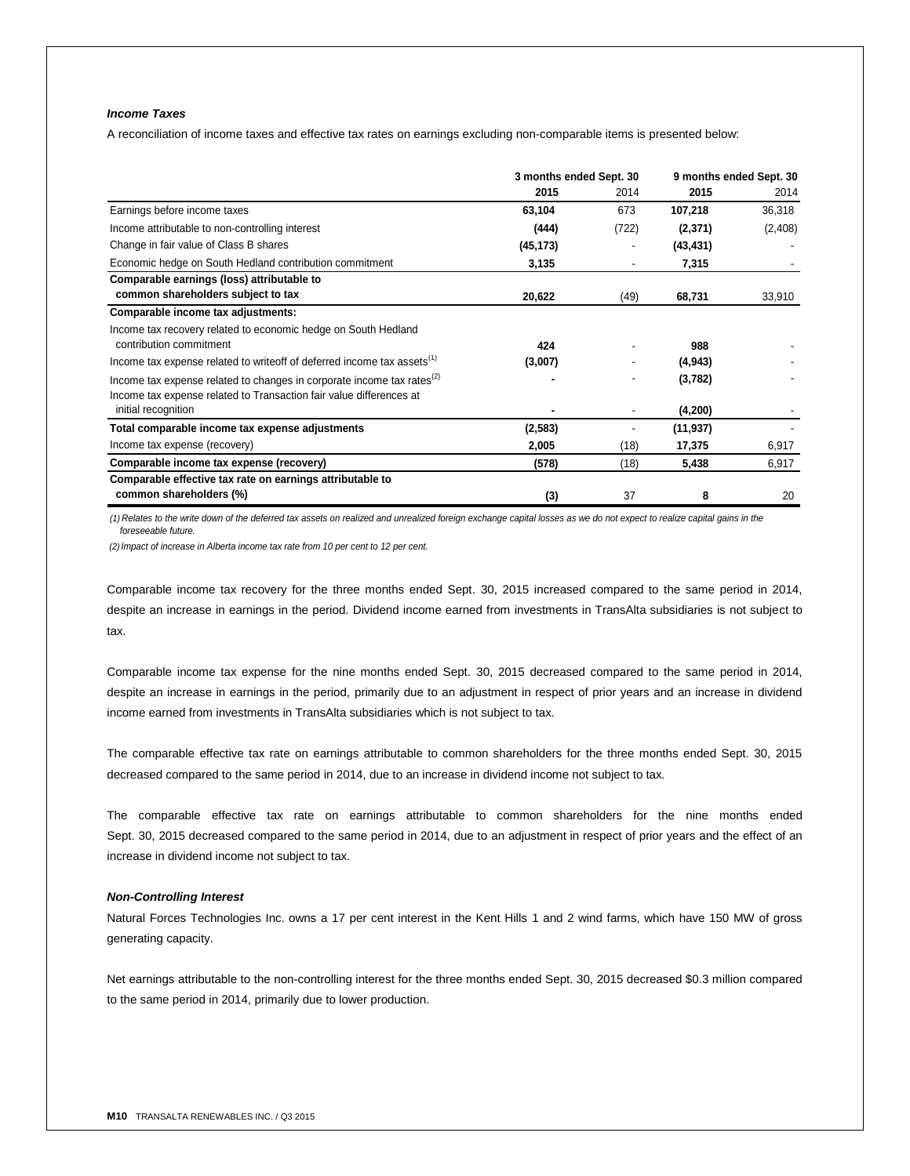# *Income Taxes*

A reconciliation of income taxes and effective tax rates on earnings excluding non-comparable items is presented below:

|                                                                                     | 3 months ended Sept. 30 |       | 9 months ended Sept. 30 |         |
|-------------------------------------------------------------------------------------|-------------------------|-------|-------------------------|---------|
|                                                                                     | 2015                    | 2014  | 2015                    | 2014    |
| Earnings before income taxes                                                        | 63,104                  | 673   | 107,218                 | 36,318  |
| Income attributable to non-controlling interest                                     | (444)                   | (722) | (2,371)                 | (2,408) |
| Change in fair value of Class B shares                                              | (45, 173)               |       | (43, 431)               |         |
| Economic hedge on South Hedland contribution commitment                             | 3,135                   |       | 7,315                   |         |
| Comparable earnings (loss) attributable to                                          |                         |       |                         |         |
| common shareholders subject to tax                                                  | 20,622                  | (49)  | 68,731                  | 33,910  |
| Comparable income tax adjustments:                                                  |                         |       |                         |         |
| Income tax recovery related to economic hedge on South Hedland                      |                         |       |                         |         |
| contribution commitment                                                             | 424                     |       | 988                     |         |
| Income tax expense related to writeoff of deferred income tax assets <sup>(1)</sup> | (3,007)                 |       | (4, 943)                |         |
| Income tax expense related to changes in corporate income tax rates <sup>(2)</sup>  |                         |       | (3,782)                 |         |
| Income tax expense related to Transaction fair value differences at                 |                         |       |                         |         |
| initial recognition                                                                 |                         |       | (4,200)                 |         |
| Total comparable income tax expense adjustments                                     | (2, 583)                |       | (11, 937)               |         |
| Income tax expense (recovery)                                                       | 2,005                   | (18)  | 17,375                  | 6,917   |
| Comparable income tax expense (recovery)                                            | (578)                   | (18)  | 5,438                   | 6,917   |
| Comparable effective tax rate on earnings attributable to                           |                         |       |                         |         |
| common shareholders (%)                                                             | (3)                     | 37    | 8                       | 20      |

*(1) Relates to the write down of the deferred tax assets on realized and unrealized foreign exchange capital losses as we do not expect to realize capital gains in the foreseeable future.*

*(2)Impact of increase in Alberta income tax rate from 10 per cent to 12 per cent.*

Comparable income tax recovery for the three months ended Sept. 30, 2015 increased compared to the same period in 2014, despite an increase in earnings in the period. Dividend income earned from investments in TransAlta subsidiaries is not subject to tax.

Comparable income tax expense for the nine months ended Sept. 30, 2015 decreased compared to the same period in 2014, despite an increase in earnings in the period, primarily due to an adjustment in respect of prior years and an increase in dividend income earned from investments in TransAlta subsidiaries which is not subject to tax.

The comparable effective tax rate on earnings attributable to common shareholders for the three months ended Sept. 30, 2015 decreased compared to the same period in 2014, due to an increase in dividend income not subject to tax.

The comparable effective tax rate on earnings attributable to common shareholders for the nine months ended Sept. 30, 2015 decreased compared to the same period in 2014, due to an adjustment in respect of prior years and the effect of an increase in dividend income not subject to tax.

## *Non-Controlling Interest*

Natural Forces Technologies Inc. owns a 17 per cent interest in the Kent Hills 1 and 2 wind farms, which have 150 MW of gross generating capacity.

Net earnings attributable to the non-controlling interest for the three months ended Sept. 30, 2015 decreased \$0.3 million compared to the same period in 2014, primarily due to lower production.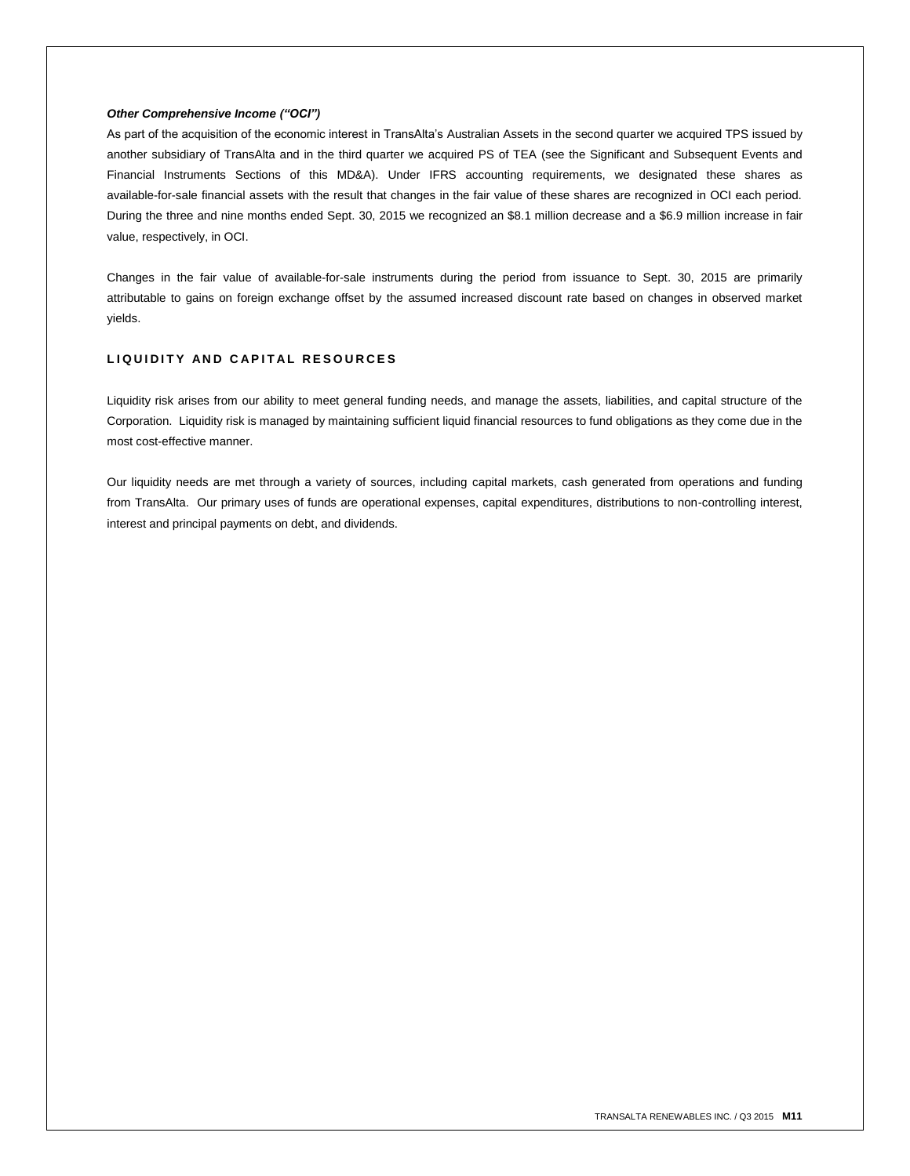## *Other Comprehensive Income ("OCI")*

As part of the acquisition of the economic interest in TransAlta's Australian Assets in the second quarter we acquired TPS issued by another subsidiary of TransAlta and in the third quarter we acquired PS of TEA (see the Significant and Subsequent Events and Financial Instruments Sections of this MD&A). Under IFRS accounting requirements, we designated these shares as available-for-sale financial assets with the result that changes in the fair value of these shares are recognized in OCI each period. During the three and nine months ended Sept. 30, 2015 we recognized an \$8.1 million decrease and a \$6.9 million increase in fair value, respectively, in OCI.

Changes in the fair value of available-for-sale instruments during the period from issuance to Sept. 30, 2015 are primarily attributable to gains on foreign exchange offset by the assumed increased discount rate based on changes in observed market yields.

# **L I Q U I D I T Y A N D C A P I T A L R E S O U R C E S**

Liquidity risk arises from our ability to meet general funding needs, and manage the assets, liabilities, and capital structure of the Corporation. Liquidity risk is managed by maintaining sufficient liquid financial resources to fund obligations as they come due in the most cost-effective manner.

Our liquidity needs are met through a variety of sources, including capital markets, cash generated from operations and funding from TransAlta. Our primary uses of funds are operational expenses, capital expenditures, distributions to non-controlling interest, interest and principal payments on debt, and dividends.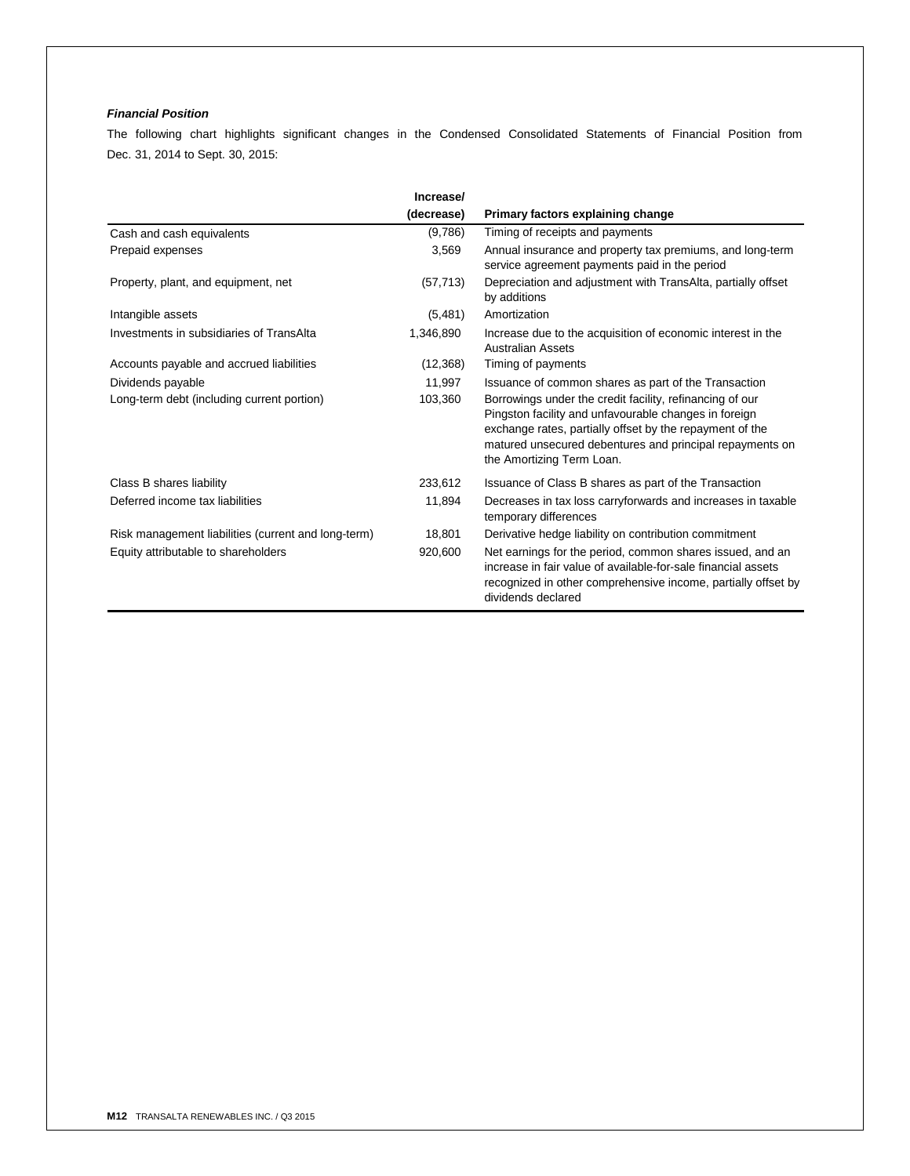# *Financial Position*

The following chart highlights significant changes in the Condensed Consolidated Statements of Financial Position from Dec. 31, 2014 to Sept. 30, 2015:

|                                                     | Increase/  |                                                                                                                                                                                                                                                                        |
|-----------------------------------------------------|------------|------------------------------------------------------------------------------------------------------------------------------------------------------------------------------------------------------------------------------------------------------------------------|
|                                                     | (decrease) | Primary factors explaining change                                                                                                                                                                                                                                      |
| Cash and cash equivalents                           | (9,786)    | Timing of receipts and payments                                                                                                                                                                                                                                        |
| Prepaid expenses                                    | 3,569      | Annual insurance and property tax premiums, and long-term<br>service agreement payments paid in the period                                                                                                                                                             |
| Property, plant, and equipment, net                 | (57, 713)  | Depreciation and adjustment with TransAlta, partially offset<br>by additions                                                                                                                                                                                           |
| Intangible assets                                   | (5,481)    | Amortization                                                                                                                                                                                                                                                           |
| Investments in subsidiaries of TransAlta            | 1,346,890  | Increase due to the acquisition of economic interest in the<br><b>Australian Assets</b>                                                                                                                                                                                |
| Accounts payable and accrued liabilities            | (12,368)   | Timing of payments                                                                                                                                                                                                                                                     |
| Dividends payable                                   | 11,997     | Issuance of common shares as part of the Transaction                                                                                                                                                                                                                   |
| Long-term debt (including current portion)          | 103,360    | Borrowings under the credit facility, refinancing of our<br>Pingston facility and unfavourable changes in foreign<br>exchange rates, partially offset by the repayment of the<br>matured unsecured debentures and principal repayments on<br>the Amortizing Term Loan. |
| Class B shares liability                            | 233,612    | Issuance of Class B shares as part of the Transaction                                                                                                                                                                                                                  |
| Deferred income tax liabilities                     | 11,894     | Decreases in tax loss carryforwards and increases in taxable<br>temporary differences                                                                                                                                                                                  |
| Risk management liabilities (current and long-term) | 18,801     | Derivative hedge liability on contribution commitment                                                                                                                                                                                                                  |
| Equity attributable to shareholders                 | 920,600    | Net earnings for the period, common shares issued, and an<br>increase in fair value of available-for-sale financial assets<br>recognized in other comprehensive income, partially offset by<br>dividends declared                                                      |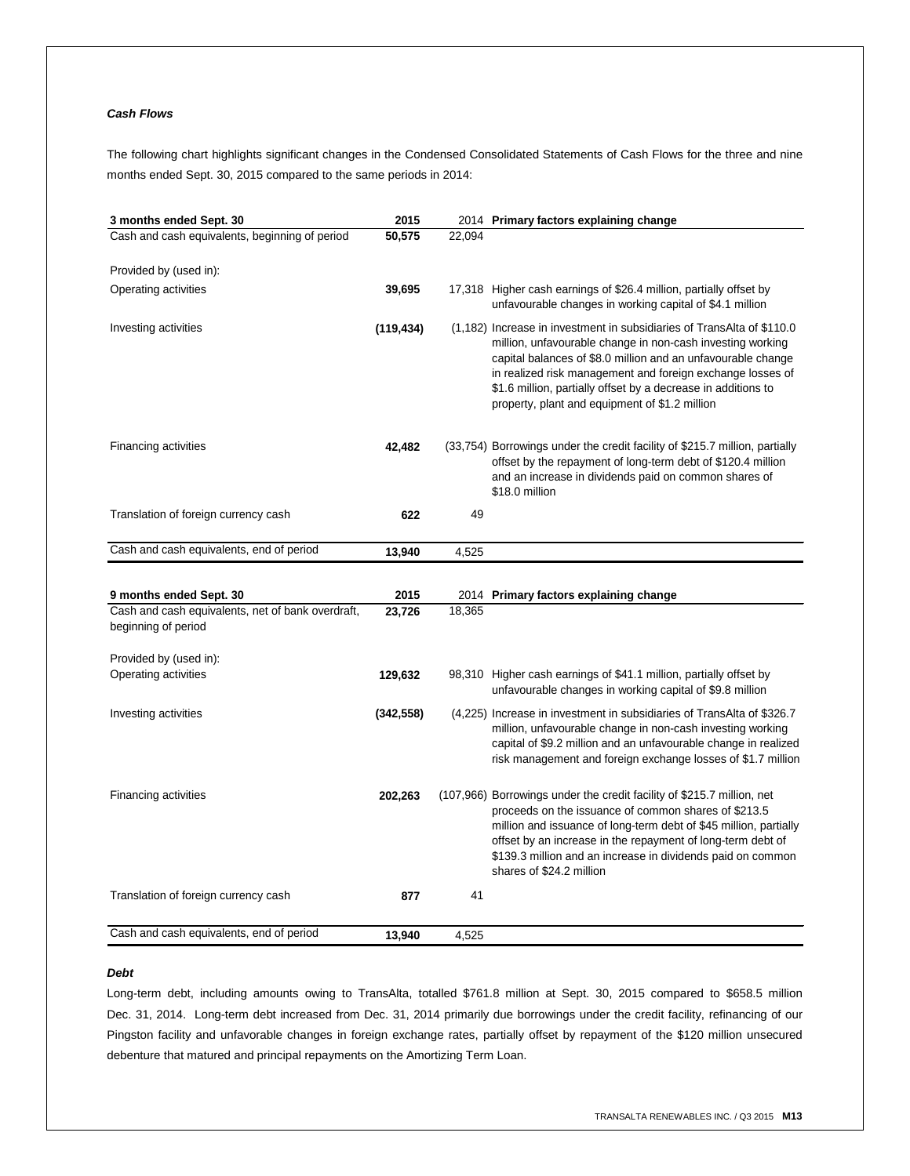# *Cash Flows*

The following chart highlights significant changes in the Condensed Consolidated Statements of Cash Flows for the three and nine months ended Sept. 30, 2015 compared to the same periods in 2014:

| 3 months ended Sept. 30                                                  | 2015       |        | 2014 Primary factors explaining change                                                                                                                                                                                                                                                                                                                                                |
|--------------------------------------------------------------------------|------------|--------|---------------------------------------------------------------------------------------------------------------------------------------------------------------------------------------------------------------------------------------------------------------------------------------------------------------------------------------------------------------------------------------|
| Cash and cash equivalents, beginning of period                           | 50,575     | 22,094 |                                                                                                                                                                                                                                                                                                                                                                                       |
|                                                                          |            |        |                                                                                                                                                                                                                                                                                                                                                                                       |
| Provided by (used in):                                                   |            |        |                                                                                                                                                                                                                                                                                                                                                                                       |
| Operating activities                                                     | 39,695     |        | 17,318 Higher cash earnings of \$26.4 million, partially offset by<br>unfavourable changes in working capital of \$4.1 million                                                                                                                                                                                                                                                        |
| Investing activities                                                     | (119, 434) |        | (1,182) Increase in investment in subsidiaries of TransAlta of \$110.0<br>million, unfavourable change in non-cash investing working<br>capital balances of \$8.0 million and an unfavourable change<br>in realized risk management and foreign exchange losses of<br>\$1.6 million, partially offset by a decrease in additions to<br>property, plant and equipment of \$1.2 million |
| Financing activities                                                     | 42,482     |        | (33,754) Borrowings under the credit facility of \$215.7 million, partially<br>offset by the repayment of long-term debt of \$120.4 million<br>and an increase in dividends paid on common shares of<br>\$18.0 million                                                                                                                                                                |
| Translation of foreign currency cash                                     | 622        | 49     |                                                                                                                                                                                                                                                                                                                                                                                       |
| Cash and cash equivalents, end of period                                 | 13,940     | 4,525  |                                                                                                                                                                                                                                                                                                                                                                                       |
|                                                                          |            |        |                                                                                                                                                                                                                                                                                                                                                                                       |
|                                                                          |            |        |                                                                                                                                                                                                                                                                                                                                                                                       |
| 9 months ended Sept. 30                                                  | 2015       |        | 2014 Primary factors explaining change                                                                                                                                                                                                                                                                                                                                                |
| Cash and cash equivalents, net of bank overdraft,<br>beginning of period | 23,726     | 18,365 |                                                                                                                                                                                                                                                                                                                                                                                       |
| Provided by (used in):                                                   |            |        |                                                                                                                                                                                                                                                                                                                                                                                       |
| Operating activities                                                     | 129,632    |        | 98,310 Higher cash earnings of \$41.1 million, partially offset by<br>unfavourable changes in working capital of \$9.8 million                                                                                                                                                                                                                                                        |
| Investing activities                                                     | (342, 558) |        | (4,225) Increase in investment in subsidiaries of TransAlta of \$326.7<br>million, unfavourable change in non-cash investing working<br>capital of \$9.2 million and an unfavourable change in realized<br>risk management and foreign exchange losses of \$1.7 million                                                                                                               |
| Financing activities                                                     | 202,263    |        | (107,966) Borrowings under the credit facility of \$215.7 million, net<br>proceeds on the issuance of common shares of \$213.5<br>million and issuance of long-term debt of \$45 million, partially<br>offset by an increase in the repayment of long-term debt of<br>\$139.3 million and an increase in dividends paid on common<br>shares of \$24.2 million                         |
| Translation of foreign currency cash                                     | 877        | 41     |                                                                                                                                                                                                                                                                                                                                                                                       |
|                                                                          |            |        |                                                                                                                                                                                                                                                                                                                                                                                       |
| Cash and cash equivalents, end of period                                 | 13,940     | 4,525  |                                                                                                                                                                                                                                                                                                                                                                                       |

## *Debt*

Long-term debt, including amounts owing to TransAlta, totalled \$761.8 million at Sept. 30, 2015 compared to \$658.5 million Dec. 31, 2014. Long-term debt increased from Dec. 31, 2014 primarily due borrowings under the credit facility, refinancing of our Pingston facility and unfavorable changes in foreign exchange rates, partially offset by repayment of the \$120 million unsecured debenture that matured and principal repayments on the Amortizing Term Loan.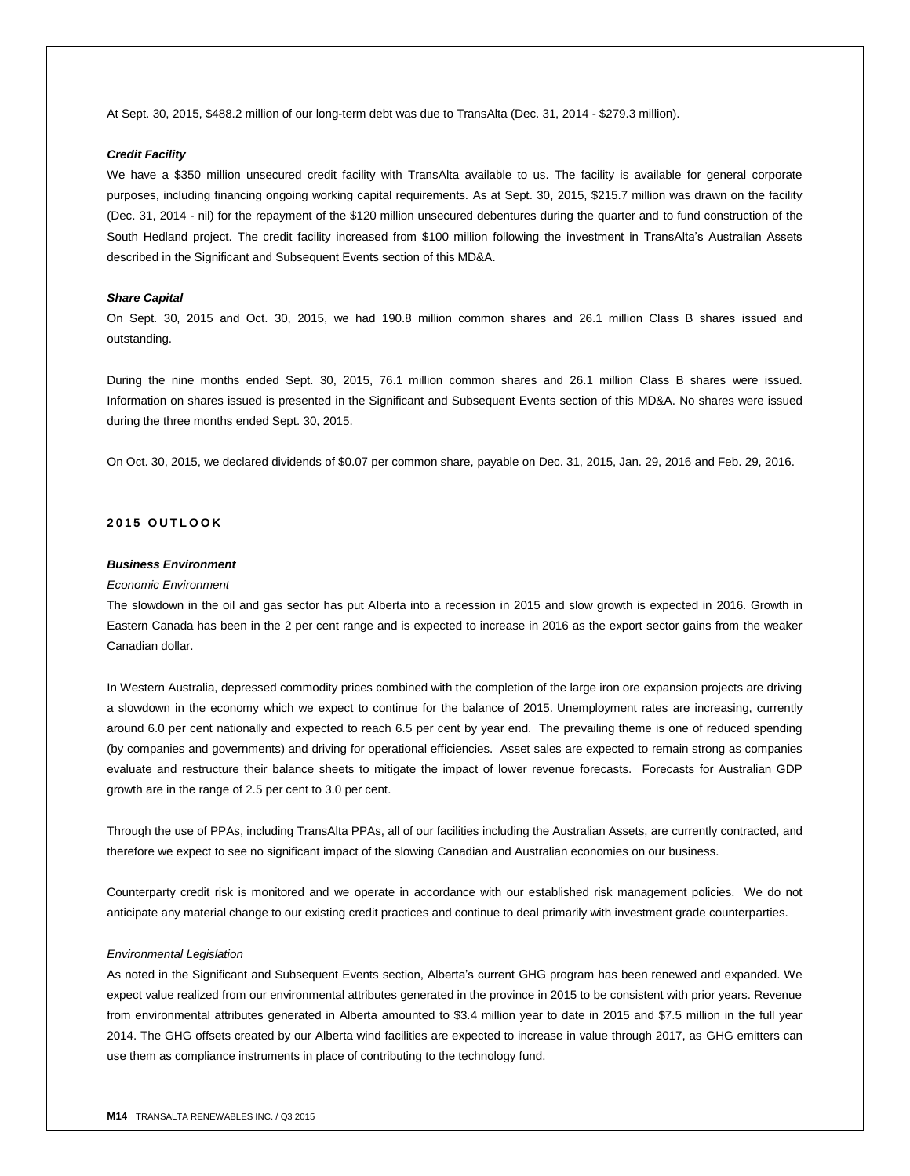At Sept. 30, 2015, \$488.2 million of our long-term debt was due to TransAlta (Dec. 31, 2014 - \$279.3 million).

## *Credit Facility*

We have a \$350 million unsecured credit facility with TransAlta available to us. The facility is available for general corporate purposes, including financing ongoing working capital requirements. As at Sept. 30, 2015, \$215.7 million was drawn on the facility (Dec. 31, 2014 - nil) for the repayment of the \$120 million unsecured debentures during the quarter and to fund construction of the South Hedland project. The credit facility increased from \$100 million following the investment in TransAlta's Australian Assets described in the Significant and Subsequent Events section of this MD&A.

## *Share Capital*

On Sept. 30, 2015 and Oct. 30, 2015, we had 190.8 million common shares and 26.1 million Class B shares issued and outstanding.

During the nine months ended Sept. 30, 2015, 76.1 million common shares and 26.1 million Class B shares were issued. Information on shares issued is presented in the Significant and Subsequent Events section of this MD&A. No shares were issued during the three months ended Sept. 30, 2015.

On Oct. 30, 2015, we declared dividends of \$0.07 per common share, payable on Dec. 31, 2015, Jan. 29, 2016 and Feb. 29, 2016.

# **2 0 1 5 O U T L O O K**

## *Business Environment*

## *Economic Environment*

The slowdown in the oil and gas sector has put Alberta into a recession in 2015 and slow growth is expected in 2016. Growth in Eastern Canada has been in the 2 per cent range and is expected to increase in 2016 as the export sector gains from the weaker Canadian dollar.

In Western Australia, depressed commodity prices combined with the completion of the large iron ore expansion projects are driving a slowdown in the economy which we expect to continue for the balance of 2015. Unemployment rates are increasing, currently around 6.0 per cent nationally and expected to reach 6.5 per cent by year end. The prevailing theme is one of reduced spending (by companies and governments) and driving for operational efficiencies. Asset sales are expected to remain strong as companies evaluate and restructure their balance sheets to mitigate the impact of lower revenue forecasts. Forecasts for Australian GDP growth are in the range of 2.5 per cent to 3.0 per cent.

Through the use of PPAs, including TransAlta PPAs, all of our facilities including the Australian Assets, are currently contracted, and therefore we expect to see no significant impact of the slowing Canadian and Australian economies on our business.

Counterparty credit risk is monitored and we operate in accordance with our established risk management policies. We do not anticipate any material change to our existing credit practices and continue to deal primarily with investment grade counterparties.

#### *Environmental Legislation*

As noted in the Significant and Subsequent Events section, Alberta's current GHG program has been renewed and expanded. We expect value realized from our environmental attributes generated in the province in 2015 to be consistent with prior years. Revenue from environmental attributes generated in Alberta amounted to \$3.4 million year to date in 2015 and \$7.5 million in the full year 2014. The GHG offsets created by our Alberta wind facilities are expected to increase in value through 2017, as GHG emitters can use them as compliance instruments in place of contributing to the technology fund.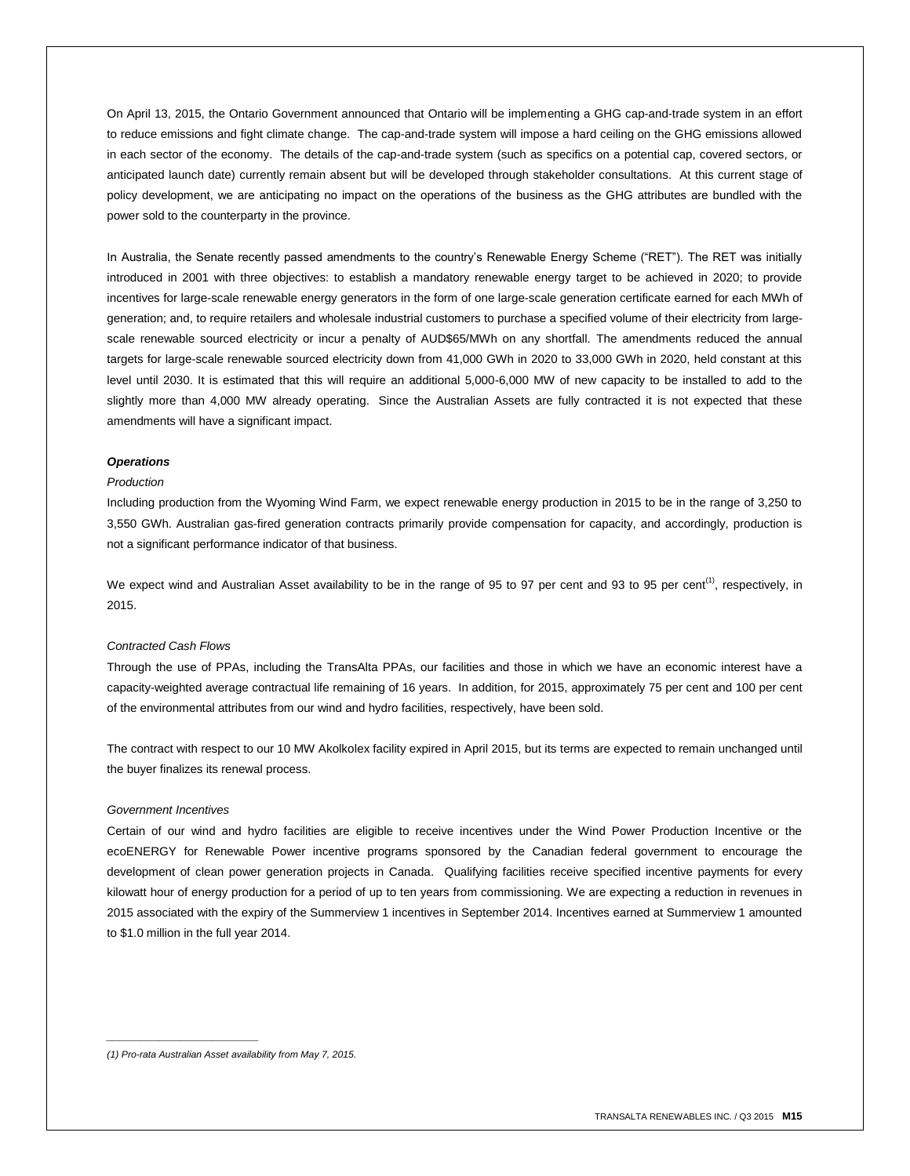On April 13, 2015, the Ontario Government announced that Ontario will be implementing a GHG cap-and-trade system in an effort to reduce emissions and fight climate change. The cap-and-trade system will impose a hard ceiling on the GHG emissions allowed in each sector of the economy. The details of the cap-and-trade system (such as specifics on a potential cap, covered sectors, or anticipated launch date) currently remain absent but will be developed through stakeholder consultations. At this current stage of policy development, we are anticipating no impact on the operations of the business as the GHG attributes are bundled with the power sold to the counterparty in the province.

In Australia, the Senate recently passed amendments to the country's Renewable Energy Scheme ("RET"). The RET was initially introduced in 2001 with three objectives: to establish a mandatory renewable energy target to be achieved in 2020; to provide incentives for large-scale renewable energy generators in the form of one large-scale generation certificate earned for each MWh of generation; and, to require retailers and wholesale industrial customers to purchase a specified volume of their electricity from largescale renewable sourced electricity or incur a penalty of AUD\$65/MWh on any shortfall. The amendments reduced the annual targets for large-scale renewable sourced electricity down from 41,000 GWh in 2020 to 33,000 GWh in 2020, held constant at this level until 2030. It is estimated that this will require an additional 5,000-6,000 MW of new capacity to be installed to add to the slightly more than 4,000 MW already operating. Since the Australian Assets are fully contracted it is not expected that these amendments will have a significant impact.

## *Operations*

## *Production*

Including production from the Wyoming Wind Farm, we expect renewable energy production in 2015 to be in the range of 3,250 to 3,550 GWh. Australian gas-fired generation contracts primarily provide compensation for capacity, and accordingly, production is not a significant performance indicator of that business.

We expect wind and Australian Asset availability to be in the range of 95 to 97 per cent and 93 to 95 per cent<sup>(1)</sup>, respectively, in 2015.

## *Contracted Cash Flows*

Through the use of PPAs, including the TransAlta PPAs, our facilities and those in which we have an economic interest have a capacity-weighted average contractual life remaining of 16 years. In addition, for 2015, approximately 75 per cent and 100 per cent of the environmental attributes from our wind and hydro facilities, respectively, have been sold.

The contract with respect to our 10 MW Akolkolex facility expired in April 2015, but its terms are expected to remain unchanged until the buyer finalizes its renewal process.

#### *Government Incentives*

Certain of our wind and hydro facilities are eligible to receive incentives under the Wind Power Production Incentive or the ecoENERGY for Renewable Power incentive programs sponsored by the Canadian federal government to encourage the development of clean power generation projects in Canada. Qualifying facilities receive specified incentive payments for every kilowatt hour of energy production for a period of up to ten years from commissioning. We are expecting a reduction in revenues in 2015 associated with the expiry of the Summerview 1 incentives in September 2014. Incentives earned at Summerview 1 amounted to \$1.0 million in the full year 2014.

*(1) Pro-rata Australian Asset availability from May 7, 2015.*

*\_\_\_\_\_\_\_\_\_\_\_\_\_\_\_\_\_\_\_\_\_\_\_*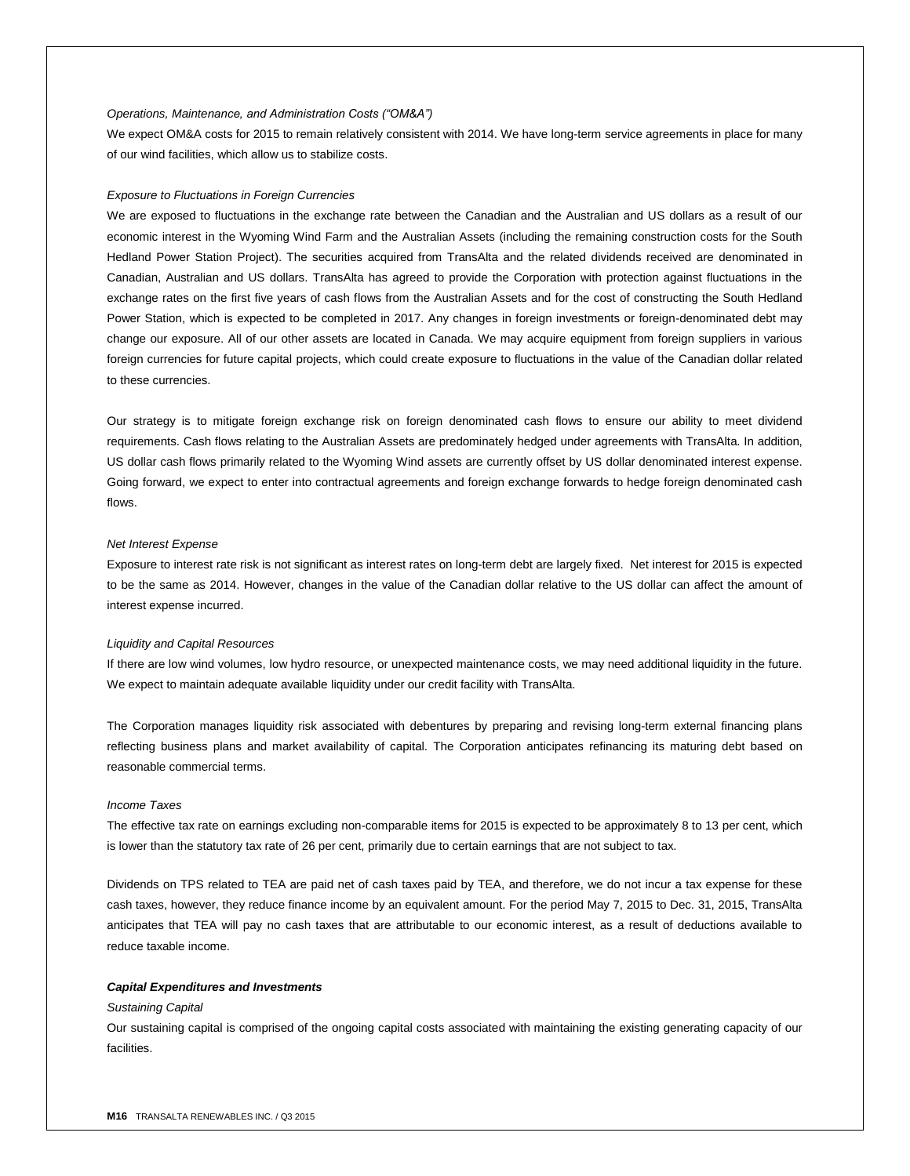## *Operations, Maintenance, and Administration Costs ("OM&A")*

We expect OM&A costs for 2015 to remain relatively consistent with 2014. We have long-term service agreements in place for many of our wind facilities, which allow us to stabilize costs.

#### *Exposure to Fluctuations in Foreign Currencies*

We are exposed to fluctuations in the exchange rate between the Canadian and the Australian and US dollars as a result of our economic interest in the Wyoming Wind Farm and the Australian Assets (including the remaining construction costs for the South Hedland Power Station Project). The securities acquired from TransAlta and the related dividends received are denominated in Canadian, Australian and US dollars. TransAlta has agreed to provide the Corporation with protection against fluctuations in the exchange rates on the first five years of cash flows from the Australian Assets and for the cost of constructing the South Hedland Power Station, which is expected to be completed in 2017. Any changes in foreign investments or foreign-denominated debt may change our exposure. All of our other assets are located in Canada. We may acquire equipment from foreign suppliers in various foreign currencies for future capital projects, which could create exposure to fluctuations in the value of the Canadian dollar related to these currencies.

Our strategy is to mitigate foreign exchange risk on foreign denominated cash flows to ensure our ability to meet dividend requirements. Cash flows relating to the Australian Assets are predominately hedged under agreements with TransAlta. In addition, US dollar cash flows primarily related to the Wyoming Wind assets are currently offset by US dollar denominated interest expense. Going forward, we expect to enter into contractual agreements and foreign exchange forwards to hedge foreign denominated cash flows.

#### *Net Interest Expense*

Exposure to interest rate risk is not significant as interest rates on long-term debt are largely fixed. Net interest for 2015 is expected to be the same as 2014. However, changes in the value of the Canadian dollar relative to the US dollar can affect the amount of interest expense incurred.

#### *Liquidity and Capital Resources*

If there are low wind volumes, low hydro resource, or unexpected maintenance costs, we may need additional liquidity in the future. We expect to maintain adequate available liquidity under our credit facility with TransAlta.

The Corporation manages liquidity risk associated with debentures by preparing and revising long-term external financing plans reflecting business plans and market availability of capital. The Corporation anticipates refinancing its maturing debt based on reasonable commercial terms.

#### *Income Taxes*

The effective tax rate on earnings excluding non-comparable items for 2015 is expected to be approximately 8 to 13 per cent, which is lower than the statutory tax rate of 26 per cent, primarily due to certain earnings that are not subject to tax.

Dividends on TPS related to TEA are paid net of cash taxes paid by TEA, and therefore, we do not incur a tax expense for these cash taxes, however, they reduce finance income by an equivalent amount. For the period May 7, 2015 to Dec. 31, 2015, TransAlta anticipates that TEA will pay no cash taxes that are attributable to our economic interest, as a result of deductions available to reduce taxable income.

#### *Capital Expenditures and Investments*

#### *Sustaining Capital*

Our sustaining capital is comprised of the ongoing capital costs associated with maintaining the existing generating capacity of our facilities.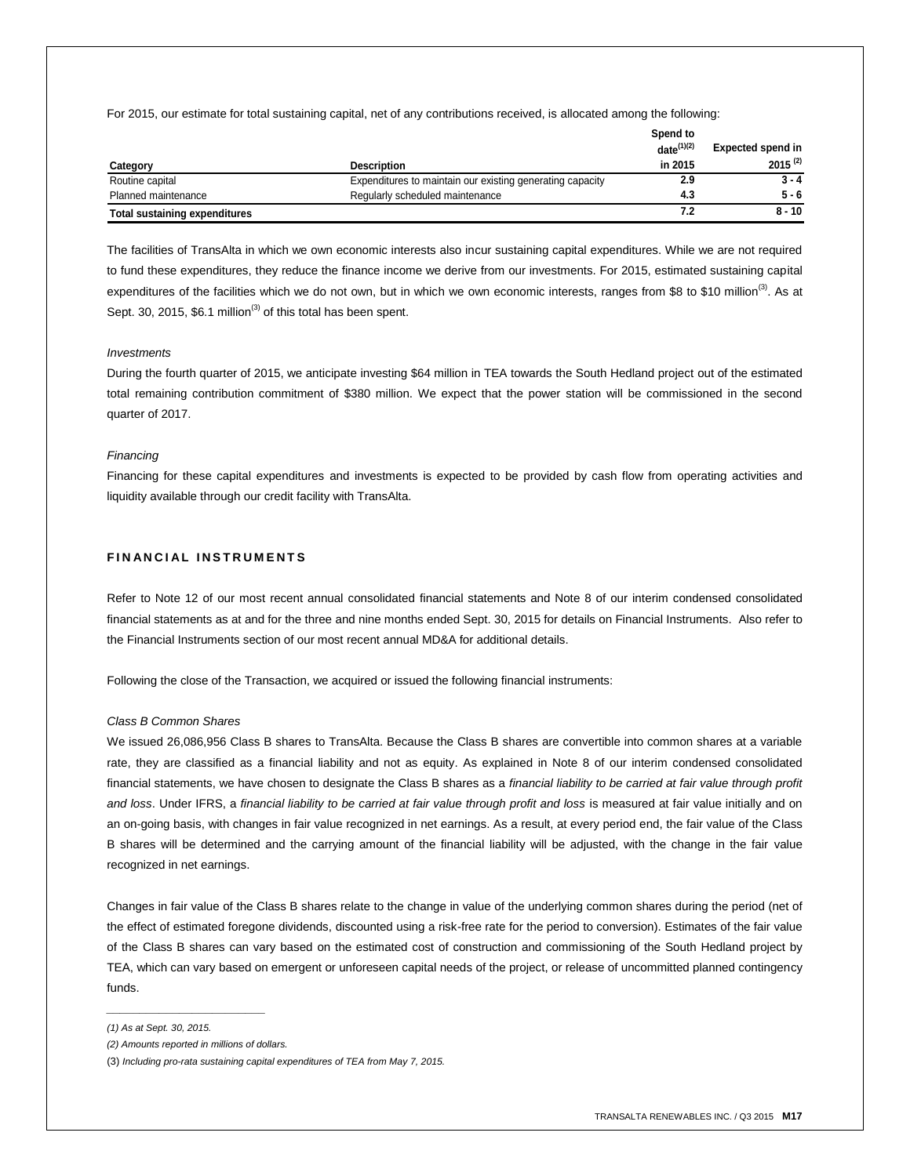For 2015, our estimate for total sustaining capital, net of any contributions received, is allocated among the following:

|                                      |                                                           | Spend to<br>$date^{(1)(2)}$ | <b>Expected spend in</b> |
|--------------------------------------|-----------------------------------------------------------|-----------------------------|--------------------------|
| Category                             | Description                                               | in 2015                     | $2015^{(2)}$             |
| Routine capital                      | Expenditures to maintain our existing generating capacity | 2.9                         | $3 - 4$                  |
| Planned maintenance                  | Regularly scheduled maintenance                           | 4.3                         | $5 - 6$                  |
| <b>Total sustaining expenditures</b> |                                                           | 7.2                         | $8 - 10$                 |

The facilities of TransAlta in which we own economic interests also incur sustaining capital expenditures. While we are not required to fund these expenditures, they reduce the finance income we derive from our investments. For 2015, estimated sustaining capital expenditures of the facilities which we do not own, but in which we own economic interests, ranges from \$8 to \$10 million<sup>(3)</sup>. As at Sept. 30, 2015, \$6.1 million<sup>(3)</sup> of this total has been spent.

## *Investments*

During the fourth quarter of 2015, we anticipate investing \$64 million in TEA towards the South Hedland project out of the estimated total remaining contribution commitment of \$380 million. We expect that the power station will be commissioned in the second quarter of 2017.

## *Financing*

Financing for these capital expenditures and investments is expected to be provided by cash flow from operating activities and liquidity available through our credit facility with TransAlta.

# **FINANCIAL INSTRUMENTS**

Refer to Note 12 of our most recent annual consolidated financial statements and Note 8 of our interim condensed consolidated financial statements as at and for the three and nine months ended Sept. 30, 2015 for details on Financial Instruments. Also refer to the Financial Instruments section of our most recent annual MD&A for additional details.

Following the close of the Transaction, we acquired or issued the following financial instruments:

## *Class B Common Shares*

We issued 26,086,956 Class B shares to TransAlta. Because the Class B shares are convertible into common shares at a variable rate, they are classified as a financial liability and not as equity. As explained in Note 8 of our interim condensed consolidated financial statements, we have chosen to designate the Class B shares as a *financial liability to be carried at fair value through profit and loss*. Under IFRS, a *financial liability to be carried at fair value through profit and loss* is measured at fair value initially and on an on-going basis, with changes in fair value recognized in net earnings. As a result, at every period end, the fair value of the Class B shares will be determined and the carrying amount of the financial liability will be adjusted, with the change in the fair value recognized in net earnings.

Changes in fair value of the Class B shares relate to the change in value of the underlying common shares during the period (net of the effect of estimated foregone dividends, discounted using a risk-free rate for the period to conversion). Estimates of the fair value of the Class B shares can vary based on the estimated cost of construction and commissioning of the South Hedland project by TEA, which can vary based on emergent or unforeseen capital needs of the project, or release of uncommitted planned contingency funds.

*\_\_\_\_\_\_\_\_\_\_\_\_\_\_\_\_\_\_\_\_\_\_\_\_*

*<sup>(1)</sup> As at Sept. 30, 2015.*

*<sup>(2)</sup> Amounts reported in millions of dollars.*

<sup>(3)</sup> *Including pro-rata sustaining capital expenditures of TEA from May 7, 2015.*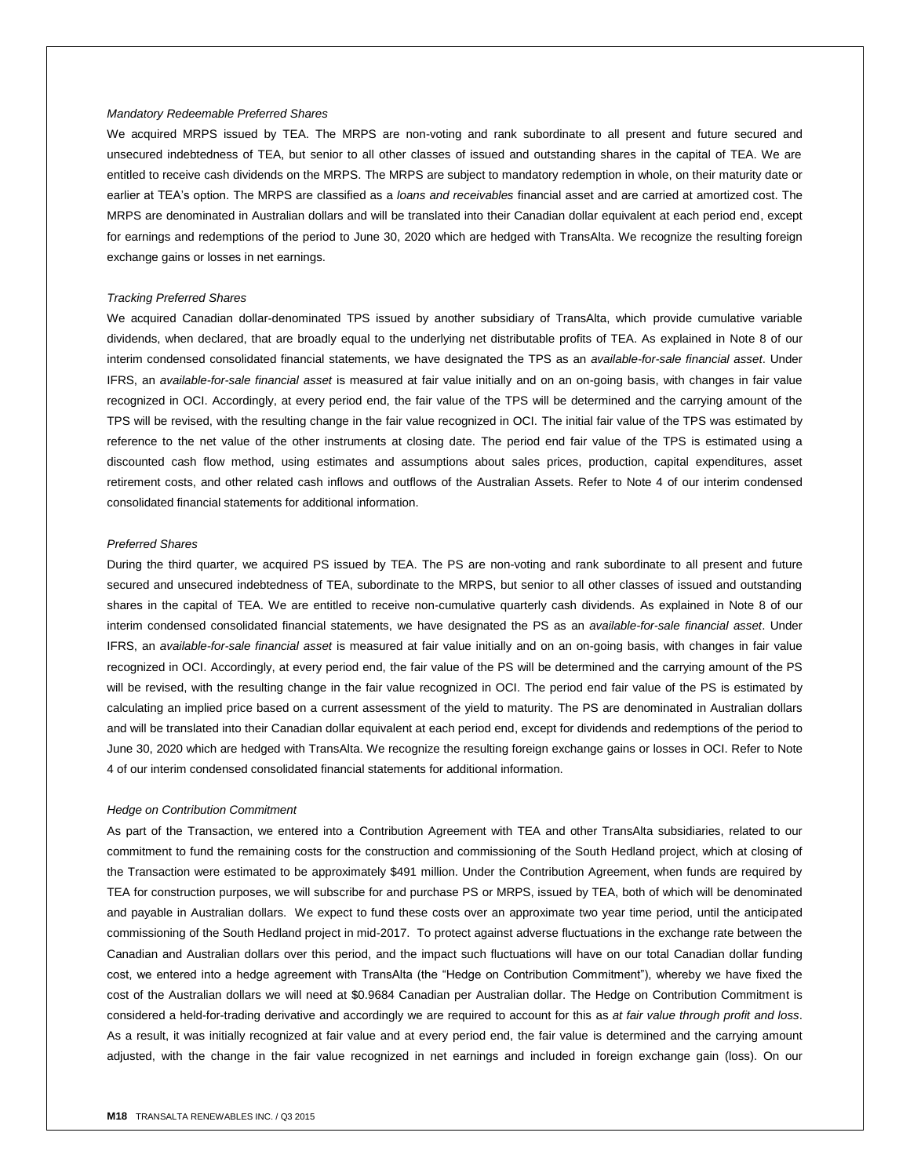#### *Mandatory Redeemable Preferred Shares*

We acquired MRPS issued by TEA. The MRPS are non-voting and rank subordinate to all present and future secured and unsecured indebtedness of TEA, but senior to all other classes of issued and outstanding shares in the capital of TEA. We are entitled to receive cash dividends on the MRPS. The MRPS are subject to mandatory redemption in whole, on their maturity date or earlier at TEA's option. The MRPS are classified as a *loans and receivables* financial asset and are carried at amortized cost. The MRPS are denominated in Australian dollars and will be translated into their Canadian dollar equivalent at each period end, except for earnings and redemptions of the period to June 30, 2020 which are hedged with TransAlta. We recognize the resulting foreign exchange gains or losses in net earnings.

#### *Tracking Preferred Shares*

We acquired Canadian dollar-denominated TPS issued by another subsidiary of TransAlta, which provide cumulative variable dividends, when declared, that are broadly equal to the underlying net distributable profits of TEA. As explained in Note 8 of our interim condensed consolidated financial statements, we have designated the TPS as an *available-for-sale financial asset*. Under IFRS, an *available-for-sale financial asset* is measured at fair value initially and on an on-going basis, with changes in fair value recognized in OCI. Accordingly, at every period end, the fair value of the TPS will be determined and the carrying amount of the TPS will be revised, with the resulting change in the fair value recognized in OCI. The initial fair value of the TPS was estimated by reference to the net value of the other instruments at closing date. The period end fair value of the TPS is estimated using a discounted cash flow method, using estimates and assumptions about sales prices, production, capital expenditures, asset retirement costs, and other related cash inflows and outflows of the Australian Assets. Refer to Note 4 of our interim condensed consolidated financial statements for additional information.

#### *Preferred Shares*

During the third quarter, we acquired PS issued by TEA. The PS are non-voting and rank subordinate to all present and future secured and unsecured indebtedness of TEA, subordinate to the MRPS, but senior to all other classes of issued and outstanding shares in the capital of TEA. We are entitled to receive non-cumulative quarterly cash dividends. As explained in Note 8 of our interim condensed consolidated financial statements, we have designated the PS as an *available-for-sale financial asset*. Under IFRS, an *available-for-sale financial asset* is measured at fair value initially and on an on-going basis, with changes in fair value recognized in OCI. Accordingly, at every period end, the fair value of the PS will be determined and the carrying amount of the PS will be revised, with the resulting change in the fair value recognized in OCI. The period end fair value of the PS is estimated by calculating an implied price based on a current assessment of the yield to maturity. The PS are denominated in Australian dollars and will be translated into their Canadian dollar equivalent at each period end, except for dividends and redemptions of the period to June 30, 2020 which are hedged with TransAlta. We recognize the resulting foreign exchange gains or losses in OCI. Refer to Note 4 of our interim condensed consolidated financial statements for additional information.

#### *Hedge on Contribution Commitment*

As part of the Transaction, we entered into a Contribution Agreement with TEA and other TransAlta subsidiaries, related to our commitment to fund the remaining costs for the construction and commissioning of the South Hedland project, which at closing of the Transaction were estimated to be approximately \$491 million. Under the Contribution Agreement, when funds are required by TEA for construction purposes, we will subscribe for and purchase PS or MRPS, issued by TEA, both of which will be denominated and payable in Australian dollars. We expect to fund these costs over an approximate two year time period, until the anticipated commissioning of the South Hedland project in mid-2017. To protect against adverse fluctuations in the exchange rate between the Canadian and Australian dollars over this period, and the impact such fluctuations will have on our total Canadian dollar funding cost, we entered into a hedge agreement with TransAlta (the "Hedge on Contribution Commitment"), whereby we have fixed the cost of the Australian dollars we will need at \$0.9684 Canadian per Australian dollar. The Hedge on Contribution Commitment is considered a held-for-trading derivative and accordingly we are required to account for this as *at fair value through profit and loss*. As a result, it was initially recognized at fair value and at every period end, the fair value is determined and the carrying amount adjusted, with the change in the fair value recognized in net earnings and included in foreign exchange gain (loss). On our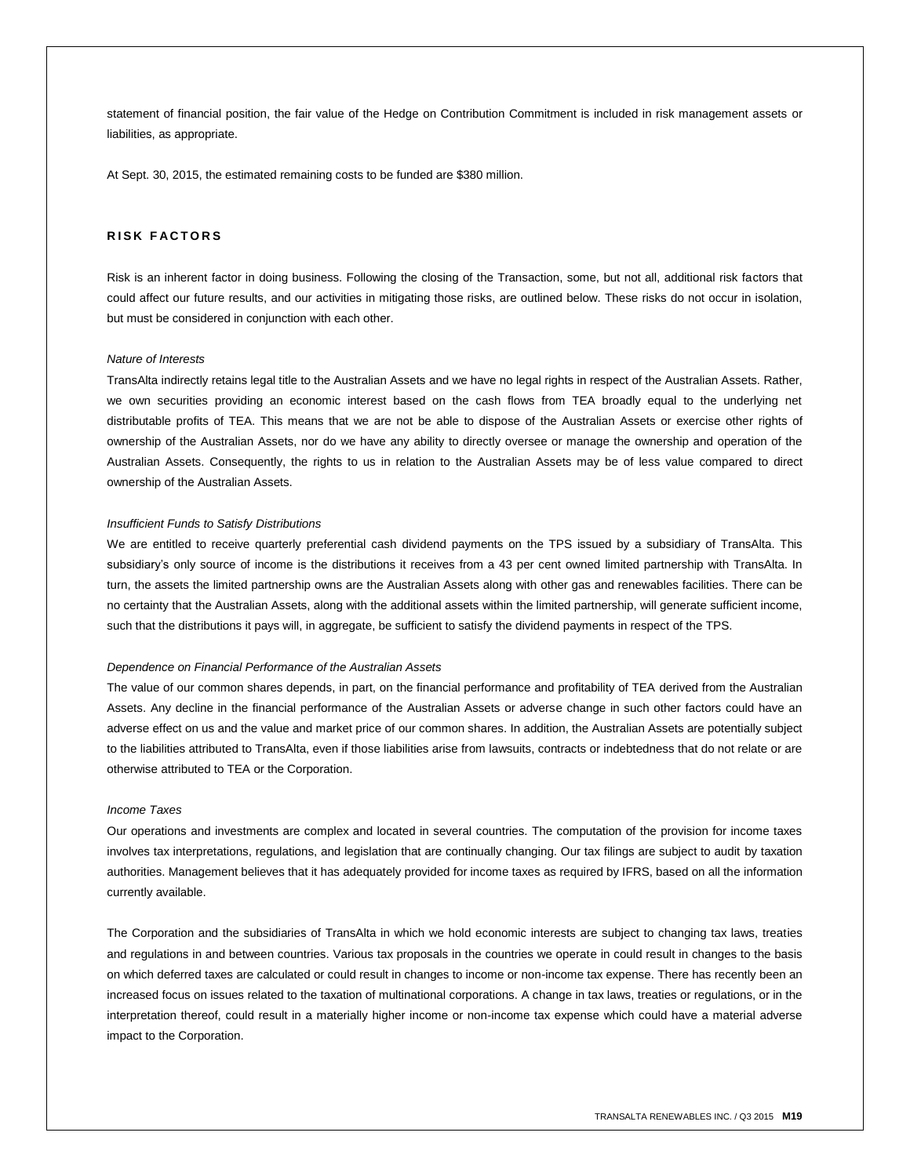statement of financial position, the fair value of the Hedge on Contribution Commitment is included in risk management assets or liabilities, as appropriate.

At Sept. 30, 2015, the estimated remaining costs to be funded are \$380 million.

## **RISK FACTORS**

Risk is an inherent factor in doing business. Following the closing of the Transaction, some, but not all, additional risk factors that could affect our future results, and our activities in mitigating those risks, are outlined below. These risks do not occur in isolation, but must be considered in conjunction with each other.

## *Nature of Interests*

TransAlta indirectly retains legal title to the Australian Assets and we have no legal rights in respect of the Australian Assets. Rather, we own securities providing an economic interest based on the cash flows from TEA broadly equal to the underlying net distributable profits of TEA. This means that we are not be able to dispose of the Australian Assets or exercise other rights of ownership of the Australian Assets, nor do we have any ability to directly oversee or manage the ownership and operation of the Australian Assets. Consequently, the rights to us in relation to the Australian Assets may be of less value compared to direct ownership of the Australian Assets.

#### *Insufficient Funds to Satisfy Distributions*

We are entitled to receive quarterly preferential cash dividend payments on the TPS issued by a subsidiary of TransAlta. This subsidiary's only source of income is the distributions it receives from a 43 per cent owned limited partnership with TransAlta. In turn, the assets the limited partnership owns are the Australian Assets along with other gas and renewables facilities. There can be no certainty that the Australian Assets, along with the additional assets within the limited partnership, will generate sufficient income, such that the distributions it pays will, in aggregate, be sufficient to satisfy the dividend payments in respect of the TPS.

## *Dependence on Financial Performance of the Australian Assets*

The value of our common shares depends, in part, on the financial performance and profitability of TEA derived from the Australian Assets. Any decline in the financial performance of the Australian Assets or adverse change in such other factors could have an adverse effect on us and the value and market price of our common shares. In addition, the Australian Assets are potentially subject to the liabilities attributed to TransAlta, even if those liabilities arise from lawsuits, contracts or indebtedness that do not relate or are otherwise attributed to TEA or the Corporation.

#### *Income Taxes*

Our operations and investments are complex and located in several countries. The computation of the provision for income taxes involves tax interpretations, regulations, and legislation that are continually changing. Our tax filings are subject to audit by taxation authorities. Management believes that it has adequately provided for income taxes as required by IFRS, based on all the information currently available.

The Corporation and the subsidiaries of TransAlta in which we hold economic interests are subject to changing tax laws, treaties and regulations in and between countries. Various tax proposals in the countries we operate in could result in changes to the basis on which deferred taxes are calculated or could result in changes to income or non-income tax expense. There has recently been an increased focus on issues related to the taxation of multinational corporations. A change in tax laws, treaties or regulations, or in the interpretation thereof, could result in a materially higher income or non-income tax expense which could have a material adverse impact to the Corporation.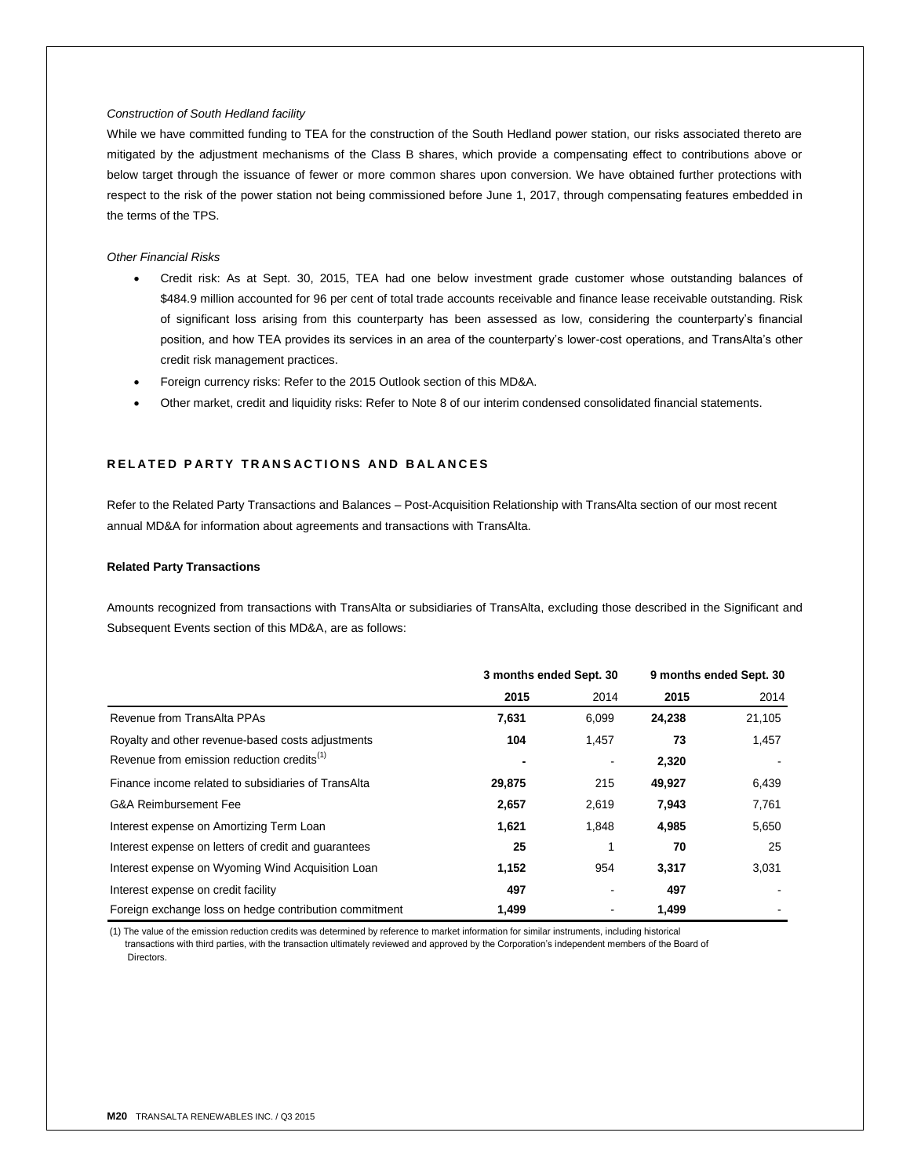## *Construction of South Hedland facility*

While we have committed funding to TEA for the construction of the South Hedland power station, our risks associated thereto are mitigated by the adjustment mechanisms of the Class B shares, which provide a compensating effect to contributions above or below target through the issuance of fewer or more common shares upon conversion. We have obtained further protections with respect to the risk of the power station not being commissioned before June 1, 2017, through compensating features embedded in the terms of the TPS.

## *Other Financial Risks*

- Credit risk: As at Sept. 30, 2015, TEA had one below investment grade customer whose outstanding balances of \$484.9 million accounted for 96 per cent of total trade accounts receivable and finance lease receivable outstanding. Risk of significant loss arising from this counterparty has been assessed as low, considering the counterparty's financial position, and how TEA provides its services in an area of the counterparty's lower-cost operations, and TransAlta's other credit risk management practices.
- Foreign currency risks: Refer to the 2015 Outlook section of this MD&A.
- Other market, credit and liquidity risks: Refer to Note 8 of our interim condensed consolidated financial statements.

# **R E L A T E D P A R T Y T R A N S A C T I O N S A N D B A L A N C E S**

Refer to the Related Party Transactions and Balances – Post-Acquisition Relationship with TransAlta section of our most recent annual MD&A for information about agreements and transactions with TransAlta.

#### **Related Party Transactions**

Amounts recognized from transactions with TransAlta or subsidiaries of TransAlta, excluding those described in the Significant and Subsequent Events section of this MD&A, are as follows:

|                                                        | 3 months ended Sept. 30 |       | 9 months ended Sept. 30 |        |
|--------------------------------------------------------|-------------------------|-------|-------------------------|--------|
|                                                        | 2015                    | 2014  | 2015                    | 2014   |
| Revenue from TransAlta PPAs                            | 7,631                   | 6,099 | 24,238                  | 21,105 |
| Royalty and other revenue-based costs adjustments      | 104                     | 1,457 | 73                      | 1,457  |
| Revenue from emission reduction credits <sup>(1)</sup> |                         |       | 2,320                   |        |
| Finance income related to subsidiaries of TransAlta    | 29,875                  | 215   | 49,927                  | 6,439  |
| G&A Reimbursement Fee                                  | 2,657                   | 2,619 | 7,943                   | 7,761  |
| Interest expense on Amortizing Term Loan               | 1,621                   | 1,848 | 4,985                   | 5,650  |
| Interest expense on letters of credit and quarantees   | 25                      |       | 70                      | 25     |
| Interest expense on Wyoming Wind Acquisition Loan      | 1,152                   | 954   | 3,317                   | 3,031  |
| Interest expense on credit facility                    | 497                     |       | 497                     |        |
| Foreign exchange loss on hedge contribution commitment | 1,499                   |       | 1,499                   |        |

(1) The value of the emission reduction credits was determined by reference to market information for similar instruments, including historical transactions with third parties, with the transaction ultimately reviewed and approved by the Corporation's independent members of the Board of Directors.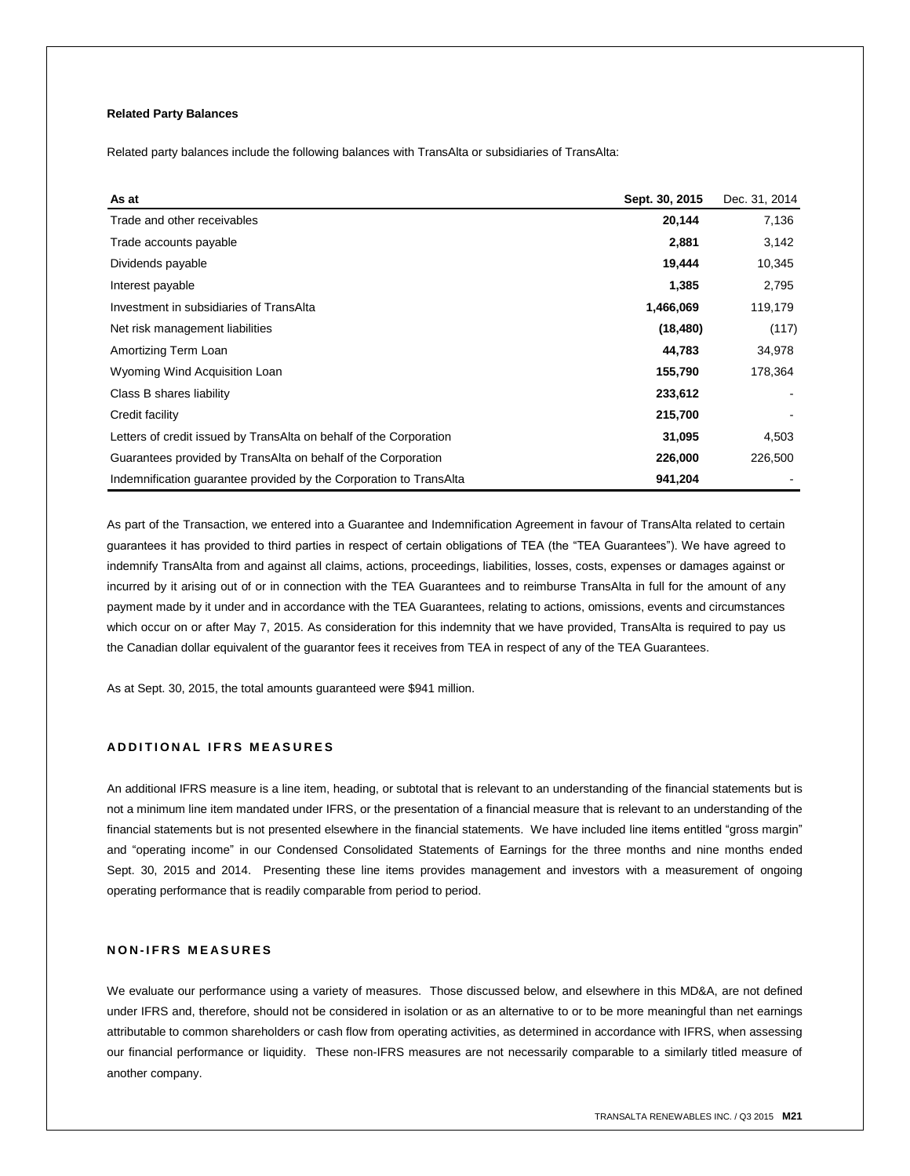## **Related Party Balances**

Related party balances include the following balances with TransAlta or subsidiaries of TransAlta:

| As at                                                              | Sept. 30, 2015 | Dec. 31, 2014 |
|--------------------------------------------------------------------|----------------|---------------|
| Trade and other receivables                                        | 20,144         | 7,136         |
| Trade accounts payable                                             | 2,881          | 3,142         |
| Dividends payable                                                  | 19,444         | 10,345        |
| Interest payable                                                   | 1,385          | 2,795         |
| Investment in subsidiaries of TransAlta                            | 1,466,069      | 119,179       |
| Net risk management liabilities                                    | (18, 480)      | (117)         |
| Amortizing Term Loan                                               | 44,783         | 34,978        |
| Wyoming Wind Acquisition Loan                                      | 155,790        | 178,364       |
| Class B shares liability                                           | 233,612        |               |
| Credit facility                                                    | 215,700        |               |
| Letters of credit issued by TransAlta on behalf of the Corporation | 31,095         | 4,503         |
| Guarantees provided by TransAlta on behalf of the Corporation      | 226,000        | 226,500       |
| Indemnification guarantee provided by the Corporation to TransAlta | 941,204        |               |

As part of the Transaction, we entered into a Guarantee and Indemnification Agreement in favour of TransAlta related to certain guarantees it has provided to third parties in respect of certain obligations of TEA (the "TEA Guarantees"). We have agreed to indemnify TransAlta from and against all claims, actions, proceedings, liabilities, losses, costs, expenses or damages against or incurred by it arising out of or in connection with the TEA Guarantees and to reimburse TransAlta in full for the amount of any payment made by it under and in accordance with the TEA Guarantees, relating to actions, omissions, events and circumstances which occur on or after May 7, 2015. As consideration for this indemnity that we have provided, TransAlta is required to pay us the Canadian dollar equivalent of the guarantor fees it receives from TEA in respect of any of the TEA Guarantees.

As at Sept. 30, 2015, the total amounts guaranteed were \$941 million.

## **A D D I T I O N A L I F R S M E A S U R E S**

An additional IFRS measure is a line item, heading, or subtotal that is relevant to an understanding of the financial statements but is not a minimum line item mandated under IFRS, or the presentation of a financial measure that is relevant to an understanding of the financial statements but is not presented elsewhere in the financial statements. We have included line items entitled "gross margin" and "operating income" in our Condensed Consolidated Statements of Earnings for the three months and nine months ended Sept. 30, 2015 and 2014. Presenting these line items provides management and investors with a measurement of ongoing operating performance that is readily comparable from period to period.

## **N O N - I F R S M E A S U R E S**

We evaluate our performance using a variety of measures. Those discussed below, and elsewhere in this MD&A, are not defined under IFRS and, therefore, should not be considered in isolation or as an alternative to or to be more meaningful than net earnings attributable to common shareholders or cash flow from operating activities, as determined in accordance with IFRS, when assessing our financial performance or liquidity. These non-IFRS measures are not necessarily comparable to a similarly titled measure of another company.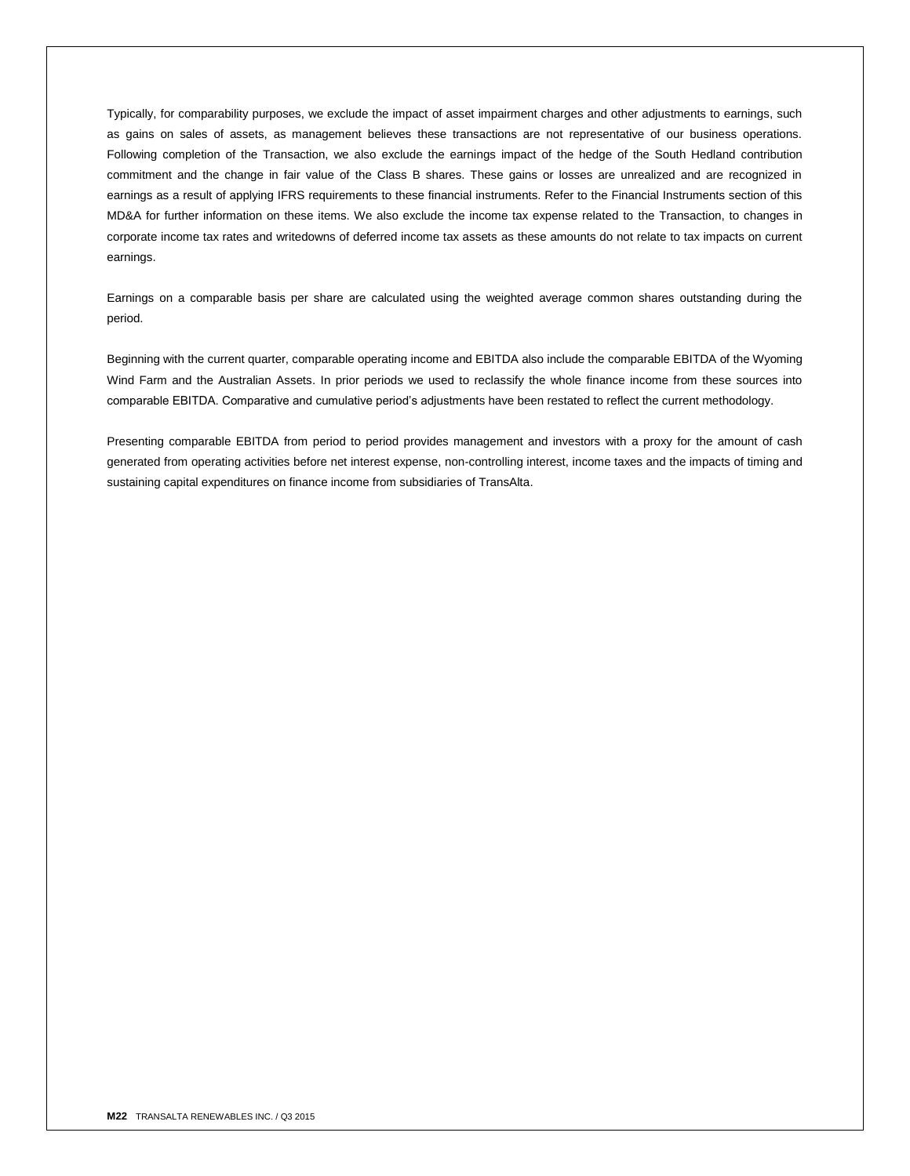Typically, for comparability purposes, we exclude the impact of asset impairment charges and other adjustments to earnings, such as gains on sales of assets, as management believes these transactions are not representative of our business operations. Following completion of the Transaction, we also exclude the earnings impact of the hedge of the South Hedland contribution commitment and the change in fair value of the Class B shares. These gains or losses are unrealized and are recognized in earnings as a result of applying IFRS requirements to these financial instruments. Refer to the Financial Instruments section of this MD&A for further information on these items. We also exclude the income tax expense related to the Transaction, to changes in corporate income tax rates and writedowns of deferred income tax assets as these amounts do not relate to tax impacts on current earnings.

Earnings on a comparable basis per share are calculated using the weighted average common shares outstanding during the period.

Beginning with the current quarter, comparable operating income and EBITDA also include the comparable EBITDA of the Wyoming Wind Farm and the Australian Assets. In prior periods we used to reclassify the whole finance income from these sources into comparable EBITDA. Comparative and cumulative period's adjustments have been restated to reflect the current methodology.

Presenting comparable EBITDA from period to period provides management and investors with a proxy for the amount of cash generated from operating activities before net interest expense, non-controlling interest, income taxes and the impacts of timing and sustaining capital expenditures on finance income from subsidiaries of TransAlta.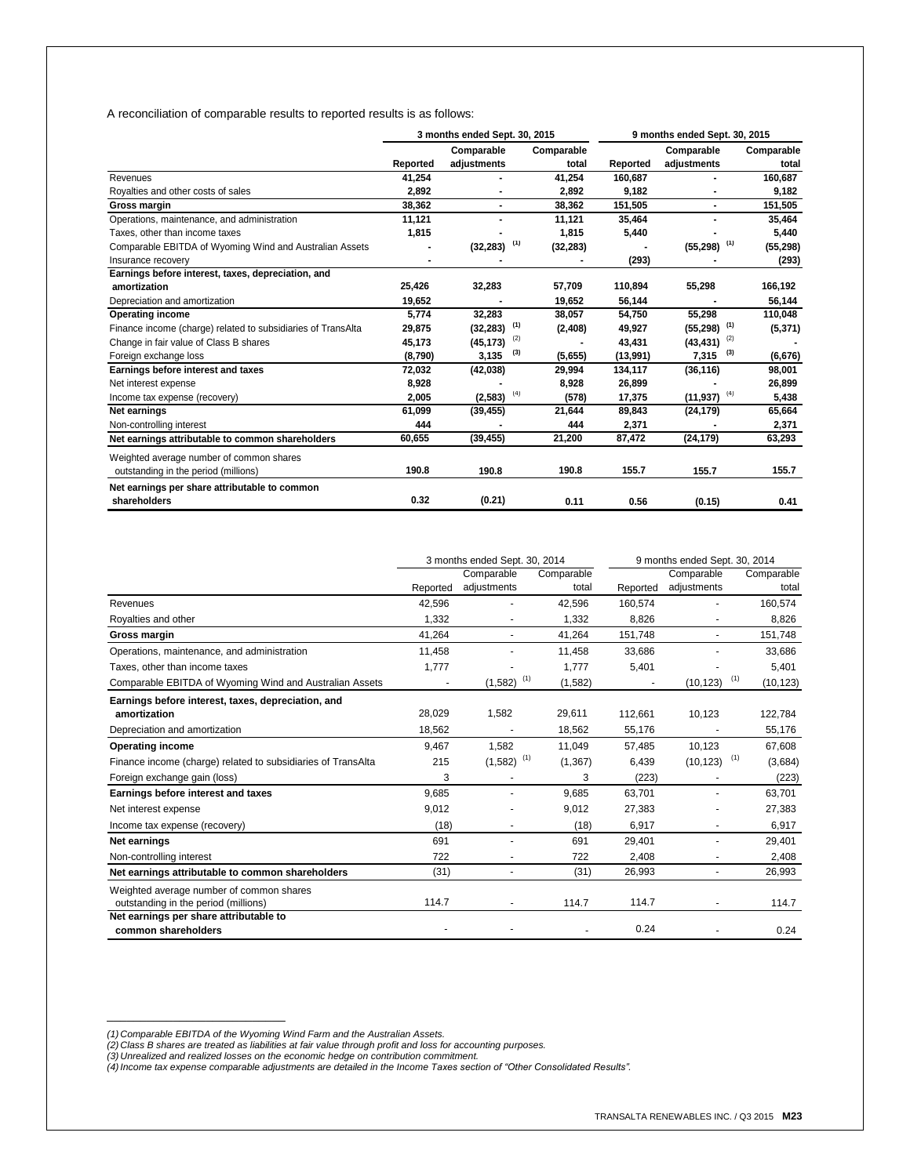A reconciliation of comparable results to reported results is as follows:

|                                                              | 3 months ended Sept. 30, 2015 |                            |                     | 9 months ended Sept. 30, 2015 |                           |                     |
|--------------------------------------------------------------|-------------------------------|----------------------------|---------------------|-------------------------------|---------------------------|---------------------|
|                                                              | Reported                      | Comparable<br>adjustments  | Comparable<br>total | Reported                      | Comparable<br>adjustments | Comparable<br>total |
| Revenues                                                     | 41,254                        |                            | 41.254              | 160.687                       |                           | 160,687             |
| Royalties and other costs of sales                           | 2,892                         |                            | 2,892               | 9,182                         |                           | 9,182               |
| Gross margin                                                 | 38,362                        | $\blacksquare$             | 38,362              | 151,505                       | $\blacksquare$            | 151,505             |
| Operations, maintenance, and administration                  | 11,121                        |                            | 11,121              | 35,464                        |                           | 35,464              |
| Taxes, other than income taxes                               | 1,815                         |                            | 1,815               | 5,440                         |                           | 5,440               |
| Comparable EBITDA of Wyoming Wind and Australian Assets      |                               | $(32, 283)$ <sup>(1)</sup> | (32, 283)           |                               | $(55,298)$ <sup>(1)</sup> | (55, 298)           |
| Insurance recovery                                           |                               |                            |                     | (293)                         |                           | (293)               |
| Earnings before interest, taxes, depreciation, and           |                               |                            |                     |                               |                           |                     |
| amortization                                                 | 25,426                        | 32,283                     | 57,709              | 110,894                       | 55,298                    | 166,192             |
| Depreciation and amortization                                | 19,652                        |                            | 19,652              | 56,144                        |                           | 56,144              |
| <b>Operating income</b>                                      | 5,774                         | 32,283                     | 38,057              | 54,750                        | 55,298                    | 110,048             |
| Finance income (charge) related to subsidiaries of TransAlta | 29,875                        | $(32, 283)$ <sup>(1)</sup> | (2, 408)            | 49,927                        | $(55,298)$ <sup>(1)</sup> | (5, 371)            |
| Change in fair value of Class B shares                       | 45,173                        | (2)<br>(45, 173)           |                     | 43,431                        | (2)<br>(43, 431)          |                     |
| Foreign exchange loss                                        | (8,790)                       | (3)<br>3,135               | (5,655)             | (13,991)                      | (3)<br>7,315              | (6, 676)            |
| Earnings before interest and taxes                           | 72,032                        | (42, 038)                  | 29,994              | 134,117                       | (36, 116)                 | 98,001              |
| Net interest expense                                         | 8,928                         |                            | 8,928               | 26,899                        |                           | 26,899              |
| Income tax expense (recovery)                                | 2,005                         | (4)<br>(2, 583)            | (578)               | 17,375                        | (4)<br>(11, 937)          | 5,438               |
| Net earnings                                                 | 61,099                        | (39, 455)                  | 21,644              | 89,843                        | (24, 179)                 | 65,664              |
| Non-controlling interest                                     | 444                           |                            | 444                 | 2,371                         |                           | 2,371               |
| Net earnings attributable to common shareholders             | 60,655                        | (39, 455)                  | 21,200              | 87,472                        | (24, 179)                 | 63,293              |
| Weighted average number of common shares                     |                               |                            |                     |                               |                           |                     |
| outstanding in the period (millions)                         | 190.8                         | 190.8                      | 190.8               | 155.7                         | 155.7                     | 155.7               |
| Net earnings per share attributable to common                |                               |                            |                     |                               |                           |                     |
| shareholders                                                 | 0.32                          | (0.21)                     | 0.11                | 0.56                          | (0.15)                    | 0.41                |

|                                                              |          | 3 months ended Sept. 30, 2014 |            |          | 9 months ended Sept. 30, 2014 |            |
|--------------------------------------------------------------|----------|-------------------------------|------------|----------|-------------------------------|------------|
|                                                              |          | Comparable                    | Comparable |          | Comparable                    | Comparable |
|                                                              | Reported | adjustments                   | total      | Reported | adjustments                   | total      |
| Revenues                                                     | 42,596   |                               | 42,596     | 160,574  |                               | 160,574    |
| Royalties and other                                          | 1,332    |                               | 1,332      | 8,826    |                               | 8,826      |
| Gross margin                                                 | 41,264   | ۰                             | 41,264     | 151,748  |                               | 151,748    |
| Operations, maintenance, and administration                  | 11,458   |                               | 11,458     | 33,686   |                               | 33,686     |
| Taxes, other than income taxes                               | 1,777    |                               | 1,777      | 5,401    |                               | 5,401      |
| Comparable EBITDA of Wyoming Wind and Australian Assets      |          | $(1,582)$ <sup>(1)</sup>      | (1, 582)   |          | (1)<br>(10, 123)              | (10, 123)  |
| Earnings before interest, taxes, depreciation, and           |          |                               |            |          |                               |            |
| amortization                                                 | 28,029   | 1,582                         | 29,611     | 112,661  | 10,123                        | 122,784    |
| Depreciation and amortization                                | 18,562   |                               | 18,562     | 55,176   |                               | 55,176     |
| <b>Operating income</b>                                      | 9,467    | 1,582                         | 11,049     | 57,485   | 10,123                        | 67,608     |
| Finance income (charge) related to subsidiaries of TransAlta | 215      | $(1,582)$ <sup>(1)</sup>      | (1, 367)   | 6,439    | $(10, 123)$ <sup>(1)</sup>    | (3,684)    |
| Foreign exchange gain (loss)                                 | 3        |                               | 3          | (223)    |                               | (223)      |
| Earnings before interest and taxes                           | 9,685    |                               | 9,685      | 63,701   |                               | 63,701     |
| Net interest expense                                         | 9,012    |                               | 9,012      | 27,383   |                               | 27,383     |
| Income tax expense (recovery)                                | (18)     |                               | (18)       | 6,917    |                               | 6,917      |
| Net earnings                                                 | 691      |                               | 691        | 29,401   |                               | 29,401     |
| Non-controlling interest                                     | 722      | ۰                             | 722        | 2,408    |                               | 2,408      |
| Net earnings attributable to common shareholders             | (31)     | ٠                             | (31)       | 26,993   | $\blacksquare$                | 26,993     |
| Weighted average number of common shares                     |          |                               |            |          |                               |            |
| outstanding in the period (millions)                         | 114.7    |                               | 114.7      | 114.7    |                               | 114.7      |
| Net earnings per share attributable to                       |          |                               |            |          |                               |            |
| common shareholders                                          |          |                               |            | 0.24     |                               | 0.24       |

\_\_\_\_\_\_\_\_\_\_\_\_\_\_\_\_\_\_\_\_\_\_\_\_\_\_\_

<sup>(1)</sup> Comparable EBITDA of the Wyoming Wind Farm and the Australian Assets.<br>(2) Class B shares are treated as liabilities at fair value through profit and loss for accounting purposes.<br>(3) Unrealized and realized losses on t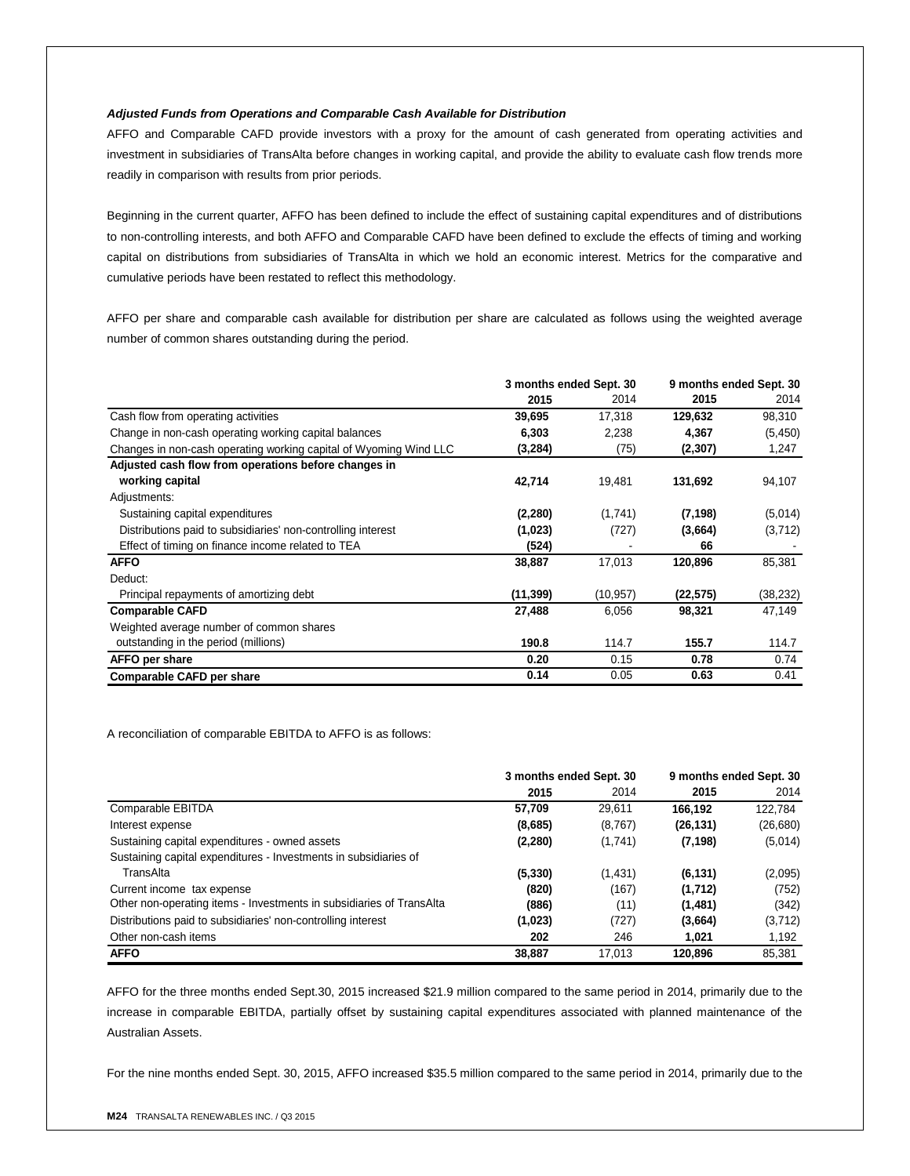## *Adjusted Funds from Operations and Comparable Cash Available for Distribution*

AFFO and Comparable CAFD provide investors with a proxy for the amount of cash generated from operating activities and investment in subsidiaries of TransAlta before changes in working capital, and provide the ability to evaluate cash flow trends more readily in comparison with results from prior periods.

Beginning in the current quarter, AFFO has been defined to include the effect of sustaining capital expenditures and of distributions to non-controlling interests, and both AFFO and Comparable CAFD have been defined to exclude the effects of timing and working capital on distributions from subsidiaries of TransAlta in which we hold an economic interest. Metrics for the comparative and cumulative periods have been restated to reflect this methodology.

AFFO per share and comparable cash available for distribution per share are calculated as follows using the weighted average number of common shares outstanding during the period.

|                                                                   | 3 months ended Sept. 30 |          | 9 months ended Sept. 30 |           |
|-------------------------------------------------------------------|-------------------------|----------|-------------------------|-----------|
|                                                                   | 2015                    | 2014     | 2015                    | 2014      |
| Cash flow from operating activities                               | 39,695                  | 17,318   | 129,632                 | 98,310    |
| Change in non-cash operating working capital balances             | 6,303                   | 2,238    | 4,367                   | (5, 450)  |
| Changes in non-cash operating working capital of Wyoming Wind LLC | (3, 284)                | (75)     | (2, 307)                | 1,247     |
| Adjusted cash flow from operations before changes in              |                         |          |                         |           |
| working capital                                                   | 42,714                  | 19,481   | 131,692                 | 94,107    |
| Adjustments:                                                      |                         |          |                         |           |
| Sustaining capital expenditures                                   | (2, 280)                | (1,741)  | (7, 198)                | (5,014)   |
| Distributions paid to subsidiaries' non-controlling interest      | (1,023)                 | (727)    | (3,664)                 | (3,712)   |
| Effect of timing on finance income related to TEA                 | (524)                   |          | 66                      |           |
| <b>AFFO</b>                                                       | 38,887                  | 17,013   | 120,896                 | 85,381    |
| Deduct:                                                           |                         |          |                         |           |
| Principal repayments of amortizing debt                           | (11,399)                | (10,957) | (22,575)                | (38, 232) |
| <b>Comparable CAFD</b>                                            | 27,488                  | 6,056    | 98,321                  | 47,149    |
| Weighted average number of common shares                          |                         |          |                         |           |
| outstanding in the period (millions)                              | 190.8                   | 114.7    | 155.7                   | 114.7     |
| AFFO per share                                                    | 0.20                    | 0.15     | 0.78                    | 0.74      |
| <b>Comparable CAFD per share</b>                                  | 0.14                    | 0.05     | 0.63                    | 0.41      |

A reconciliation of comparable EBITDA to AFFO is as follows:

|                                                                      | 3 months ended Sept. 30 |         |           | 9 months ended Sept. 30 |
|----------------------------------------------------------------------|-------------------------|---------|-----------|-------------------------|
|                                                                      | 2015                    | 2014    | 2015      | 2014                    |
| Comparable EBITDA                                                    | 57.709                  | 29,611  | 166.192   | 122.784                 |
| Interest expense                                                     | (8,685)                 | (8,767) | (26, 131) | (26, 680)               |
| Sustaining capital expenditures - owned assets                       | (2, 280)                | (1,741) | (7, 198)  | (5,014)                 |
| Sustaining capital expenditures - Investments in subsidiaries of     |                         |         |           |                         |
| TransAlta                                                            | (5, 330)                | (1,431) | (6, 131)  | (2,095)                 |
| Current income tax expense                                           | (820)                   | (167)   | (1,712)   | (752)                   |
| Other non-operating items - Investments in subsidiaries of TransAlta | (886)                   | (11)    | (1,481)   | (342)                   |
| Distributions paid to subsidiaries' non-controlling interest         | (1,023)                 | (727)   | (3,664)   | (3,712)                 |
| Other non-cash items                                                 | 202                     | 246     | 1.021     | 1,192                   |
| <b>AFFO</b>                                                          | 38,887                  | 17.013  | 120,896   | 85,381                  |

AFFO for the three months ended Sept.30, 2015 increased \$21.9 million compared to the same period in 2014, primarily due to the increase in comparable EBITDA, partially offset by sustaining capital expenditures associated with planned maintenance of the Australian Assets.

For the nine months ended Sept. 30, 2015, AFFO increased \$35.5 million compared to the same period in 2014, primarily due to the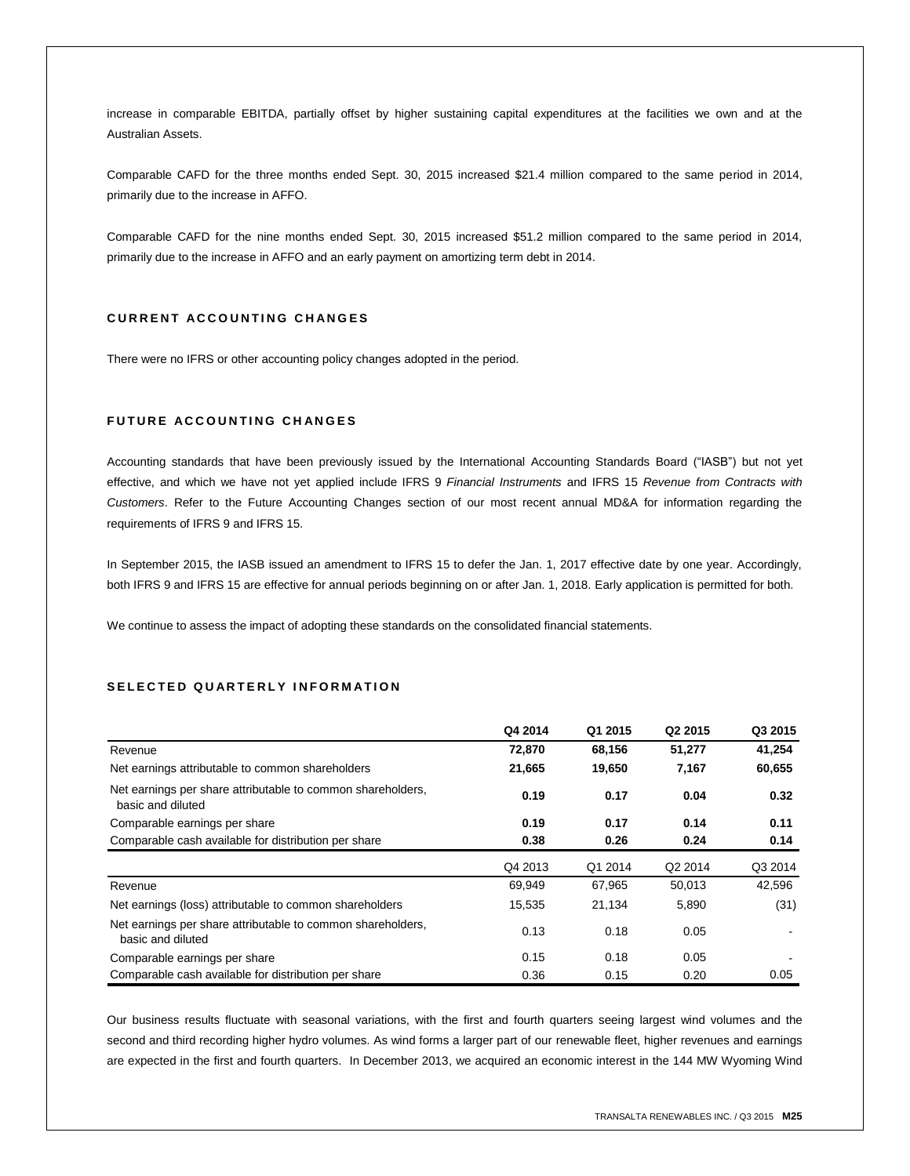increase in comparable EBITDA, partially offset by higher sustaining capital expenditures at the facilities we own and at the Australian Assets.

Comparable CAFD for the three months ended Sept. 30, 2015 increased \$21.4 million compared to the same period in 2014, primarily due to the increase in AFFO.

Comparable CAFD for the nine months ended Sept. 30, 2015 increased \$51.2 million compared to the same period in 2014, primarily due to the increase in AFFO and an early payment on amortizing term debt in 2014.

# **C U R R E N T A C C O U N T I N G C H A N G E S**

There were no IFRS or other accounting policy changes adopted in the period.

# **FUTURE ACCOUNTING CHANGES**

Accounting standards that have been previously issued by the International Accounting Standards Board ("IASB") but not yet effective, and which we have not yet applied include IFRS 9 *Financial Instruments* and IFRS 15 *Revenue from Contracts with Customers*. Refer to the Future Accounting Changes section of our most recent annual MD&A for information regarding the requirements of IFRS 9 and IFRS 15.

In September 2015, the IASB issued an amendment to IFRS 15 to defer the Jan. 1, 2017 effective date by one year. Accordingly, both IFRS 9 and IFRS 15 are effective for annual periods beginning on or after Jan. 1, 2018. Early application is permitted for both.

We continue to assess the impact of adopting these standards on the consolidated financial statements.

# SELECTED QUARTERLY INFORMATION

|                                                                                  | Q4 2014 | Q1 2015 | Q <sub>2</sub> 2015 | Q3 2015 |
|----------------------------------------------------------------------------------|---------|---------|---------------------|---------|
| Revenue                                                                          | 72,870  | 68,156  | 51,277              | 41,254  |
| Net earnings attributable to common shareholders                                 | 21,665  | 19,650  | 7,167               | 60,655  |
| Net earnings per share attributable to common shareholders,<br>basic and diluted | 0.19    | 0.17    | 0.04                | 0.32    |
| Comparable earnings per share                                                    | 0.19    | 0.17    | 0.14                | 0.11    |
| Comparable cash available for distribution per share                             | 0.38    | 0.26    | 0.24                | 0.14    |
|                                                                                  | Q4 2013 | Q1 2014 | Q2 2014             | Q3 2014 |
| Revenue                                                                          | 69,949  | 67,965  | 50,013              | 42,596  |
| Net earnings (loss) attributable to common shareholders                          | 15,535  | 21,134  | 5,890               | (31)    |
| Net earnings per share attributable to common shareholders,<br>basic and diluted | 0.13    | 0.18    | 0.05                |         |
| Comparable earnings per share                                                    | 0.15    | 0.18    | 0.05                |         |
| Comparable cash available for distribution per share                             | 0.36    | 0.15    | 0.20                | 0.05    |

Our business results fluctuate with seasonal variations, with the first and fourth quarters seeing largest wind volumes and the second and third recording higher hydro volumes. As wind forms a larger part of our renewable fleet, higher revenues and earnings are expected in the first and fourth quarters. In December 2013, we acquired an economic interest in the 144 MW Wyoming Wind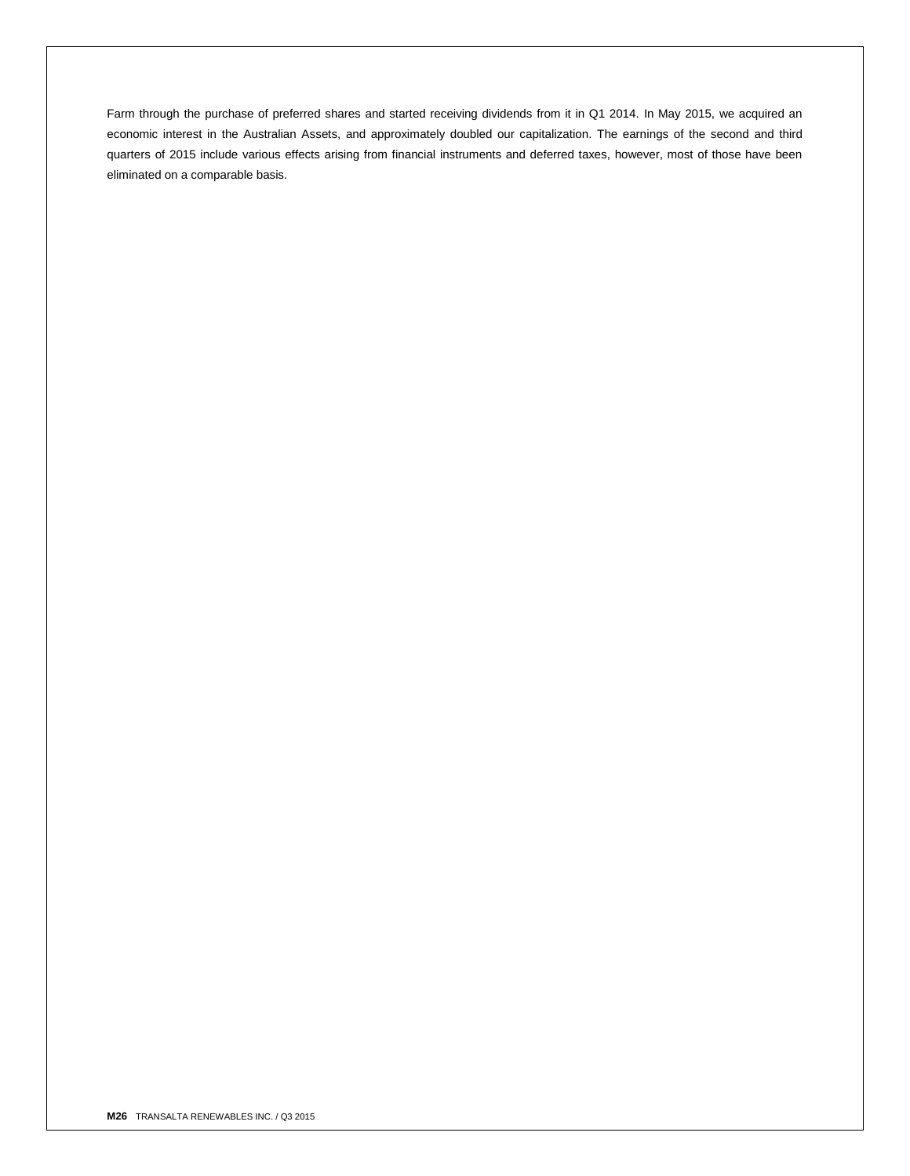Farm through the purchase of preferred shares and started receiving dividends from it in Q1 2014. In May 2015, we acquired an economic interest in the Australian Assets, and approximately doubled our capitalization. The earnings of the second and third quarters of 2015 include various effects arising from financial instruments and deferred taxes, however, most of those have been eliminated on a comparable basis.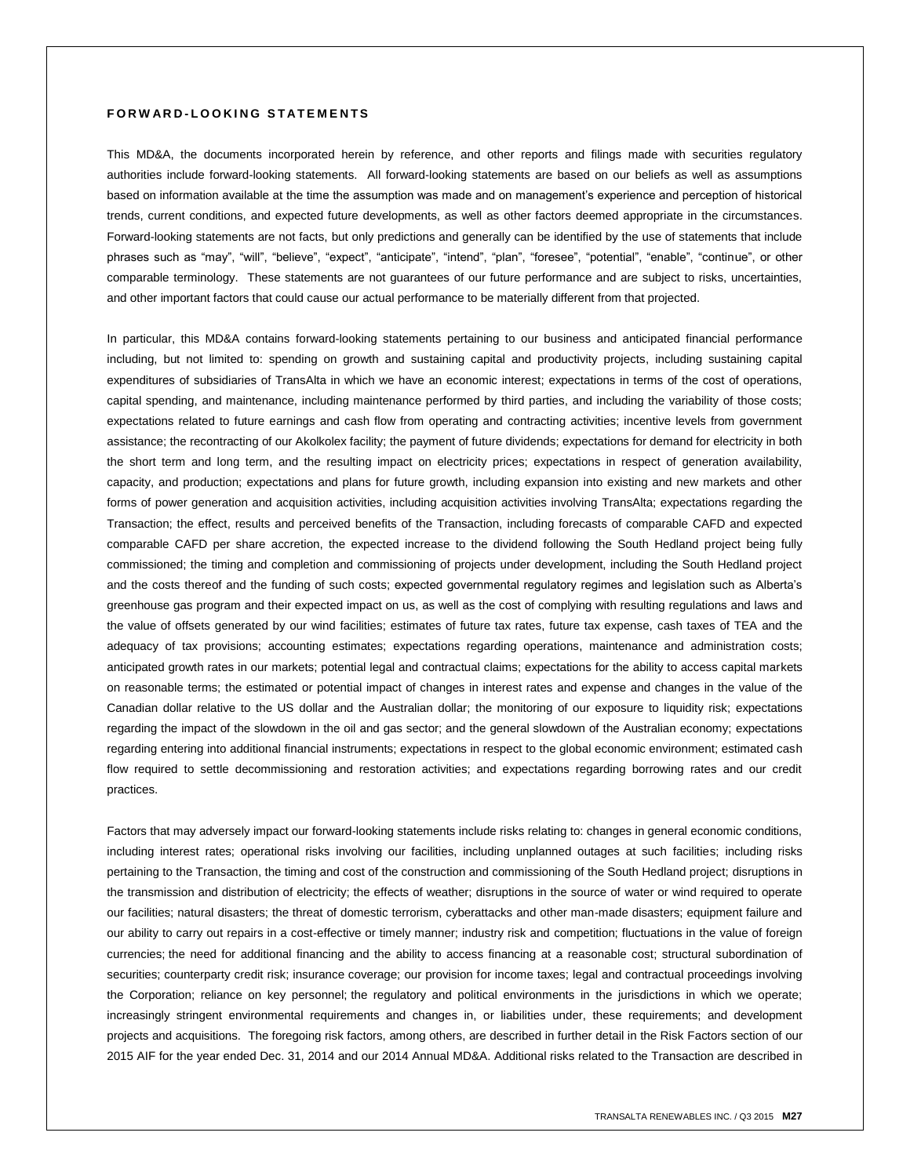# **F O R W A R D - L O O K I N G S T A T E M E N T S**

This MD&A, the documents incorporated herein by reference, and other reports and filings made with securities regulatory authorities include forward-looking statements. All forward-looking statements are based on our beliefs as well as assumptions based on information available at the time the assumption was made and on management's experience and perception of historical trends, current conditions, and expected future developments, as well as other factors deemed appropriate in the circumstances. Forward-looking statements are not facts, but only predictions and generally can be identified by the use of statements that include phrases such as "may", "will", "believe", "expect", "anticipate", "intend", "plan", "foresee", "potential", "enable", "continue", or other comparable terminology. These statements are not guarantees of our future performance and are subject to risks, uncertainties, and other important factors that could cause our actual performance to be materially different from that projected.

In particular, this MD&A contains forward-looking statements pertaining to our business and anticipated financial performance including, but not limited to: spending on growth and sustaining capital and productivity projects, including sustaining capital expenditures of subsidiaries of TransAlta in which we have an economic interest; expectations in terms of the cost of operations, capital spending, and maintenance, including maintenance performed by third parties, and including the variability of those costs; expectations related to future earnings and cash flow from operating and contracting activities; incentive levels from government assistance; the recontracting of our Akolkolex facility; the payment of future dividends; expectations for demand for electricity in both the short term and long term, and the resulting impact on electricity prices; expectations in respect of generation availability, capacity, and production; expectations and plans for future growth, including expansion into existing and new markets and other forms of power generation and acquisition activities, including acquisition activities involving TransAlta; expectations regarding the Transaction; the effect, results and perceived benefits of the Transaction, including forecasts of comparable CAFD and expected comparable CAFD per share accretion, the expected increase to the dividend following the South Hedland project being fully commissioned; the timing and completion and commissioning of projects under development, including the South Hedland project and the costs thereof and the funding of such costs; expected governmental regulatory regimes and legislation such as Alberta's greenhouse gas program and their expected impact on us, as well as the cost of complying with resulting regulations and laws and the value of offsets generated by our wind facilities; estimates of future tax rates, future tax expense, cash taxes of TEA and the adequacy of tax provisions; accounting estimates; expectations regarding operations, maintenance and administration costs; anticipated growth rates in our markets; potential legal and contractual claims; expectations for the ability to access capital markets on reasonable terms; the estimated or potential impact of changes in interest rates and expense and changes in the value of the Canadian dollar relative to the US dollar and the Australian dollar; the monitoring of our exposure to liquidity risk; expectations regarding the impact of the slowdown in the oil and gas sector; and the general slowdown of the Australian economy; expectations regarding entering into additional financial instruments; expectations in respect to the global economic environment; estimated cash flow required to settle decommissioning and restoration activities; and expectations regarding borrowing rates and our credit practices.

Factors that may adversely impact our forward-looking statements include risks relating to: changes in general economic conditions, including interest rates; operational risks involving our facilities, including unplanned outages at such facilities; including risks pertaining to the Transaction, the timing and cost of the construction and commissioning of the South Hedland project; disruptions in the transmission and distribution of electricity; the effects of weather; disruptions in the source of water or wind required to operate our facilities; natural disasters; the threat of domestic terrorism, cyberattacks and other man-made disasters; equipment failure and our ability to carry out repairs in a cost-effective or timely manner; industry risk and competition; fluctuations in the value of foreign currencies; the need for additional financing and the ability to access financing at a reasonable cost; structural subordination of securities; counterparty credit risk; insurance coverage; our provision for income taxes; legal and contractual proceedings involving the Corporation; reliance on key personnel; the regulatory and political environments in the jurisdictions in which we operate; increasingly stringent environmental requirements and changes in, or liabilities under, these requirements; and development projects and acquisitions. The foregoing risk factors, among others, are described in further detail in the Risk Factors section of our 2015 AIF for the year ended Dec. 31, 2014 and our 2014 Annual MD&A. Additional risks related to the Transaction are described in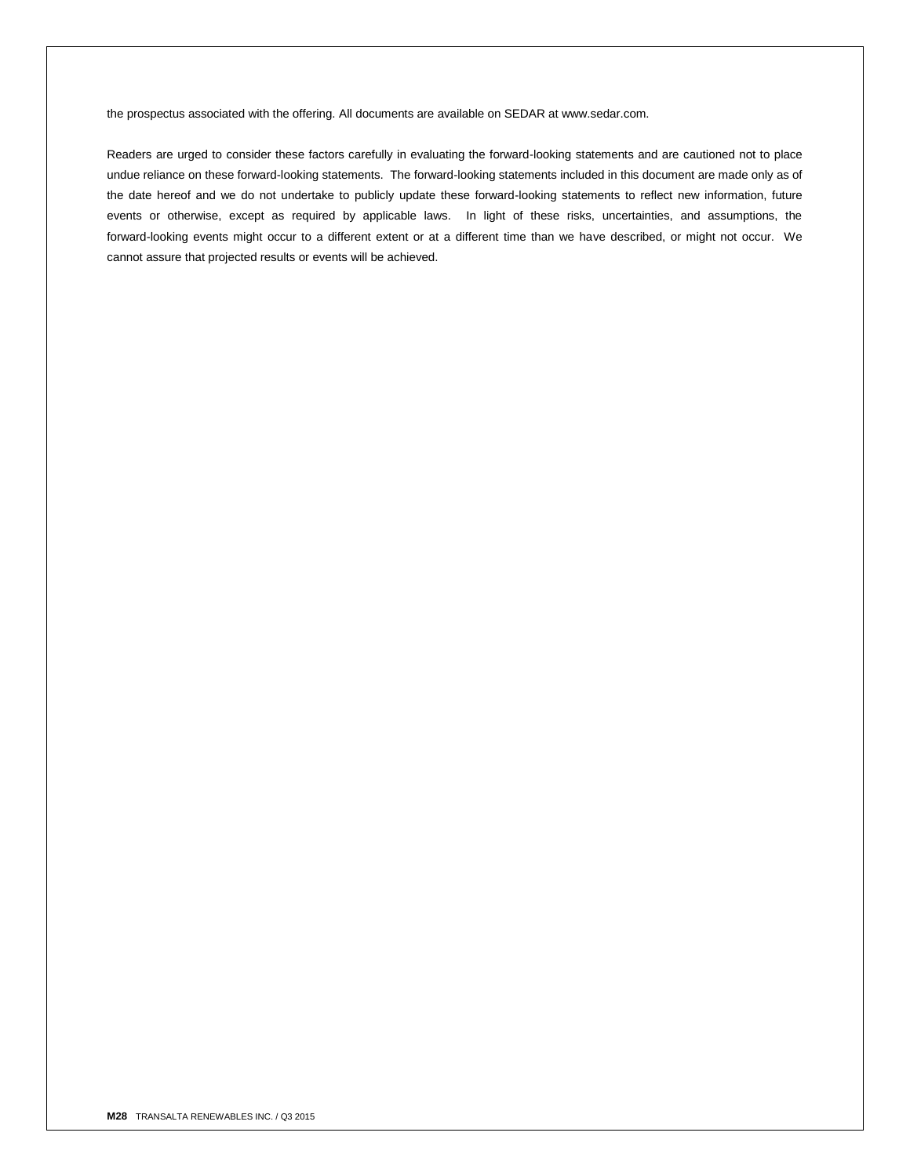the prospectus associated with the offering. All documents are available on SEDAR at www.sedar.com.

Readers are urged to consider these factors carefully in evaluating the forward-looking statements and are cautioned not to place undue reliance on these forward-looking statements. The forward-looking statements included in this document are made only as of the date hereof and we do not undertake to publicly update these forward-looking statements to reflect new information, future events or otherwise, except as required by applicable laws. In light of these risks, uncertainties, and assumptions, the forward-looking events might occur to a different extent or at a different time than we have described, or might not occur. We cannot assure that projected results or events will be achieved.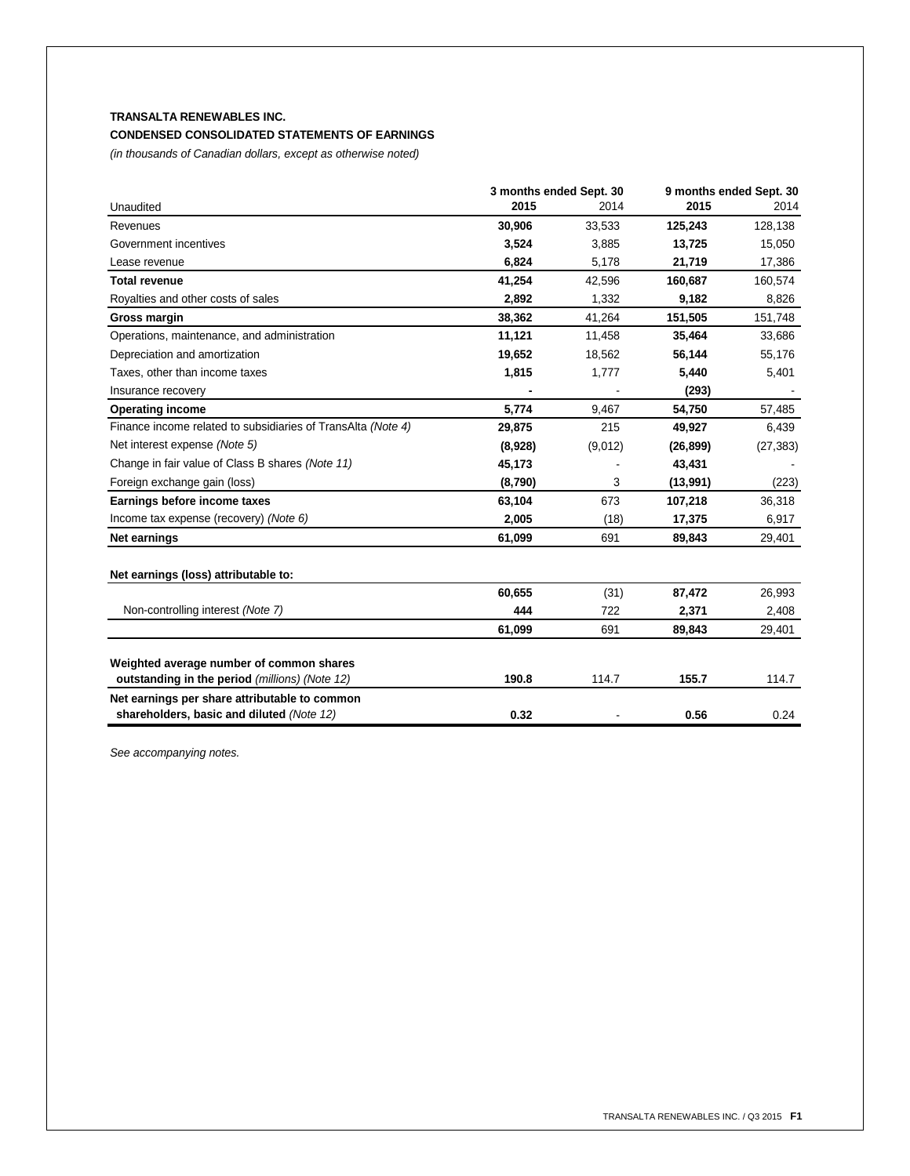# **TRANSALTA RENEWABLES INC. CONDENSED CONSOLIDATED STATEMENTS OF EARNINGS**

*(in thousands of Canadian dollars, except as otherwise noted)*

|                                                              | 3 months ended Sept. 30 |         | 9 months ended Sept. 30 |           |
|--------------------------------------------------------------|-------------------------|---------|-------------------------|-----------|
| Unaudited                                                    | 2015                    | 2014    | 2015                    | 2014      |
| Revenues                                                     | 30,906                  | 33,533  | 125,243                 | 128,138   |
| Government incentives                                        | 3,524                   | 3,885   | 13,725                  | 15,050    |
| Lease revenue                                                | 6,824                   | 5,178   | 21,719                  | 17,386    |
| <b>Total revenue</b>                                         | 41,254                  | 42,596  | 160,687                 | 160,574   |
| Royalties and other costs of sales                           | 2,892                   | 1,332   | 9,182                   | 8,826     |
| <b>Gross margin</b>                                          | 38,362                  | 41,264  | 151,505                 | 151,748   |
| Operations, maintenance, and administration                  | 11,121                  | 11,458  | 35,464                  | 33,686    |
| Depreciation and amortization                                | 19,652                  | 18,562  | 56,144                  | 55,176    |
| Taxes, other than income taxes                               | 1,815                   | 1,777   | 5,440                   | 5,401     |
| Insurance recovery                                           |                         |         | (293)                   |           |
| <b>Operating income</b>                                      | 5,774                   | 9,467   | 54,750                  | 57,485    |
| Finance income related to subsidiaries of TransAlta (Note 4) | 29,875                  | 215     | 49,927                  | 6,439     |
| Net interest expense (Note 5)                                | (8,928)                 | (9,012) | (26, 899)               | (27, 383) |
| Change in fair value of Class B shares (Note 11)             | 45,173                  |         | 43,431                  |           |
| Foreign exchange gain (loss)                                 | (8,790)                 | 3       | (13,991)                | (223)     |
| Earnings before income taxes                                 | 63,104                  | 673     | 107,218                 | 36,318    |
| Income tax expense (recovery) (Note 6)                       | 2,005                   | (18)    | 17,375                  | 6,917     |
| Net earnings                                                 | 61,099                  | 691     | 89,843                  | 29,401    |
| Net earnings (loss) attributable to:                         |                         |         |                         |           |
|                                                              | 60,655                  | (31)    | 87,472                  | 26,993    |
| Non-controlling interest (Note 7)                            | 444                     | 722     | 2,371                   | 2,408     |
|                                                              | 61,099                  | 691     | 89,843                  | 29,401    |
| Weighted average number of common shares                     |                         |         |                         |           |
| outstanding in the period (millions) (Note 12)               | 190.8                   | 114.7   | 155.7                   | 114.7     |
| Net earnings per share attributable to common                |                         |         |                         |           |
| shareholders, basic and diluted (Note 12)                    | 0.32                    |         | 0.56                    | 0.24      |

*See accompanying notes.*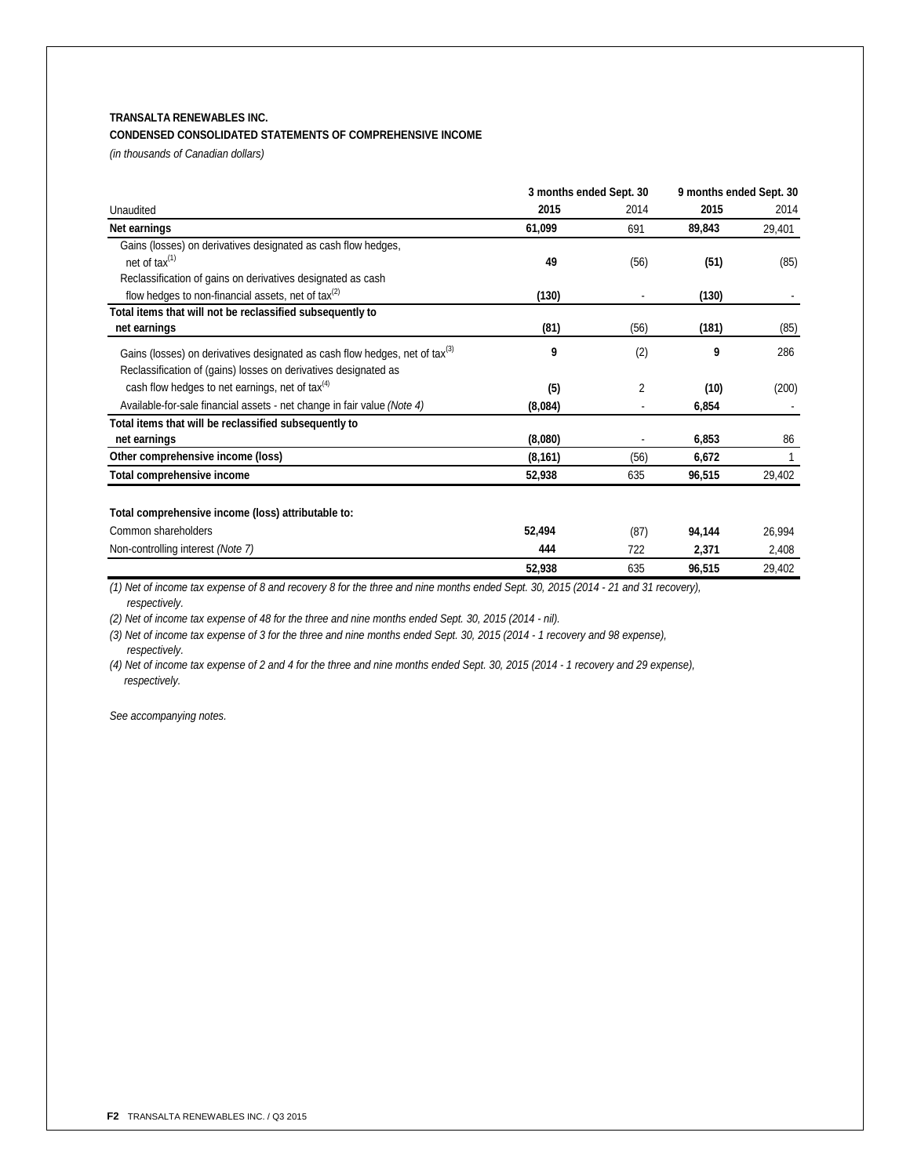# **TRANSALTA RENEWABLES INC.**

# **CONDENSED CONSOLIDATED STATEMENTS OF COMPREHENSIVE INCOME**

*(in thousands of Canadian dollars)*

|                                                                                         | 3 months ended Sept. 30 |      | 9 months ended Sept. 30 |        |
|-----------------------------------------------------------------------------------------|-------------------------|------|-------------------------|--------|
| Unaudited                                                                               | 2015                    | 2014 | 2015                    | 2014   |
| Net earnings                                                                            | 61,099                  | 691  | 89,843                  | 29,401 |
| Gains (losses) on derivatives designated as cash flow hedges,                           |                         |      |                         |        |
| net of $tax^{(1)}$                                                                      | 49                      | (56) | (51)                    | (85)   |
| Reclassification of gains on derivatives designated as cash                             |                         |      |                         |        |
| flow hedges to non-financial assets, net of $\text{tax}^{(2)}$                          | (130)                   |      | (130)                   |        |
| Total items that will not be reclassified subsequently to                               |                         |      |                         |        |
| net earnings                                                                            | (81)                    | (56) | (181)                   | (85)   |
| Gains (losses) on derivatives designated as cash flow hedges, net of tax <sup>(3)</sup> | 9                       | (2)  | 9                       | 286    |
| Reclassification of (gains) losses on derivatives designated as                         |                         |      |                         |        |
| cash flow hedges to net earnings, net of $\text{tax}^{(4)}$                             | (5)                     | 2    | (10)                    | (200)  |
| Available-for-sale financial assets - net change in fair value (Note 4)                 | (8,084)                 |      | 6,854                   |        |
| Total items that will be reclassified subsequently to                                   |                         |      |                         |        |
| net earnings                                                                            | (8,080)                 |      | 6,853                   | 86     |
| Other comprehensive income (loss)                                                       | (8, 161)                | (56) | 6,672                   |        |
| Total comprehensive income                                                              | 52,938                  | 635  | 96,515                  | 29,402 |
| Total comprehensive income (loss) attributable to:                                      |                         |      |                         |        |
|                                                                                         |                         |      |                         |        |
| Common shareholders                                                                     | 52,494                  | (87) | 94,144                  | 26,994 |
| Non-controlling interest (Note 7)                                                       | 444                     | 722  | 2,371                   | 2,408  |
|                                                                                         | 52,938                  | 635  | 96,515                  | 29,402 |

*(1) Net of income tax expense of 8 and recovery 8 for the three and nine months ended Sept. 30, 2015 (2014 - 21 and 31 recovery), respectively.*

*(2) Net of income tax expense of 48 for the three and nine months ended Sept. 30, 2015 (2014 - nil).*

*(3) Net of income tax expense of 3 for the three and nine months ended Sept. 30, 2015 (2014 - 1 recovery and 98 expense), respectively.*

*(4) Net of income tax expense of 2 and 4 for the three and nine months ended Sept. 30, 2015 (2014 - 1 recovery and 29 expense), respectively.*

*See accompanying notes.*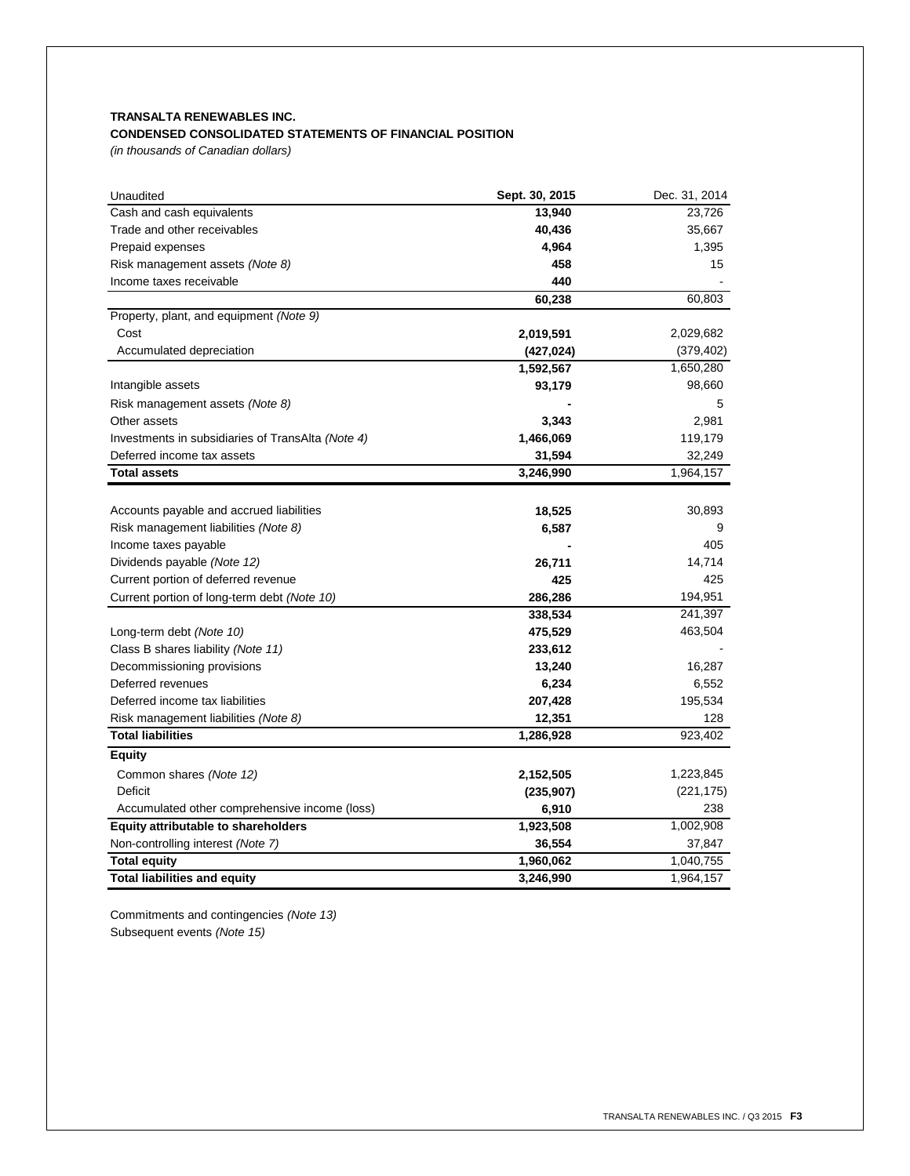# **TRANSALTA RENEWABLES INC. CONDENSED CONSOLIDATED STATEMENTS OF FINANCIAL POSITION**

*(in thousands of Canadian dollars)*

| Unaudited                                         | Sept. 30, 2015 | Dec. 31, 2014 |
|---------------------------------------------------|----------------|---------------|
| Cash and cash equivalents                         | 13,940         | 23,726        |
| Trade and other receivables                       | 40,436         | 35,667        |
| Prepaid expenses                                  | 4,964          | 1,395         |
| Risk management assets (Note 8)                   | 458            | 15            |
| Income taxes receivable                           | 440            |               |
|                                                   | 60,238         | 60,803        |
| Property, plant, and equipment (Note 9)           |                |               |
| Cost                                              | 2,019,591      | 2,029,682     |
| Accumulated depreciation                          | (427, 024)     | (379, 402)    |
|                                                   | 1,592,567      | 1,650,280     |
| Intangible assets                                 | 93,179         | 98,660        |
| Risk management assets (Note 8)                   |                | 5             |
| Other assets                                      | 3,343          | 2,981         |
| Investments in subsidiaries of TransAlta (Note 4) | 1,466,069      | 119,179       |
| Deferred income tax assets                        | 31,594         | 32,249        |
| <b>Total assets</b>                               | 3,246,990      | 1,964,157     |
|                                                   |                |               |
| Accounts payable and accrued liabilities          | 18,525         | 30,893        |
| Risk management liabilities (Note 8)              | 6,587          | 9             |
| Income taxes payable                              |                | 405           |
| Dividends payable (Note 12)                       | 26,711         | 14,714        |
| Current portion of deferred revenue               | 425            | 425           |
| Current portion of long-term debt (Note 10)       | 286,286        | 194,951       |
|                                                   | 338,534        | 241,397       |
| Long-term debt (Note 10)                          | 475,529        | 463,504       |
| Class B shares liability (Note 11)                | 233,612        |               |
| Decommissioning provisions                        | 13,240         | 16,287        |
| Deferred revenues                                 | 6,234          | 6,552         |
| Deferred income tax liabilities                   | 207,428        | 195,534       |
| Risk management liabilities (Note 8)              | 12,351         | 128           |
| <b>Total liabilities</b>                          | 1,286,928      | 923,402       |
| <b>Equity</b>                                     |                |               |
| Common shares (Note 12)                           | 2,152,505      | 1,223,845     |
| Deficit                                           | (235, 907)     | (221, 175)    |
| Accumulated other comprehensive income (loss)     | 6,910          | 238           |
| Equity attributable to shareholders               | 1,923,508      | 1,002,908     |
| Non-controlling interest (Note 7)                 | 36,554         | 37,847        |
| <b>Total equity</b>                               | 1,960,062      | 1,040,755     |
| <b>Total liabilities and equity</b>               | 3,246,990      | 1,964,157     |

Commitments and contingencies *(Note 13)* Subsequent events *(Note 15)*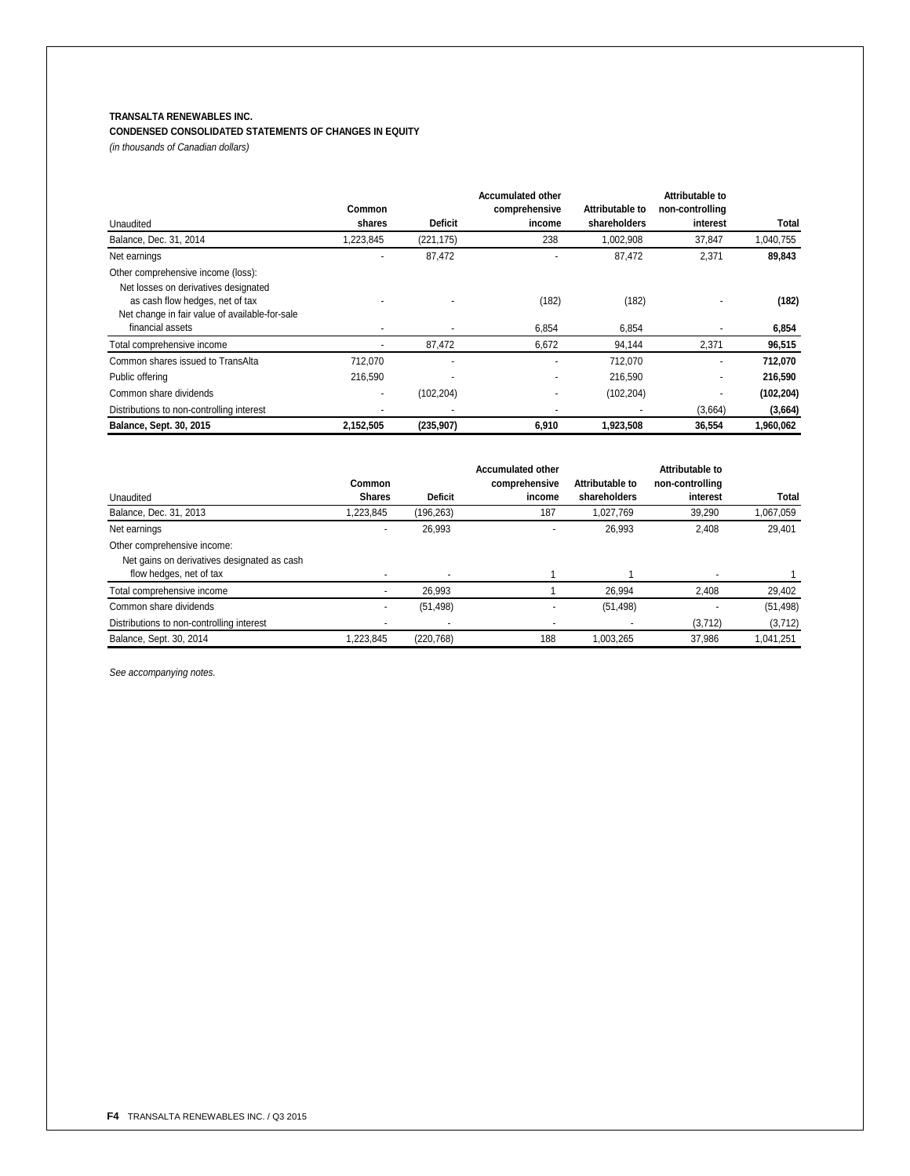# **TRANSALTA RENEWABLES INC.**

# **CONDENSED CONSOLIDATED STATEMENTS OF CHANGES IN EQUITY**

*(in thousands of Canadian dollars)*

|                                                |               | Attributable to<br><b>Accumulated other</b> |                          |                 |                 |            |  |
|------------------------------------------------|---------------|---------------------------------------------|--------------------------|-----------------|-----------------|------------|--|
|                                                | <b>Common</b> |                                             | comprehensive            | Attributable to | non-controlling |            |  |
| Unaudited                                      | shares        | <b>Deficit</b>                              | income                   | shareholders    | interest        | Total      |  |
| Balance, Dec. 31, 2014                         | 1,223,845     | (221, 175)                                  | 238                      | 1,002,908       | 37,847          | 1,040,755  |  |
| Net earnings                                   |               | 87,472                                      |                          | 87,472          | 2,371           | 89,843     |  |
| Other comprehensive income (loss):             |               |                                             |                          |                 |                 |            |  |
| Net losses on derivatives designated           |               |                                             |                          |                 |                 |            |  |
| as cash flow hedges, net of tax                |               |                                             | (182)                    | (182)           |                 | (182)      |  |
| Net change in fair value of available-for-sale |               |                                             |                          |                 |                 |            |  |
| financial assets                               |               |                                             | 6,854                    | 6,854           |                 | 6,854      |  |
| Total comprehensive income                     |               | 87,472                                      | 6,672                    | 94,144          | 2,371           | 96,515     |  |
| Common shares issued to TransAlta              | 712.070       |                                             |                          | 712,070         | ۰               | 712,070    |  |
| Public offering                                | 216,590       |                                             |                          | 216,590         | ۰               | 216,590    |  |
| Common share dividends                         |               | (102, 204)                                  | $\overline{\phantom{a}}$ | (102, 204)      |                 | (102, 204) |  |
| Distributions to non-controlling interest      |               |                                             |                          |                 | (3,664)         | (3,664)    |  |
| Balance, Sept. 30, 2015                        | 2,152,505     | (235, 907)                                  | 6,910                    | 1,923,508       | 36,554          | 1,960,062  |  |

|                                             |                          |                | <b>Accumulated other</b> |                 | Attributable to |           |
|---------------------------------------------|--------------------------|----------------|--------------------------|-----------------|-----------------|-----------|
|                                             | Common                   |                | comprehensive            | Attributable to | non-controlling |           |
| Unaudited                                   | <b>Shares</b>            | <b>Deficit</b> | income                   | shareholders    | interest        | Total     |
| Balance, Dec. 31, 2013                      | .223.845                 | (196, 263)     | 187                      | 1.027.769       | 39,290          | 1,067,059 |
| Net earnings                                |                          | 26,993         |                          | 26,993          | 2,408           | 29,401    |
| Other comprehensive income:                 |                          |                |                          |                 |                 |           |
| Net gains on derivatives designated as cash |                          |                |                          |                 |                 |           |
| flow hedges, net of tax                     |                          |                |                          |                 |                 |           |
| Total comprehensive income                  |                          | 26.993         |                          | 26.994          | 2.408           | 29,402    |
| Common share dividends                      | $\overline{\phantom{0}}$ | (51, 498)      |                          | (51, 498)       |                 | (51, 498) |
| Distributions to non-controlling interest   |                          |                |                          |                 | (3,712)         | (3, 712)  |
| Balance, Sept. 30, 2014                     | 1.223.845                | (220, 768)     | 188                      | 1.003.265       | 37.986          | 1.041.251 |

*See accompanying notes.*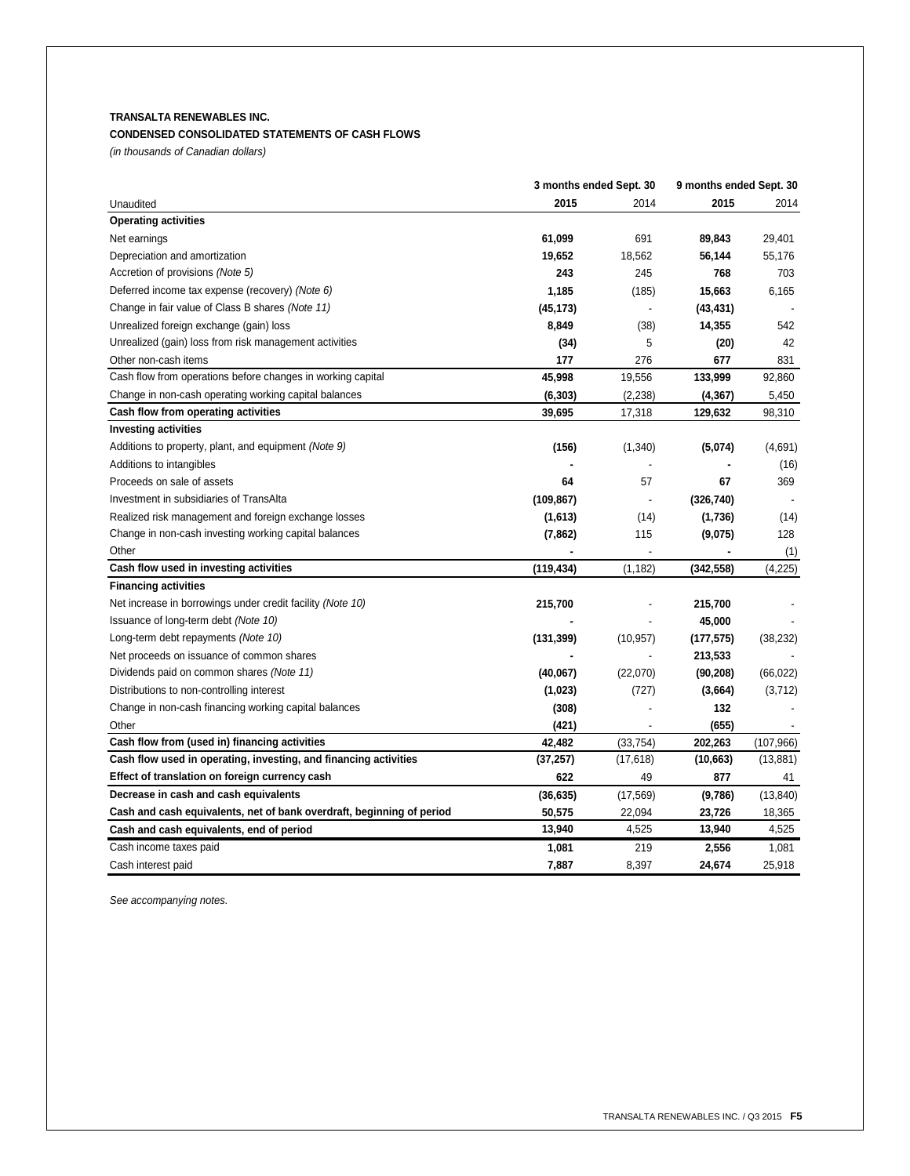# **TRANSALTA RENEWABLES INC.**

# **CONDENSED CONSOLIDATED STATEMENTS OF CASH FLOWS**

*(in thousands of Canadian dollars)*

|                                                                       | 3 months ended Sept. 30 |                          | 9 months ended Sept. 30 |                          |
|-----------------------------------------------------------------------|-------------------------|--------------------------|-------------------------|--------------------------|
| Unaudited                                                             | 2015                    | 2014                     | 2015                    | 2014                     |
| <b>Operating activities</b>                                           |                         |                          |                         |                          |
| Net earnings                                                          | 61,099                  | 691                      | 89,843                  | 29,401                   |
| Depreciation and amortization                                         | 19,652                  | 18,562                   | 56,144                  | 55,176                   |
| Accretion of provisions (Note 5)                                      | 243                     | 245                      | 768                     | 703                      |
| Deferred income tax expense (recovery) (Note 6)                       | 1,185                   | (185)                    | 15,663                  | 6,165                    |
| Change in fair value of Class B shares (Note 11)                      | (45, 173)               | $\overline{a}$           | (43, 431)               |                          |
| Unrealized foreign exchange (gain) loss                               | 8,849                   | (38)                     | 14,355                  | 542                      |
| Unrealized (gain) loss from risk management activities                | (34)                    | 5                        | (20)                    | 42                       |
| Other non-cash items                                                  | 177                     | 276                      | 677                     | 831                      |
| Cash flow from operations before changes in working capital           | 45,998                  | 19,556                   | 133,999                 | 92,860                   |
| Change in non-cash operating working capital balances                 | (6, 303)                | (2, 238)                 | (4, 367)                | 5,450                    |
| Cash flow from operating activities                                   | 39,695                  | 17,318                   | 129,632                 | 98,310                   |
| <b>Investing activities</b>                                           |                         |                          |                         |                          |
| Additions to property, plant, and equipment (Note 9)                  | (156)                   | (1,340)                  | (5,074)                 | (4,691)                  |
| Additions to intangibles                                              |                         |                          |                         | (16)                     |
| Proceeds on sale of assets                                            | 64                      | 57                       | 67                      | 369                      |
| Investment in subsidiaries of TransAlta                               | (109, 867)              | $\overline{\phantom{a}}$ | (326, 740)              | $\overline{\phantom{a}}$ |
| Realized risk management and foreign exchange losses                  | (1,613)                 | (14)                     | (1,736)                 | (14)                     |
| Change in non-cash investing working capital balances                 | (7, 862)                | 115                      | (9,075)                 | 128                      |
| Other                                                                 |                         |                          |                         | (1)                      |
| Cash flow used in investing activities                                | (119, 434)              | (1, 182)                 | (342, 558)              | (4,225)                  |
| <b>Financing activities</b>                                           |                         |                          |                         |                          |
| Net increase in borrowings under credit facility (Note 10)            | 215,700                 |                          | 215,700                 |                          |
| Issuance of long-term debt (Note 10)                                  |                         |                          | 45,000                  |                          |
| Long-term debt repayments (Note 10)                                   | (131, 399)              | (10, 957)                | (177, 575)              | (38, 232)                |
| Net proceeds on issuance of common shares                             |                         |                          | 213,533                 |                          |
| Dividends paid on common shares (Note 11)                             | (40,067)                | (22,070)                 | (90, 208)               | (66, 022)                |
| Distributions to non-controlling interest                             | (1,023)                 | (727)                    | (3,664)                 | (3,712)                  |
| Change in non-cash financing working capital balances                 | (308)                   |                          | 132                     |                          |
| Other                                                                 | (421)                   |                          | (655)                   |                          |
| Cash flow from (used in) financing activities                         | 42,482                  | (33, 754)                | 202,263                 | (107, 966)               |
| Cash flow used in operating, investing, and financing activities      | (37, 257)               | (17, 618)                | (10, 663)               | (13, 881)                |
| Effect of translation on foreign currency cash                        | 622                     | 49                       | 877                     | 41                       |
| Decrease in cash and cash equivalents                                 | (36, 635)               | (17, 569)                | (9,786)                 | (13, 840)                |
| Cash and cash equivalents, net of bank overdraft, beginning of period | 50,575                  | 22,094                   | 23,726                  | 18,365                   |
| Cash and cash equivalents, end of period                              | 13,940                  | 4,525                    | 13,940                  | 4,525                    |
| Cash income taxes paid                                                | 1,081                   | 219                      | 2,556                   | 1,081                    |
| Cash interest paid                                                    | 7,887                   | 8,397                    | 24,674                  | 25,918                   |

*See accompanying notes.*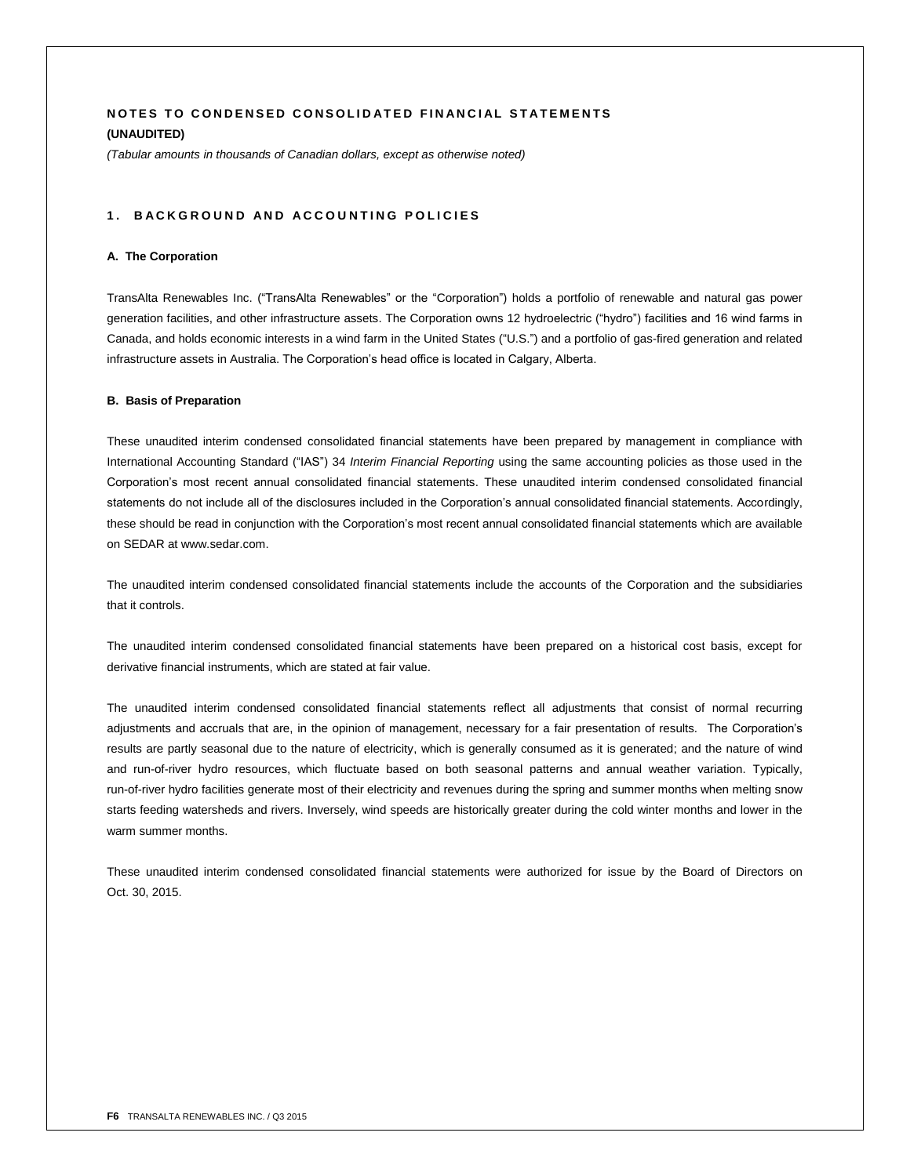# **NOTES TO CONDENSED CONSOLIDATED FINANCIAL STATEMENTS (UNAUDITED)**

*(Tabular amounts in thousands of Canadian dollars, except as otherwise noted)*

## 1. BACKGROUND AND ACCOUNTING POLICIES

## **A. The Corporation**

TransAlta Renewables Inc. ("TransAlta Renewables" or the "Corporation") holds a portfolio of renewable and natural gas power generation facilities, and other infrastructure assets. The Corporation owns 12 hydroelectric ("hydro") facilities and 16 wind farms in Canada, and holds economic interests in a wind farm in the United States ("U.S.") and a portfolio of gas-fired generation and related infrastructure assets in Australia. The Corporation's head office is located in Calgary, Alberta.

## **B. Basis of Preparation**

These unaudited interim condensed consolidated financial statements have been prepared by management in compliance with International Accounting Standard ("IAS") 34 *Interim Financial Reporting* using the same accounting policies as those used in the Corporation's most recent annual consolidated financial statements. These unaudited interim condensed consolidated financial statements do not include all of the disclosures included in the Corporation's annual consolidated financial statements. Accordingly, these should be read in conjunction with the Corporation's most recent annual consolidated financial statements which are available on SEDAR at www.sedar.com.

The unaudited interim condensed consolidated financial statements include the accounts of the Corporation and the subsidiaries that it controls.

The unaudited interim condensed consolidated financial statements have been prepared on a historical cost basis, except for derivative financial instruments, which are stated at fair value.

The unaudited interim condensed consolidated financial statements reflect all adjustments that consist of normal recurring adjustments and accruals that are, in the opinion of management, necessary for a fair presentation of results. The Corporation's results are partly seasonal due to the nature of electricity, which is generally consumed as it is generated; and the nature of wind and run-of-river hydro resources, which fluctuate based on both seasonal patterns and annual weather variation. Typically, run-of-river hydro facilities generate most of their electricity and revenues during the spring and summer months when melting snow starts feeding watersheds and rivers. Inversely, wind speeds are historically greater during the cold winter months and lower in the warm summer months.

These unaudited interim condensed consolidated financial statements were authorized for issue by the Board of Directors on Oct. 30, 2015.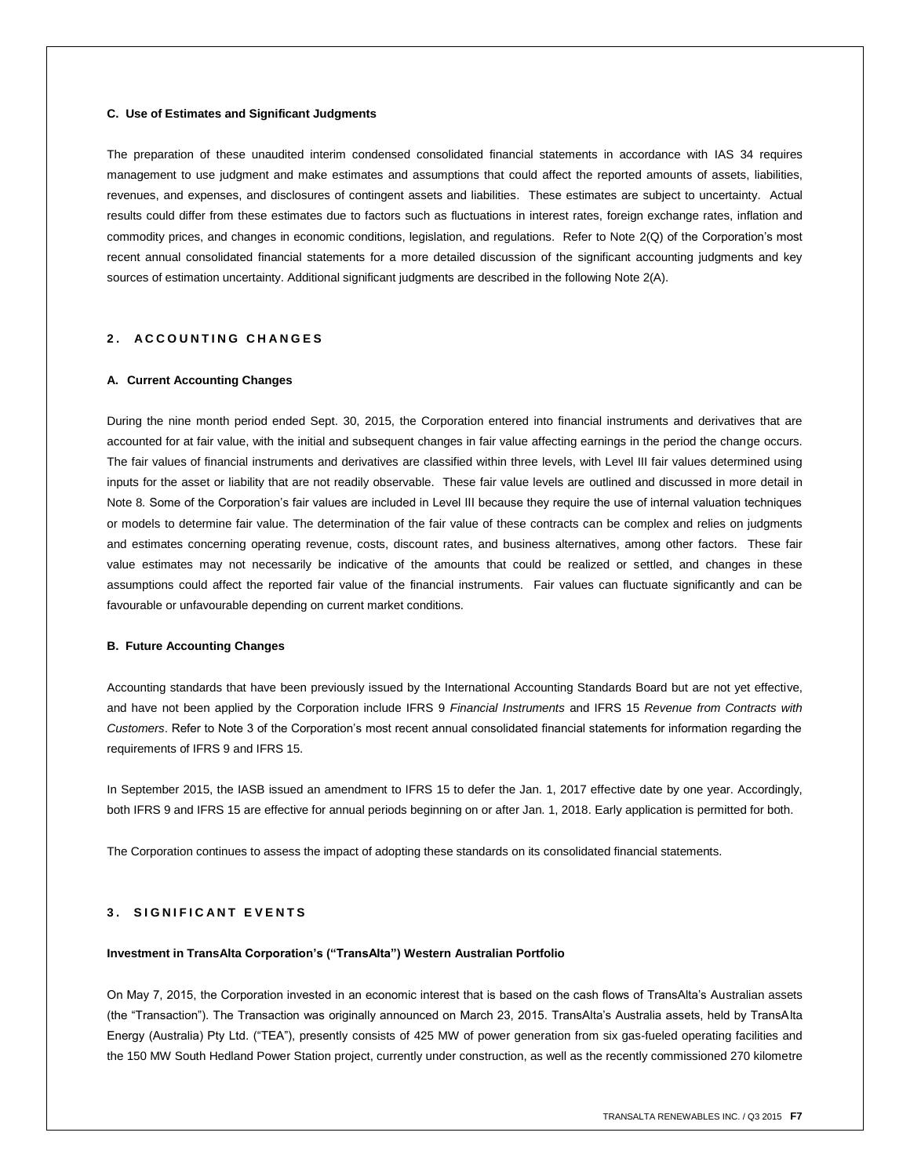## **C. Use of Estimates and Significant Judgments**

The preparation of these unaudited interim condensed consolidated financial statements in accordance with IAS 34 requires management to use judgment and make estimates and assumptions that could affect the reported amounts of assets, liabilities, revenues, and expenses, and disclosures of contingent assets and liabilities. These estimates are subject to uncertainty. Actual results could differ from these estimates due to factors such as fluctuations in interest rates, foreign exchange rates, inflation and commodity prices, and changes in economic conditions, legislation, and regulations. Refer to Note 2(Q) of the Corporation's most recent annual consolidated financial statements for a more detailed discussion of the significant accounting judgments and key sources of estimation uncertainty. Additional significant judgments are described in the following Note 2(A).

# **2 . A C C O U N T I N G C H A N G E S**

## **A. Current Accounting Changes**

During the nine month period ended Sept. 30, 2015, the Corporation entered into financial instruments and derivatives that are accounted for at fair value, with the initial and subsequent changes in fair value affecting earnings in the period the change occurs. The fair values of financial instruments and derivatives are classified within three levels, with Level III fair values determined using inputs for the asset or liability that are not readily observable. These fair value levels are outlined and discussed in more detail in Note 8*.* Some of the Corporation's fair values are included in Level III because they require the use of internal valuation techniques or models to determine fair value. The determination of the fair value of these contracts can be complex and relies on judgments and estimates concerning operating revenue, costs, discount rates, and business alternatives, among other factors. These fair value estimates may not necessarily be indicative of the amounts that could be realized or settled, and changes in these assumptions could affect the reported fair value of the financial instruments. Fair values can fluctuate significantly and can be favourable or unfavourable depending on current market conditions.

## **B. Future Accounting Changes**

Accounting standards that have been previously issued by the International Accounting Standards Board but are not yet effective, and have not been applied by the Corporation include IFRS 9 *Financial Instruments* and IFRS 15 *Revenue from Contracts with Customers*. Refer to Note 3 of the Corporation's most recent annual consolidated financial statements for information regarding the requirements of IFRS 9 and IFRS 15.

In September 2015, the IASB issued an amendment to IFRS 15 to defer the Jan. 1, 2017 effective date by one year. Accordingly, both IFRS 9 and IFRS 15 are effective for annual periods beginning on or after Jan. 1, 2018. Early application is permitted for both.

The Corporation continues to assess the impact of adopting these standards on its consolidated financial statements.

# **3. SIGNIFICANT EVENTS**

## **Investment in TransAlta Corporation's ("TransAlta") Western Australian Portfolio**

On May 7, 2015, the Corporation invested in an economic interest that is based on the cash flows of TransAlta's Australian assets (the "Transaction"). The Transaction was originally announced on March 23, 2015. TransAlta's Australia assets, held by TransAlta Energy (Australia) Pty Ltd. ("TEA"), presently consists of 425 MW of power generation from six gas-fueled operating facilities and the 150 MW South Hedland Power Station project, currently under construction, as well as the recently commissioned 270 kilometre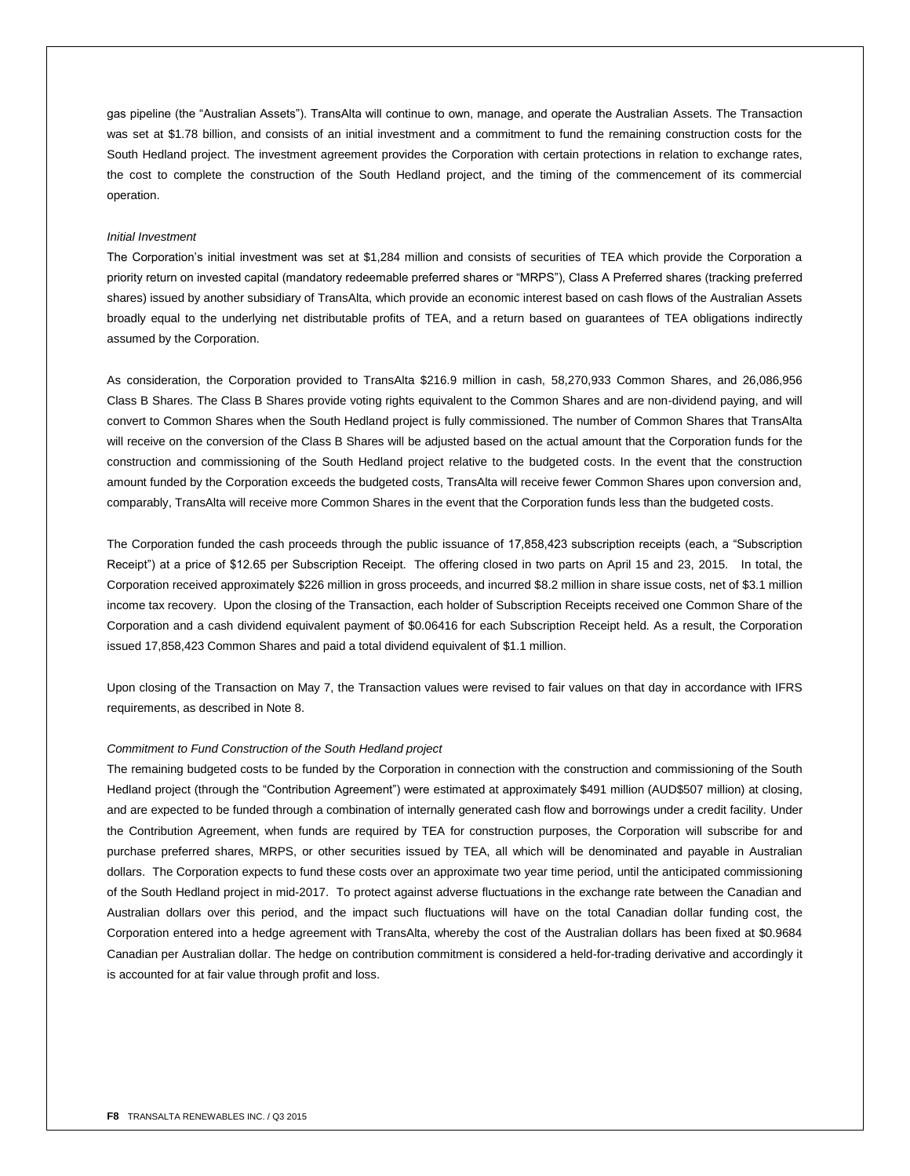gas pipeline (the "Australian Assets"). TransAlta will continue to own, manage, and operate the Australian Assets. The Transaction was set at \$1.78 billion, and consists of an initial investment and a commitment to fund the remaining construction costs for the South Hedland project. The investment agreement provides the Corporation with certain protections in relation to exchange rates, the cost to complete the construction of the South Hedland project, and the timing of the commencement of its commercial operation.

## *Initial Investment*

The Corporation's initial investment was set at \$1,284 million and consists of securities of TEA which provide the Corporation a priority return on invested capital (mandatory redeemable preferred shares or "MRPS"), Class A Preferred shares (tracking preferred shares) issued by another subsidiary of TransAlta, which provide an economic interest based on cash flows of the Australian Assets broadly equal to the underlying net distributable profits of TEA, and a return based on guarantees of TEA obligations indirectly assumed by the Corporation.

As consideration, the Corporation provided to TransAlta \$216.9 million in cash, 58,270,933 Common Shares, and 26,086,956 Class B Shares. The Class B Shares provide voting rights equivalent to the Common Shares and are non-dividend paying, and will convert to Common Shares when the South Hedland project is fully commissioned. The number of Common Shares that TransAlta will receive on the conversion of the Class B Shares will be adjusted based on the actual amount that the Corporation funds for the construction and commissioning of the South Hedland project relative to the budgeted costs. In the event that the construction amount funded by the Corporation exceeds the budgeted costs, TransAlta will receive fewer Common Shares upon conversion and, comparably, TransAlta will receive more Common Shares in the event that the Corporation funds less than the budgeted costs.

The Corporation funded the cash proceeds through the public issuance of 17,858,423 subscription receipts (each, a "Subscription Receipt") at a price of \$12.65 per Subscription Receipt. The offering closed in two parts on April 15 and 23, 2015. In total, the Corporation received approximately \$226 million in gross proceeds, and incurred \$8.2 million in share issue costs, net of \$3.1 million income tax recovery. Upon the closing of the Transaction, each holder of Subscription Receipts received one Common Share of the Corporation and a cash dividend equivalent payment of \$0.06416 for each Subscription Receipt held. As a result, the Corporation issued 17,858,423 Common Shares and paid a total dividend equivalent of \$1.1 million.

Upon closing of the Transaction on May 7, the Transaction values were revised to fair values on that day in accordance with IFRS requirements, as described in Note 8.

## *Commitment to Fund Construction of the South Hedland project*

The remaining budgeted costs to be funded by the Corporation in connection with the construction and commissioning of the South Hedland project (through the "Contribution Agreement") were estimated at approximately \$491 million (AUD\$507 million) at closing, and are expected to be funded through a combination of internally generated cash flow and borrowings under a credit facility. Under the Contribution Agreement, when funds are required by TEA for construction purposes, the Corporation will subscribe for and purchase preferred shares, MRPS, or other securities issued by TEA, all which will be denominated and payable in Australian dollars. The Corporation expects to fund these costs over an approximate two year time period, until the anticipated commissioning of the South Hedland project in mid-2017. To protect against adverse fluctuations in the exchange rate between the Canadian and Australian dollars over this period, and the impact such fluctuations will have on the total Canadian dollar funding cost, the Corporation entered into a hedge agreement with TransAlta, whereby the cost of the Australian dollars has been fixed at \$0.9684 Canadian per Australian dollar. The hedge on contribution commitment is considered a held-for-trading derivative and accordingly it is accounted for at fair value through profit and loss.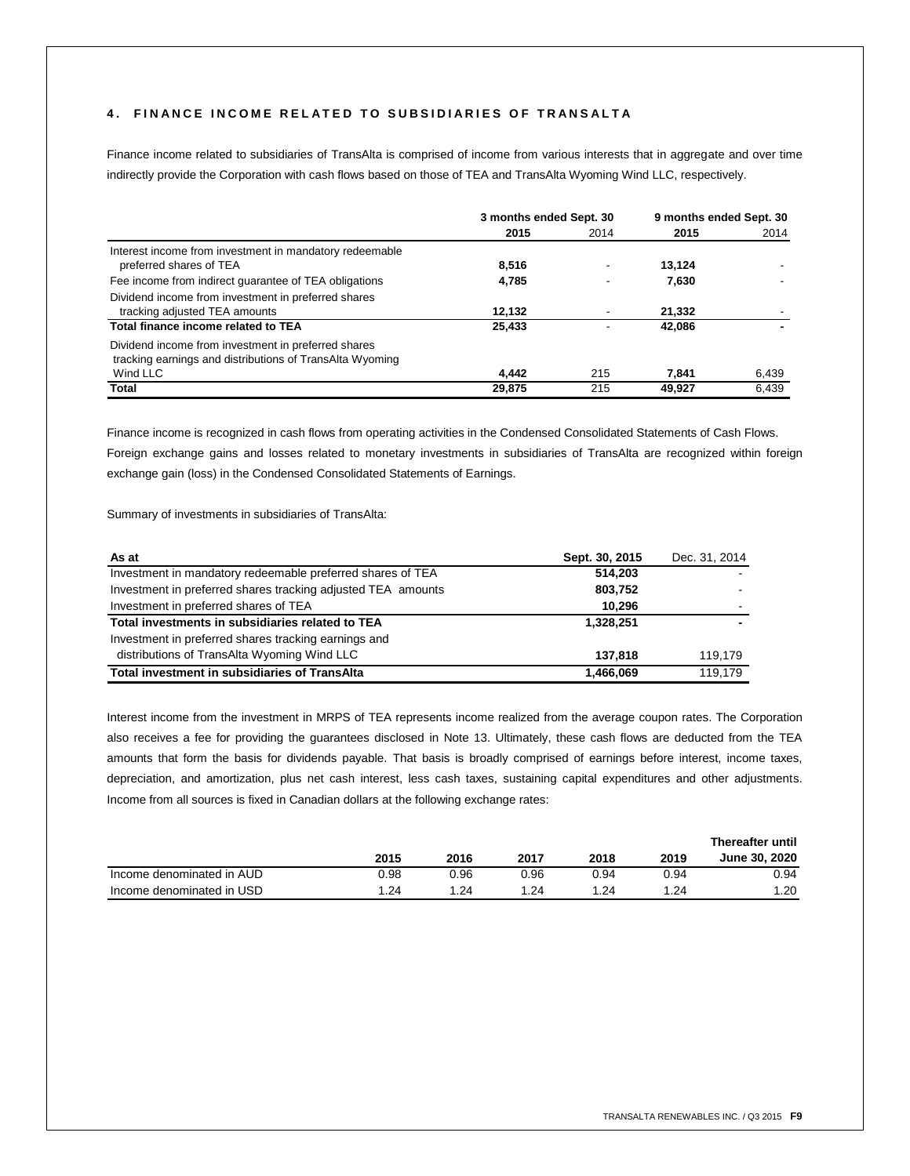# **4 . F I N A N C E I N C O M E R E L A T E D T O S U B S I D I A R I E S O F T R A N S A L T A**

Finance income related to subsidiaries of TransAlta is comprised of income from various interests that in aggregate and over time indirectly provide the Corporation with cash flows based on those of TEA and TransAlta Wyoming Wind LLC, respectively.

|                                                          | 3 months ended Sept. 30 |      | 9 months ended Sept. 30 |       |
|----------------------------------------------------------|-------------------------|------|-------------------------|-------|
|                                                          | 2015                    | 2014 | 2015                    | 2014  |
| Interest income from investment in mandatory redeemable  |                         |      |                         |       |
| preferred shares of TEA                                  | 8,516                   |      | 13.124                  |       |
| Fee income from indirect guarantee of TEA obligations    | 4,785                   |      | 7,630                   |       |
| Dividend income from investment in preferred shares      |                         |      |                         |       |
| tracking adjusted TEA amounts                            | 12,132                  |      | 21,332                  |       |
| Total finance income related to TEA                      | 25,433                  |      | 42,086                  |       |
| Dividend income from investment in preferred shares      |                         |      |                         |       |
| tracking earnings and distributions of TransAlta Wyoming |                         |      |                         |       |
| Wind LLC                                                 | 4.442                   | 215  | 7.841                   | 6,439 |
| Total                                                    | 29,875                  | 215  | 49.927                  | 6.439 |

Finance income is recognized in cash flows from operating activities in the Condensed Consolidated Statements of Cash Flows. Foreign exchange gains and losses related to monetary investments in subsidiaries of TransAlta are recognized within foreign exchange gain (loss) in the Condensed Consolidated Statements of Earnings.

Summary of investments in subsidiaries of TransAlta:

| As at                                                        | Sept. 30, 2015 | Dec. 31, 2014 |
|--------------------------------------------------------------|----------------|---------------|
| Investment in mandatory redeemable preferred shares of TEA   | 514,203        |               |
| Investment in preferred shares tracking adjusted TEA amounts | 803,752        |               |
| Investment in preferred shares of TEA                        | 10.296         |               |
| Total investments in subsidiaries related to TEA             | 1.328.251      |               |
| Investment in preferred shares tracking earnings and         |                |               |
| distributions of TransAlta Wyoming Wind LLC                  | 137.818        | 119.179       |
| <b>Total investment in subsidiaries of TransAlta</b>         | 1,466,069      | 119.179       |

Interest income from the investment in MRPS of TEA represents income realized from the average coupon rates. The Corporation also receives a fee for providing the guarantees disclosed in Note 13. Ultimately, these cash flows are deducted from the TEA amounts that form the basis for dividends payable. That basis is broadly comprised of earnings before interest, income taxes, depreciation, and amortization, plus net cash interest, less cash taxes, sustaining capital expenditures and other adjustments. Income from all sources is fixed in Canadian dollars at the following exchange rates:

|                           |      |      |      |      |      | <b>Thereafter until</b> |
|---------------------------|------|------|------|------|------|-------------------------|
|                           | 2015 | 2016 | 2017 | 2018 | 2019 | June 30, 2020           |
| Income denominated in AUD | 0.98 | 0.96 | 0.96 | 0.94 | 0.94 | 0.94                    |
| Income denominated in USD | .24  | 1.24 | 1.24 | .24  | 1.24 | .20                     |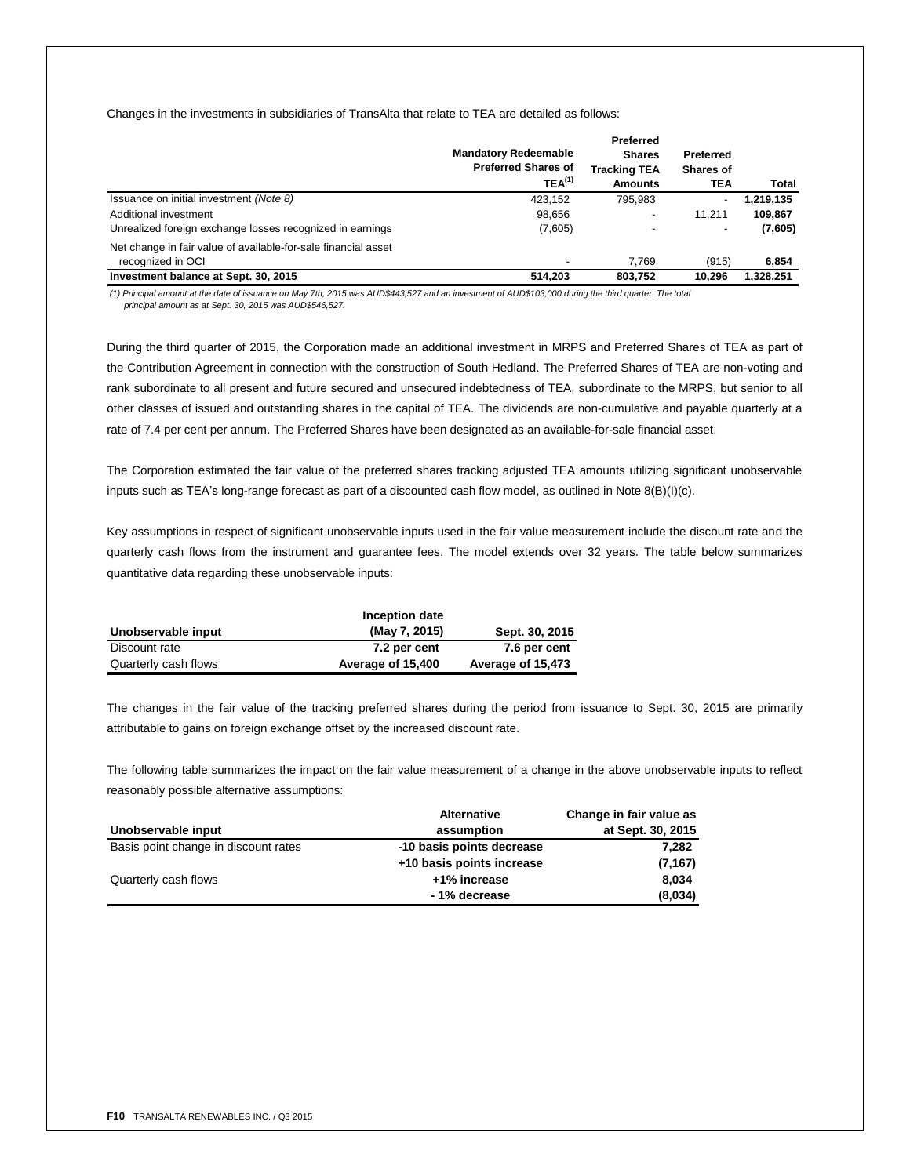Changes in the investments in subsidiaries of TransAlta that relate to TEA are detailed as follows:

|                                                                                     | <b>Mandatory Redeemable</b><br><b>Preferred Shares of</b><br>$TEA^{(1)}$ | Preferred<br><b>Shares</b><br>Tracking TEA<br><b>Amounts</b> | Preferred<br><b>Shares of</b><br>TEA | Total     |
|-------------------------------------------------------------------------------------|--------------------------------------------------------------------------|--------------------------------------------------------------|--------------------------------------|-----------|
| Issuance on initial investment (Note 8)                                             | 423.152                                                                  | 795.983                                                      |                                      | 1,219,135 |
| Additional investment                                                               | 98,656                                                                   |                                                              | 11.211                               | 109,867   |
| Unrealized foreign exchange losses recognized in earnings                           | (7,605)                                                                  |                                                              |                                      | (7,605)   |
| Net change in fair value of available-for-sale financial asset<br>recognized in OCI |                                                                          | 7.769                                                        | (915)                                | 6,854     |
| Investment balance at Sept. 30, 2015                                                | 514.203                                                                  | 803.752                                                      | 10.296                               | 1,328,251 |

*(1) Principal amount at the date of issuance on May 7th, 2015 was AUD\$443,527 and an investment of AUD\$103,000 during the third quarter. The total principal amount as at Sept. 30, 2015 was AUD\$546,527.*

During the third quarter of 2015, the Corporation made an additional investment in MRPS and Preferred Shares of TEA as part of the Contribution Agreement in connection with the construction of South Hedland. The Preferred Shares of TEA are non-voting and rank subordinate to all present and future secured and unsecured indebtedness of TEA, subordinate to the MRPS, but senior to all other classes of issued and outstanding shares in the capital of TEA. The dividends are non-cumulative and payable quarterly at a rate of 7.4 per cent per annum. The Preferred Shares have been designated as an available-for-sale financial asset.

The Corporation estimated the fair value of the preferred shares tracking adjusted TEA amounts utilizing significant unobservable inputs such as TEA's long-range forecast as part of a discounted cash flow model, as outlined in Note 8(B)(I)(c).

Key assumptions in respect of significant unobservable inputs used in the fair value measurement include the discount rate and the quarterly cash flows from the instrument and guarantee fees. The model extends over 32 years. The table below summarizes quantitative data regarding these unobservable inputs:

|                      | Inception date    |                   |
|----------------------|-------------------|-------------------|
| Unobservable input   | (May 7, 2015)     | Sept. 30, 2015    |
| Discount rate        | 7.2 per cent      | 7.6 per cent      |
| Quarterly cash flows | Average of 15,400 | Average of 15,473 |

The changes in the fair value of the tracking preferred shares during the period from issuance to Sept. 30, 2015 are primarily attributable to gains on foreign exchange offset by the increased discount rate.

The following table summarizes the impact on the fair value measurement of a change in the above unobservable inputs to reflect reasonably possible alternative assumptions:

|                                      | <b>Alternative</b>        | Change in fair value as |
|--------------------------------------|---------------------------|-------------------------|
| Unobservable input                   | assumption                | at Sept. 30, 2015       |
| Basis point change in discount rates | -10 basis points decrease | 7.282                   |
|                                      | +10 basis points increase | (7, 167)                |
| Quarterly cash flows                 | +1% increase              | 8.034                   |
|                                      | - 1% decrease             | (8,034)                 |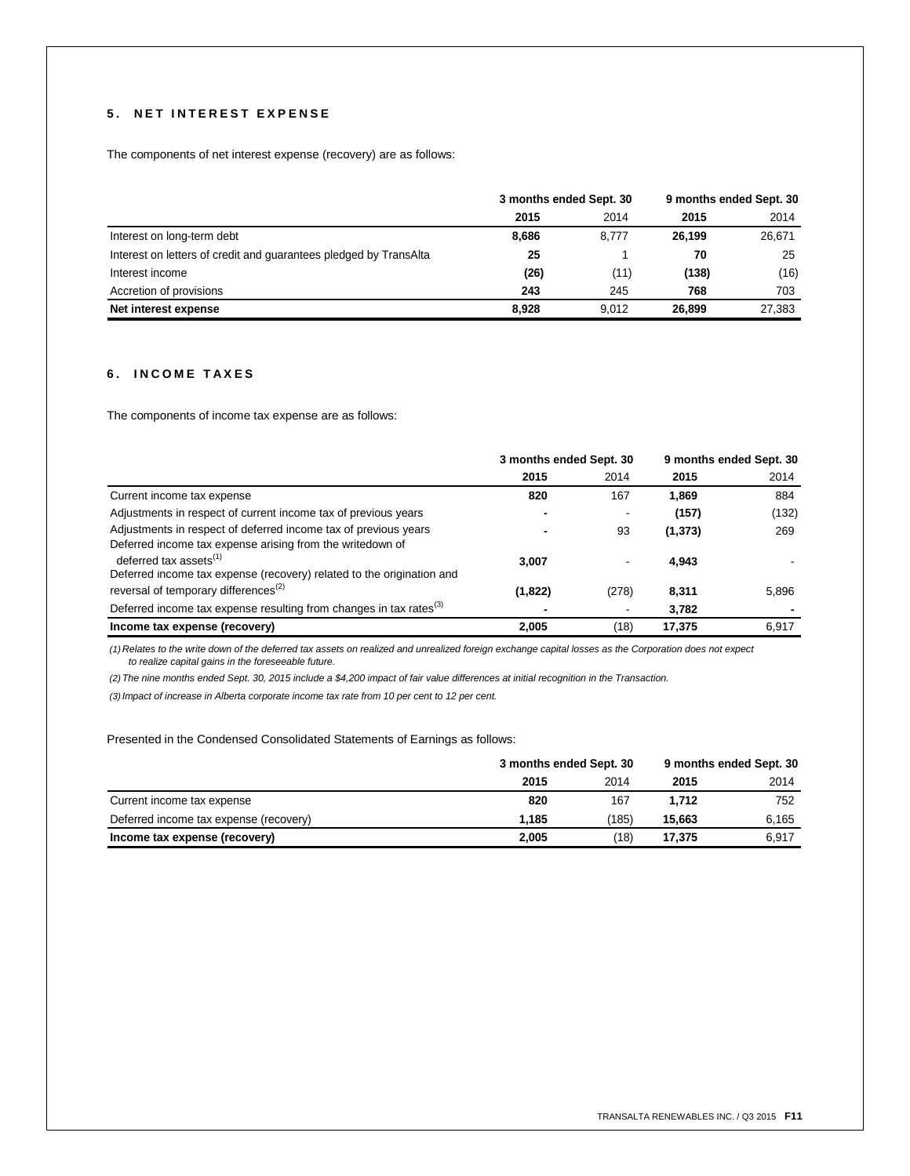# **5 . N E T I N T E R E S T E X P E N S E**

The components of net interest expense (recovery) are as follows:

|                                                                   | 3 months ended Sept. 30 |       | 9 months ended Sept. 30 |        |
|-------------------------------------------------------------------|-------------------------|-------|-------------------------|--------|
|                                                                   | 2015                    | 2014  | 2015                    | 2014   |
| Interest on long-term debt                                        | 8,686                   | 8.777 | 26,199                  | 26,671 |
| Interest on letters of credit and guarantees pledged by TransAlta | 25                      |       | 70                      | 25     |
| Interest income                                                   | (26)                    | (11)  | (138)                   | (16)   |
| Accretion of provisions                                           | 243                     | 245   | 768                     | 703    |
| Net interest expense                                              | 8.928                   | 9.012 | 26,899                  | 27.383 |

# **6 . I N C O M E T A X E S**

The components of income tax expense are as follows:

|                                                                                                                              | 3 months ended Sept. 30 |       | 9 months ended Sept. 30 |       |
|------------------------------------------------------------------------------------------------------------------------------|-------------------------|-------|-------------------------|-------|
|                                                                                                                              | 2015                    | 2014  | 2015                    | 2014  |
| Current income tax expense                                                                                                   | 820                     | 167   | 1.869                   | 884   |
| Adjustments in respect of current income tax of previous years                                                               |                         |       | (157)                   | (132) |
| Adjustments in respect of deferred income tax of previous years<br>Deferred income tax expense arising from the writedown of |                         | 93    | (1, 373)                | 269   |
| deferred tax assets $^{(1)}$<br>Deferred income tax expense (recovery) related to the origination and                        | 3,007                   |       | 4,943                   |       |
| reversal of temporary differences <sup>(2)</sup>                                                                             | (1,822)                 | (278) | 8.311                   | 5,896 |
| Deferred income tax expense resulting from changes in tax rates <sup>(3)</sup>                                               |                         |       | 3,782                   |       |
| Income tax expense (recovery)                                                                                                | 2,005                   | (18)  | 17.375                  | 6,917 |

*(1) Relates to the write down of the deferred tax assets on realized and unrealized foreign exchange capital losses as the Corporation does not expect to realize capital gains in the foreseeable future.*

*(2) The nine months ended Sept. 30, 2015 include a \$4,200 impact of fair value differences at initial recognition in the Transaction.*

*(3)Impact of increase in Alberta corporate income tax rate from 10 per cent to 12 per cent.*

Presented in the Condensed Consolidated Statements of Earnings as follows:

|                                        | 3 months ended Sept. 30 |       | 9 months ended Sept. 30 |       |
|----------------------------------------|-------------------------|-------|-------------------------|-------|
|                                        | 2015                    | 2014  | 2015                    | 2014  |
| Current income tax expense             | 820                     | 167   | 1.712                   | 752   |
| Deferred income tax expense (recovery) | 1.185                   | (185) | 15.663                  | 6.165 |
| Income tax expense (recovery)          | 2,005                   | (18)  | 17,375                  | 6,917 |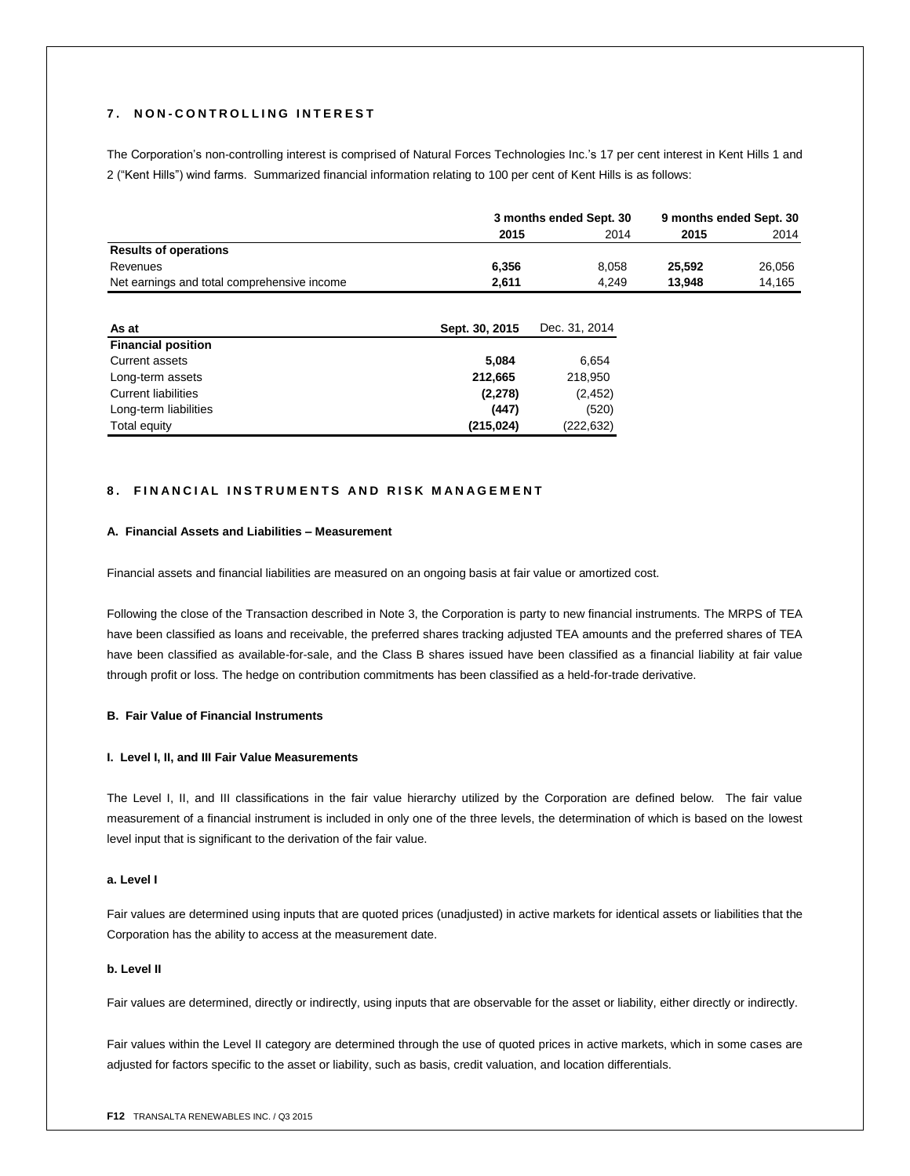## **7 . N O N - C O N T R O L L I N G I N T E R E S T**

The Corporation's non-controlling interest is comprised of Natural Forces Technologies Inc.'s 17 per cent interest in Kent Hills 1 and 2 ("Kent Hills") wind farms. Summarized financial information relating to 100 per cent of Kent Hills is as follows:

|                                             | 3 months ended Sept. 30 |       | 9 months ended Sept. 30 |        |
|---------------------------------------------|-------------------------|-------|-------------------------|--------|
|                                             | 2015                    | 2014  | 2015                    | 2014   |
| <b>Results of operations</b>                |                         |       |                         |        |
| Revenues                                    | 6.356                   | 8.058 | 25.592                  | 26.056 |
| Net earnings and total comprehensive income | 2.611                   | 4.249 | 13.948                  | 14.165 |

| As at                      | Sept. 30, 2015 | Dec. 31, 2014 |
|----------------------------|----------------|---------------|
| <b>Financial position</b>  |                |               |
| Current assets             | 5.084          | 6.654         |
| Long-term assets           | 212,665        | 218,950       |
| <b>Current liabilities</b> | (2, 278)       | (2, 452)      |
| Long-term liabilities      | (447)          | (520)         |
| Total equity               | (215, 024)     | (222, 632)    |

# **8. FINANCIAL INSTRUMENTS AND RISK MANAGEMENT**

## **A. Financial Assets and Liabilities – Measurement**

Financial assets and financial liabilities are measured on an ongoing basis at fair value or amortized cost.

Following the close of the Transaction described in Note 3, the Corporation is party to new financial instruments. The MRPS of TEA have been classified as loans and receivable, the preferred shares tracking adjusted TEA amounts and the preferred shares of TEA have been classified as available-for-sale, and the Class B shares issued have been classified as a financial liability at fair value through profit or loss. The hedge on contribution commitments has been classified as a held-for-trade derivative.

## **B. Fair Value of Financial Instruments**

## **I. Level I, II, and III Fair Value Measurements**

The Level I, II, and III classifications in the fair value hierarchy utilized by the Corporation are defined below. The fair value measurement of a financial instrument is included in only one of the three levels, the determination of which is based on the lowest level input that is significant to the derivation of the fair value.

## **a. Level I**

Fair values are determined using inputs that are quoted prices (unadjusted) in active markets for identical assets or liabilities that the Corporation has the ability to access at the measurement date.

## **b. Level II**

Fair values are determined, directly or indirectly, using inputs that are observable for the asset or liability, either directly or indirectly.

Fair values within the Level II category are determined through the use of quoted prices in active markets, which in some cases are adjusted for factors specific to the asset or liability, such as basis, credit valuation, and location differentials.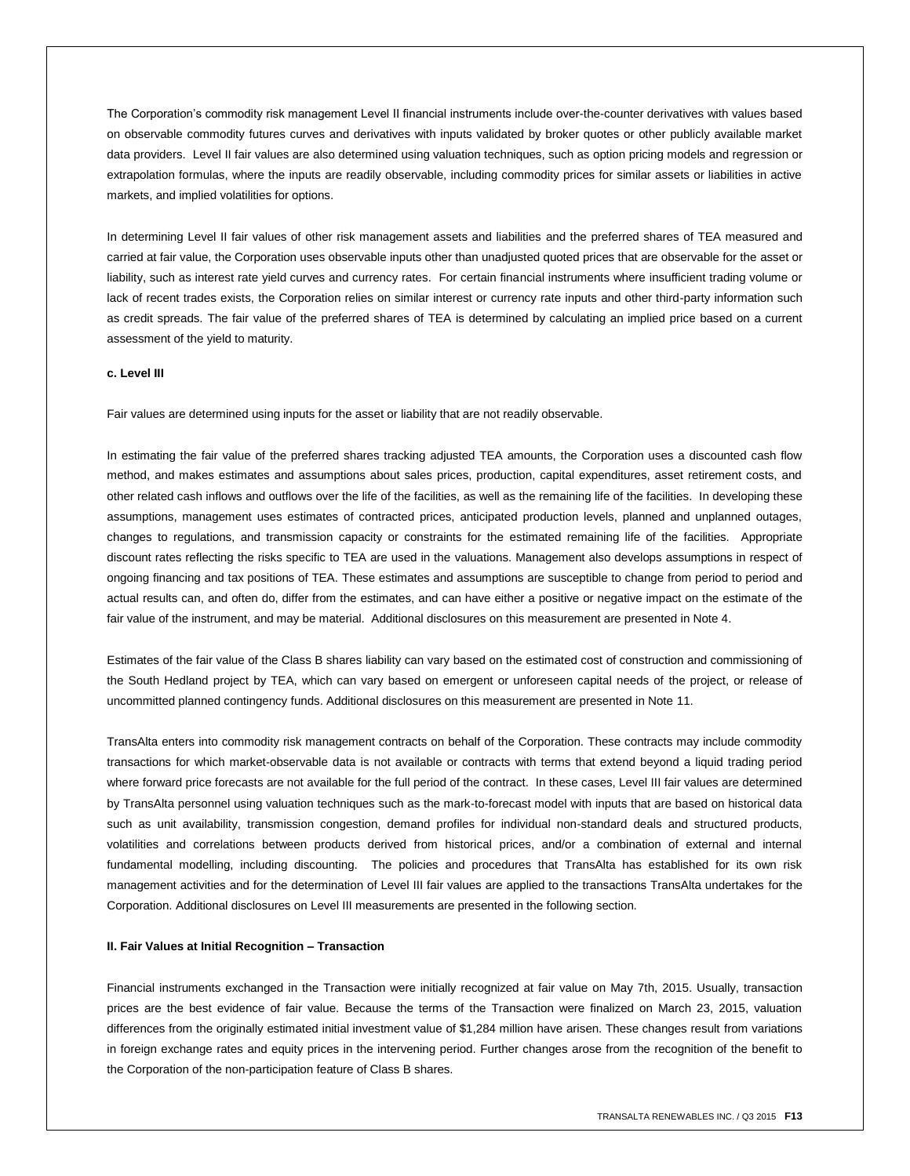The Corporation's commodity risk management Level II financial instruments include over-the-counter derivatives with values based on observable commodity futures curves and derivatives with inputs validated by broker quotes or other publicly available market data providers. Level II fair values are also determined using valuation techniques, such as option pricing models and regression or extrapolation formulas, where the inputs are readily observable, including commodity prices for similar assets or liabilities in active markets, and implied volatilities for options.

In determining Level II fair values of other risk management assets and liabilities and the preferred shares of TEA measured and carried at fair value, the Corporation uses observable inputs other than unadjusted quoted prices that are observable for the asset or liability, such as interest rate yield curves and currency rates. For certain financial instruments where insufficient trading volume or lack of recent trades exists, the Corporation relies on similar interest or currency rate inputs and other third-party information such as credit spreads. The fair value of the preferred shares of TEA is determined by calculating an implied price based on a current assessment of the yield to maturity.

# **c. Level III**

Fair values are determined using inputs for the asset or liability that are not readily observable.

In estimating the fair value of the preferred shares tracking adjusted TEA amounts, the Corporation uses a discounted cash flow method, and makes estimates and assumptions about sales prices, production, capital expenditures, asset retirement costs, and other related cash inflows and outflows over the life of the facilities, as well as the remaining life of the facilities. In developing these assumptions, management uses estimates of contracted prices, anticipated production levels, planned and unplanned outages, changes to regulations, and transmission capacity or constraints for the estimated remaining life of the facilities. Appropriate discount rates reflecting the risks specific to TEA are used in the valuations. Management also develops assumptions in respect of ongoing financing and tax positions of TEA. These estimates and assumptions are susceptible to change from period to period and actual results can, and often do, differ from the estimates, and can have either a positive or negative impact on the estimate of the fair value of the instrument, and may be material. Additional disclosures on this measurement are presented in Note 4.

Estimates of the fair value of the Class B shares liability can vary based on the estimated cost of construction and commissioning of the South Hedland project by TEA, which can vary based on emergent or unforeseen capital needs of the project, or release of uncommitted planned contingency funds. Additional disclosures on this measurement are presented in Note 11.

TransAlta enters into commodity risk management contracts on behalf of the Corporation. These contracts may include commodity transactions for which market-observable data is not available or contracts with terms that extend beyond a liquid trading period where forward price forecasts are not available for the full period of the contract. In these cases, Level III fair values are determined by TransAlta personnel using valuation techniques such as the mark-to-forecast model with inputs that are based on historical data such as unit availability, transmission congestion, demand profiles for individual non-standard deals and structured products, volatilities and correlations between products derived from historical prices, and/or a combination of external and internal fundamental modelling, including discounting. The policies and procedures that TransAlta has established for its own risk management activities and for the determination of Level III fair values are applied to the transactions TransAlta undertakes for the Corporation. Additional disclosures on Level III measurements are presented in the following section.

## **II. Fair Values at Initial Recognition – Transaction**

Financial instruments exchanged in the Transaction were initially recognized at fair value on May 7th, 2015. Usually, transaction prices are the best evidence of fair value. Because the terms of the Transaction were finalized on March 23, 2015, valuation differences from the originally estimated initial investment value of \$1,284 million have arisen. These changes result from variations in foreign exchange rates and equity prices in the intervening period. Further changes arose from the recognition of the benefit to the Corporation of the non-participation feature of Class B shares.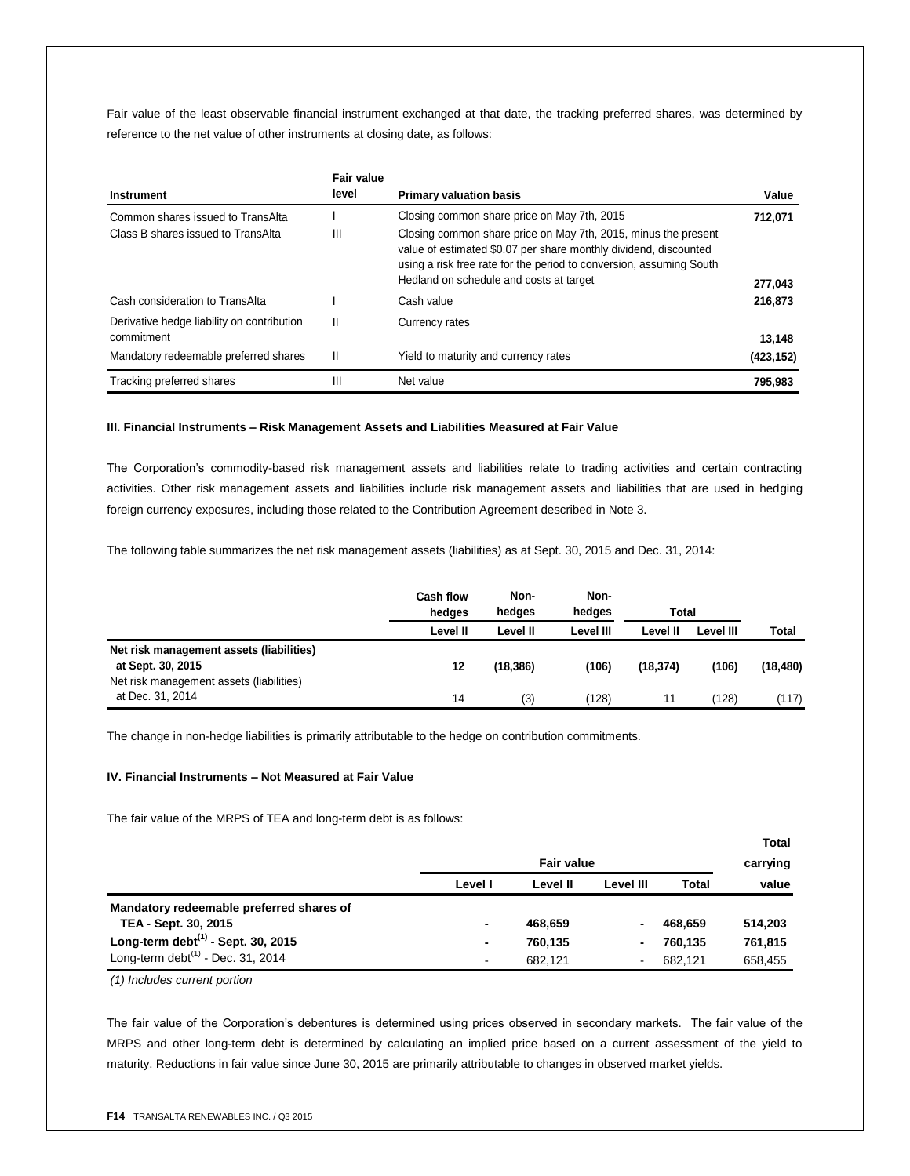Fair value of the least observable financial instrument exchanged at that date, the tracking preferred shares, was determined by reference to the net value of other instruments at closing date, as follows:

|                                                          | <b>Fair value</b> |                                                                                                                                                                                                                                                      |            |
|----------------------------------------------------------|-------------------|------------------------------------------------------------------------------------------------------------------------------------------------------------------------------------------------------------------------------------------------------|------------|
| <b>Instrument</b>                                        | level             | <b>Primary valuation basis</b>                                                                                                                                                                                                                       | Value      |
| Common shares issued to TransAlta                        |                   | Closing common share price on May 7th, 2015                                                                                                                                                                                                          | 712,071    |
| Class B shares issued to TransAlta                       | Ш                 | Closing common share price on May 7th, 2015, minus the present<br>value of estimated \$0.07 per share monthly dividend, discounted<br>using a risk free rate for the period to conversion, assuming South<br>Hedland on schedule and costs at target | 277,043    |
| Cash consideration to TransAlta                          |                   | Cash value                                                                                                                                                                                                                                           | 216,873    |
| Derivative hedge liability on contribution<br>commitment | Ш                 | Currency rates                                                                                                                                                                                                                                       | 13.148     |
| Mandatory redeemable preferred shares                    | Ш                 | Yield to maturity and currency rates                                                                                                                                                                                                                 | (423, 152) |
| Tracking preferred shares                                | Ш                 | Net value                                                                                                                                                                                                                                            | 795.983    |

## **III. Financial Instruments – Risk Management Assets and Liabilities Measured at Fair Value**

The Corporation's commodity-based risk management assets and liabilities relate to trading activities and certain contracting activities. Other risk management assets and liabilities include risk management assets and liabilities that are used in hedging foreign currency exposures, including those related to the Contribution Agreement described in Note 3.

The following table summarizes the net risk management assets (liabilities) as at Sept. 30, 2015 and Dec. 31, 2014:

|                                                               | <b>Cash flow</b><br>hedges |           |           | Non-<br>hedaes | Non-<br>hedaes | Total        |  |  |
|---------------------------------------------------------------|----------------------------|-----------|-----------|----------------|----------------|--------------|--|--|
|                                                               | Level II                   | Level II  | Level III | Level II       | Level III      | <b>Total</b> |  |  |
| Net risk management assets (liabilities)<br>at Sept. 30, 2015 | 12                         | (18, 386) | (106)     | (18, 374)      | (106)          | (18, 480)    |  |  |
| Net risk management assets (liabilities)<br>at Dec. 31, 2014  | 14                         | (3)       | (128)     | 11             | (128)          | (117)        |  |  |

The change in non-hedge liabilities is primarily attributable to the hedge on contribution commitments.

## **IV. Financial Instruments – Not Measured at Fair Value**

The fair value of the MRPS of TEA and long-term debt is as follows:

|                                          |                |                   |           |         | Total    |
|------------------------------------------|----------------|-------------------|-----------|---------|----------|
|                                          |                | <b>Fair value</b> |           |         | carrying |
|                                          | Level I        | Level II          | Level III | Total   | value    |
| Mandatory redeemable preferred shares of |                |                   |           |         |          |
| TEA - Sept. 30, 2015                     | ٠              | 468,659           |           | 468,659 | 514,203  |
| Long-term debt $(1)$ - Sept. 30, 2015    | ۰              | 760,135           | ۰         | 760.135 | 761,815  |
| Long-term debt $(1)$ - Dec. 31, 2014     | $\blacksquare$ | 682.121           | ۰         | 682.121 | 658,455  |

*(1) Includes current portion*

The fair value of the Corporation's debentures is determined using prices observed in secondary markets. The fair value of the MRPS and other long-term debt is determined by calculating an implied price based on a current assessment of the yield to maturity. Reductions in fair value since June 30, 2015 are primarily attributable to changes in observed market yields.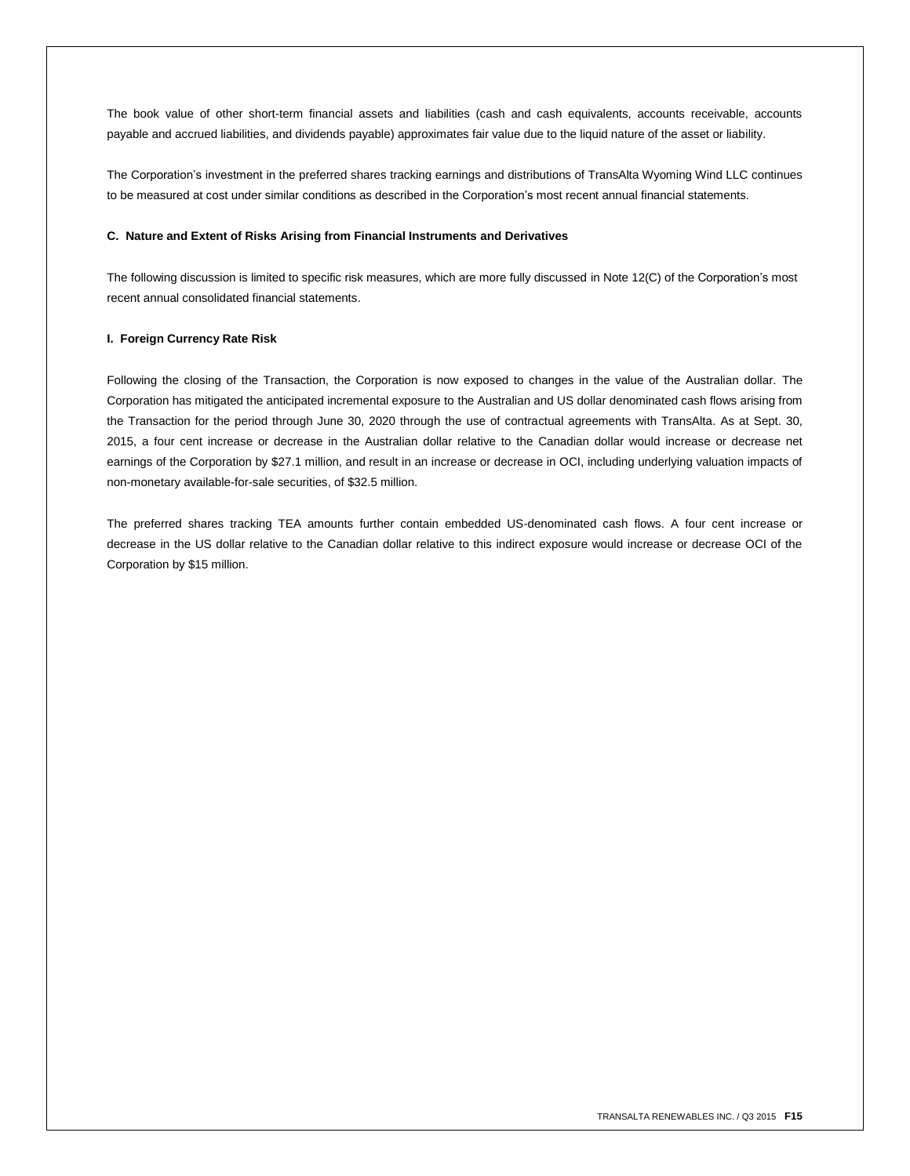The book value of other short-term financial assets and liabilities (cash and cash equivalents, accounts receivable, accounts payable and accrued liabilities, and dividends payable) approximates fair value due to the liquid nature of the asset or liability.

The Corporation's investment in the preferred shares tracking earnings and distributions of TransAlta Wyoming Wind LLC continues to be measured at cost under similar conditions as described in the Corporation's most recent annual financial statements.

## **C. Nature and Extent of Risks Arising from Financial Instruments and Derivatives**

The following discussion is limited to specific risk measures, which are more fully discussed in Note 12(C) of the Corporation's most recent annual consolidated financial statements.

## **I. Foreign Currency Rate Risk**

Following the closing of the Transaction, the Corporation is now exposed to changes in the value of the Australian dollar. The Corporation has mitigated the anticipated incremental exposure to the Australian and US dollar denominated cash flows arising from the Transaction for the period through June 30, 2020 through the use of contractual agreements with TransAlta. As at Sept. 30, 2015, a four cent increase or decrease in the Australian dollar relative to the Canadian dollar would increase or decrease net earnings of the Corporation by \$27.1 million, and result in an increase or decrease in OCI, including underlying valuation impacts of non-monetary available-for-sale securities, of \$32.5 million.

The preferred shares tracking TEA amounts further contain embedded US-denominated cash flows. A four cent increase or decrease in the US dollar relative to the Canadian dollar relative to this indirect exposure would increase or decrease OCI of the Corporation by \$15 million.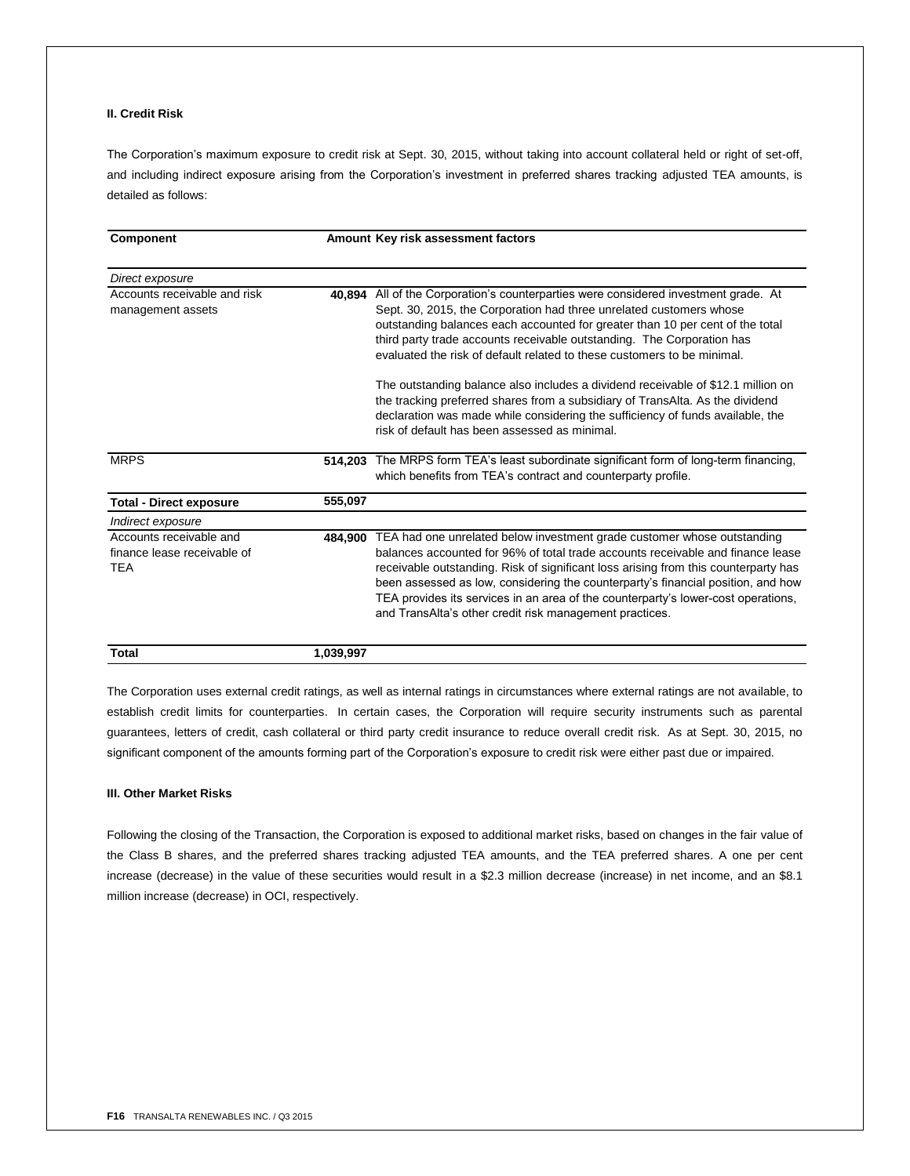# **II. Credit Risk**

The Corporation's maximum exposure to credit risk at Sept. 30, 2015, without taking into account collateral held or right of set-off, and including indirect exposure arising from the Corporation's investment in preferred shares tracking adjusted TEA amounts, is detailed as follows:

| Component                                                            |           | Amount Key risk assessment factors                                                                                                                                                                                                                                                                                                                                                                                                                                                    |
|----------------------------------------------------------------------|-----------|---------------------------------------------------------------------------------------------------------------------------------------------------------------------------------------------------------------------------------------------------------------------------------------------------------------------------------------------------------------------------------------------------------------------------------------------------------------------------------------|
| Direct exposure                                                      |           |                                                                                                                                                                                                                                                                                                                                                                                                                                                                                       |
| Accounts receivable and risk<br>management assets                    | 40.894    | All of the Corporation's counterparties were considered investment grade. At<br>Sept. 30, 2015, the Corporation had three unrelated customers whose<br>outstanding balances each accounted for greater than 10 per cent of the total<br>third party trade accounts receivable outstanding. The Corporation has<br>evaluated the risk of default related to these customers to be minimal.<br>The outstanding balance also includes a dividend receivable of \$12.1 million on         |
|                                                                      |           | the tracking preferred shares from a subsidiary of TransAlta. As the dividend<br>declaration was made while considering the sufficiency of funds available, the<br>risk of default has been assessed as minimal.                                                                                                                                                                                                                                                                      |
| <b>MRPS</b>                                                          | 514,203   | The MRPS form TEA's least subordinate significant form of long-term financing,<br>which benefits from TEA's contract and counterparty profile.                                                                                                                                                                                                                                                                                                                                        |
| <b>Total - Direct exposure</b>                                       | 555,097   |                                                                                                                                                                                                                                                                                                                                                                                                                                                                                       |
| Indirect exposure                                                    |           |                                                                                                                                                                                                                                                                                                                                                                                                                                                                                       |
| Accounts receivable and<br>finance lease receivable of<br><b>TEA</b> | 484.900   | TEA had one unrelated below investment grade customer whose outstanding<br>balances accounted for 96% of total trade accounts receivable and finance lease<br>receivable outstanding. Risk of significant loss arising from this counterparty has<br>been assessed as low, considering the counterparty's financial position, and how<br>TEA provides its services in an area of the counterparty's lower-cost operations,<br>and TransAlta's other credit risk management practices. |
| <b>Total</b>                                                         | 1,039,997 |                                                                                                                                                                                                                                                                                                                                                                                                                                                                                       |

The Corporation uses external credit ratings, as well as internal ratings in circumstances where external ratings are not available, to establish credit limits for counterparties. In certain cases, the Corporation will require security instruments such as parental guarantees, letters of credit, cash collateral or third party credit insurance to reduce overall credit risk. As at Sept. 30, 2015, no significant component of the amounts forming part of the Corporation's exposure to credit risk were either past due or impaired.

## **III. Other Market Risks**

Following the closing of the Transaction, the Corporation is exposed to additional market risks, based on changes in the fair value of the Class B shares, and the preferred shares tracking adjusted TEA amounts, and the TEA preferred shares. A one per cent increase (decrease) in the value of these securities would result in a \$2.3 million decrease (increase) in net income, and an \$8.1 million increase (decrease) in OCI, respectively.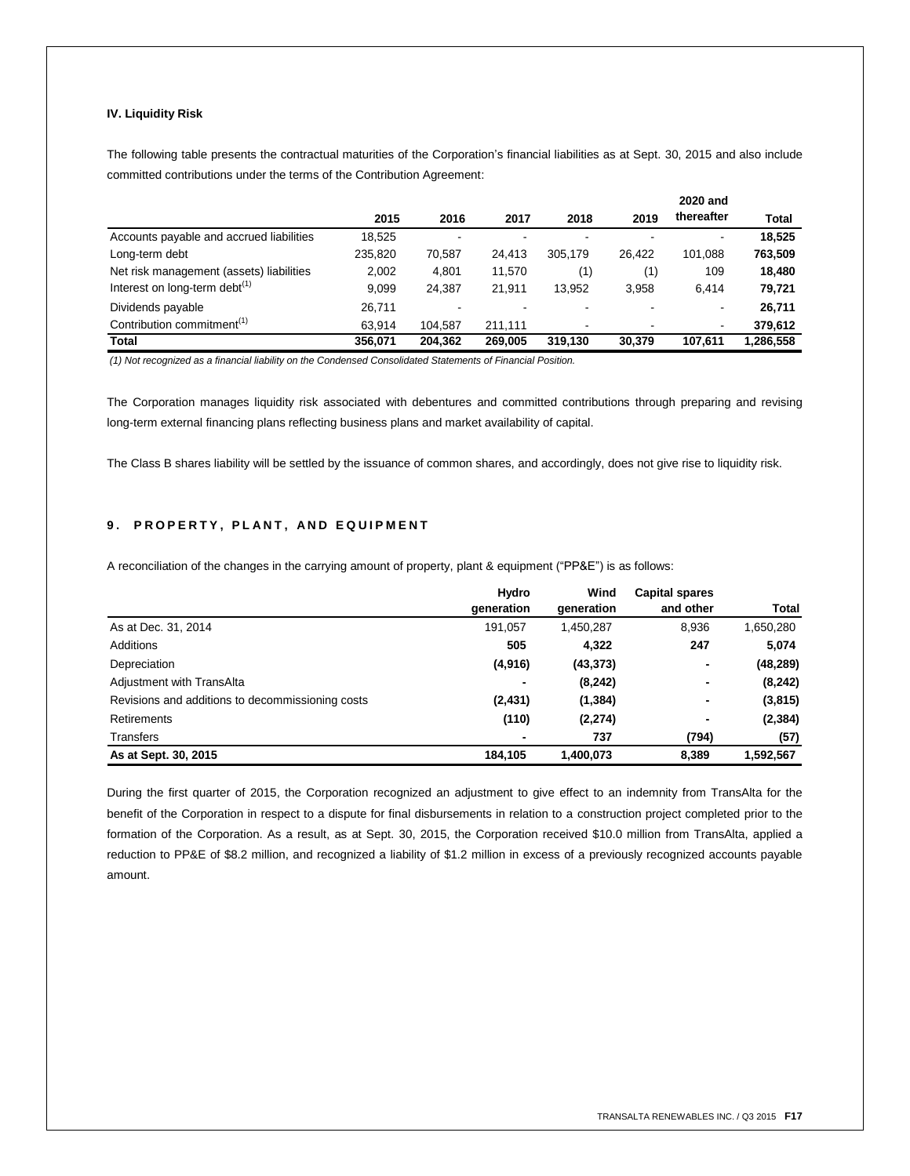# **IV. Liquidity Risk**

The following table presents the contractual maturities of the Corporation's financial liabilities as at Sept. 30, 2015 and also include committed contributions under the terms of the Contribution Agreement:

|                                           |         |         |         |                          |        | 2020 and       |              |
|-------------------------------------------|---------|---------|---------|--------------------------|--------|----------------|--------------|
|                                           | 2015    | 2016    | 2017    | 2018                     | 2019   | thereafter     | <b>Total</b> |
| Accounts payable and accrued liabilities  | 18,525  |         |         |                          |        |                | 18,525       |
| Long-term debt                            | 235.820 | 70,587  | 24.413  | 305.179                  | 26.422 | 101.088        | 763,509      |
| Net risk management (assets) liabilities  | 2,002   | 4,801   | 11.570  | (1)                      | (1)    | 109            | 18,480       |
| Interest on long-term debt <sup>(1)</sup> | 9.099   | 24.387  | 21.911  | 13.952                   | 3,958  | 6.414          | 79,721       |
| Dividends payable                         | 26.711  |         |         |                          |        |                | 26.711       |
| Contribution commitment <sup>(1)</sup>    | 63.914  | 104.587 | 211.111 | $\overline{\phantom{a}}$ | ۰      | $\blacksquare$ | 379,612      |
| Total                                     | 356.071 | 204.362 | 269.005 | 319.130                  | 30.379 | 107.611        | 1,286,558    |

*(1) Not recognized as a financial liability on the Condensed Consolidated Statements of Financial Position.*

The Corporation manages liquidity risk associated with debentures and committed contributions through preparing and revising long-term external financing plans reflecting business plans and market availability of capital.

The Class B shares liability will be settled by the issuance of common shares, and accordingly, does not give rise to liquidity risk.

# **9. PROPERTY, PLANT, AND EQUIPMENT**

A reconciliation of the changes in the carrying amount of property, plant & equipment ("PP&E") is as follows:

|                                                  | Hydro      | Wind       | <b>Capital spares</b> |              |
|--------------------------------------------------|------------|------------|-----------------------|--------------|
|                                                  | generation | generation | and other             | <b>Total</b> |
| As at Dec. 31, 2014                              | 191.057    | 1,450,287  | 8,936                 | 1,650,280    |
| <b>Additions</b>                                 | 505        | 4,322      | 247                   | 5,074        |
| Depreciation                                     | (4,916)    | (43, 373)  | ٠                     | (48, 289)    |
| Adjustment with TransAlta                        |            | (8, 242)   | ٠                     | (8, 242)     |
| Revisions and additions to decommissioning costs | (2, 431)   | (1, 384)   | ٠                     | (3,815)      |
| Retirements                                      | (110)      | (2, 274)   | ٠                     | (2, 384)     |
| Transfers                                        |            | 737        | (794)                 | (57)         |
| As at Sept. 30, 2015                             | 184,105    | 1,400,073  | 8,389                 | 1,592,567    |

During the first quarter of 2015, the Corporation recognized an adjustment to give effect to an indemnity from TransAlta for the benefit of the Corporation in respect to a dispute for final disbursements in relation to a construction project completed prior to the formation of the Corporation. As a result, as at Sept. 30, 2015, the Corporation received \$10.0 million from TransAlta, applied a reduction to PP&E of \$8.2 million, and recognized a liability of \$1.2 million in excess of a previously recognized accounts payable amount.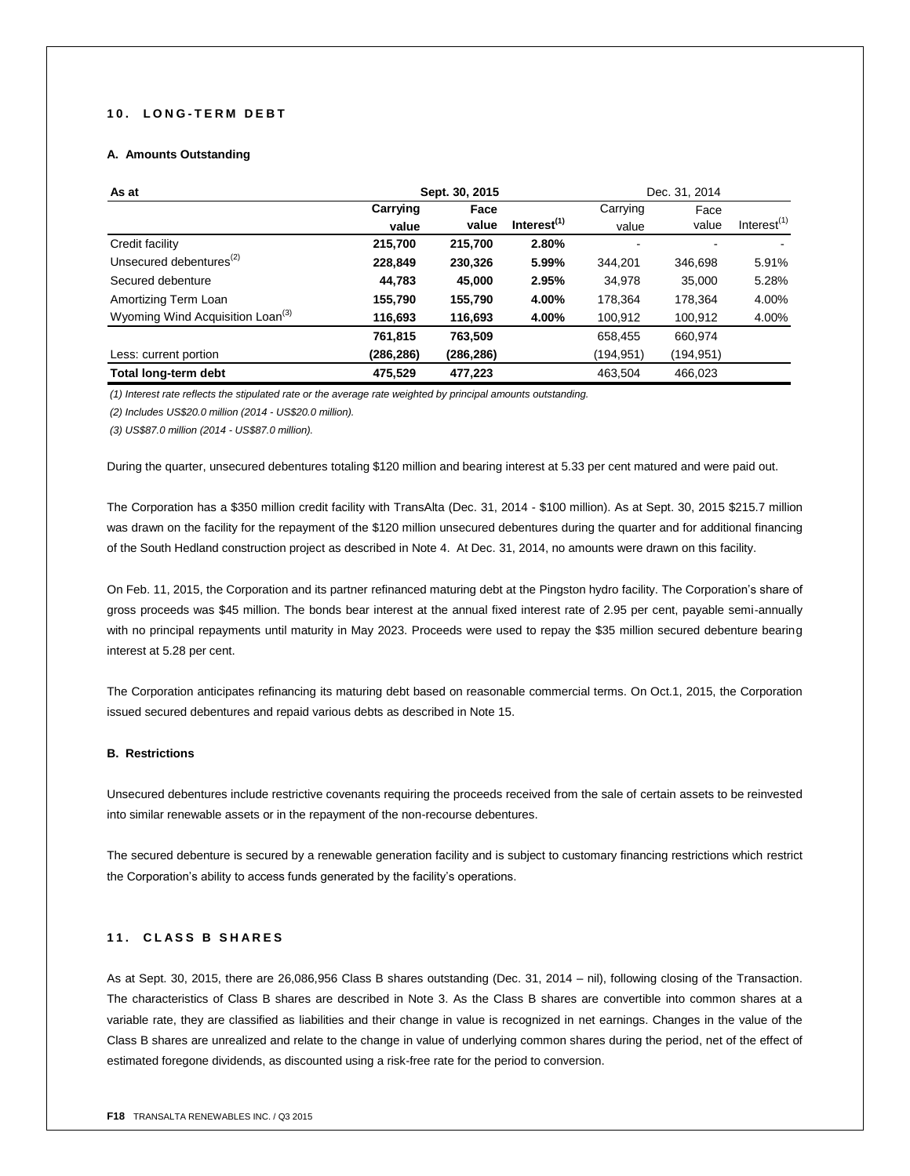# **1 0 . L O N G - T E R M D E B T**

# **A. Amounts Outstanding**

| As at                                        | Sept. 30, 2015 |            |                | Dec. 31, 2014 |                          |                |
|----------------------------------------------|----------------|------------|----------------|---------------|--------------------------|----------------|
|                                              | Carrying       | Face       |                | Carrying      | Face                     |                |
|                                              | value          | value      | Interest $(1)$ | value         | value                    | Interest $(1)$ |
| Credit facility                              | 215,700        | 215.700    | 2.80%          | ٠             | $\overline{\phantom{a}}$ |                |
| Unsecured debentures <sup>(2)</sup>          | 228,849        | 230,326    | 5.99%          | 344.201       | 346.698                  | 5.91%          |
| Secured debenture                            | 44,783         | 45,000     | 2.95%          | 34,978        | 35.000                   | 5.28%          |
| Amortizing Term Loan                         | 155.790        | 155.790    | 4.00%          | 178.364       | 178.364                  | 4.00%          |
| Wyoming Wind Acquisition Loan <sup>(3)</sup> | 116,693        | 116,693    | 4.00%          | 100,912       | 100,912                  | 4.00%          |
|                                              | 761,815        | 763,509    |                | 658,455       | 660,974                  |                |
| Less: current portion                        | (286, 286)     | (286, 286) |                | (194, 951)    | (194, 951)               |                |
| Total long-term debt                         | 475,529        | 477.223    |                | 463.504       | 466,023                  |                |

*(1) Interest rate reflects the stipulated rate or the average rate weighted by principal amounts outstanding.*

*(2) Includes US\$20.0 million (2014 - US\$20.0 million).*

*(3) US\$87.0 million (2014 - US\$87.0 million).*

During the quarter, unsecured debentures totaling \$120 million and bearing interest at 5.33 per cent matured and were paid out.

The Corporation has a \$350 million credit facility with TransAlta (Dec. 31, 2014 - \$100 million). As at Sept. 30, 2015 \$215.7 million was drawn on the facility for the repayment of the \$120 million unsecured debentures during the quarter and for additional financing of the South Hedland construction project as described in Note 4. At Dec. 31, 2014, no amounts were drawn on this facility.

On Feb. 11, 2015, the Corporation and its partner refinanced maturing debt at the Pingston hydro facility. The Corporation's share of gross proceeds was \$45 million. The bonds bear interest at the annual fixed interest rate of 2.95 per cent, payable semi-annually with no principal repayments until maturity in May 2023. Proceeds were used to repay the \$35 million secured debenture bearing interest at 5.28 per cent.

The Corporation anticipates refinancing its maturing debt based on reasonable commercial terms. On Oct.1, 2015, the Corporation issued secured debentures and repaid various debts as described in Note 15.

# **B. Restrictions**

Unsecured debentures include restrictive covenants requiring the proceeds received from the sale of certain assets to be reinvested into similar renewable assets or in the repayment of the non-recourse debentures.

The secured debenture is secured by a renewable generation facility and is subject to customary financing restrictions which restrict the Corporation's ability to access funds generated by the facility's operations.

# **1 1 . C L A S S B S H A R E S**

As at Sept. 30, 2015, there are 26,086,956 Class B shares outstanding (Dec. 31, 2014 – nil), following closing of the Transaction. The characteristics of Class B shares are described in Note 3. As the Class B shares are convertible into common shares at a variable rate, they are classified as liabilities and their change in value is recognized in net earnings. Changes in the value of the Class B shares are unrealized and relate to the change in value of underlying common shares during the period, net of the effect of estimated foregone dividends, as discounted using a risk-free rate for the period to conversion.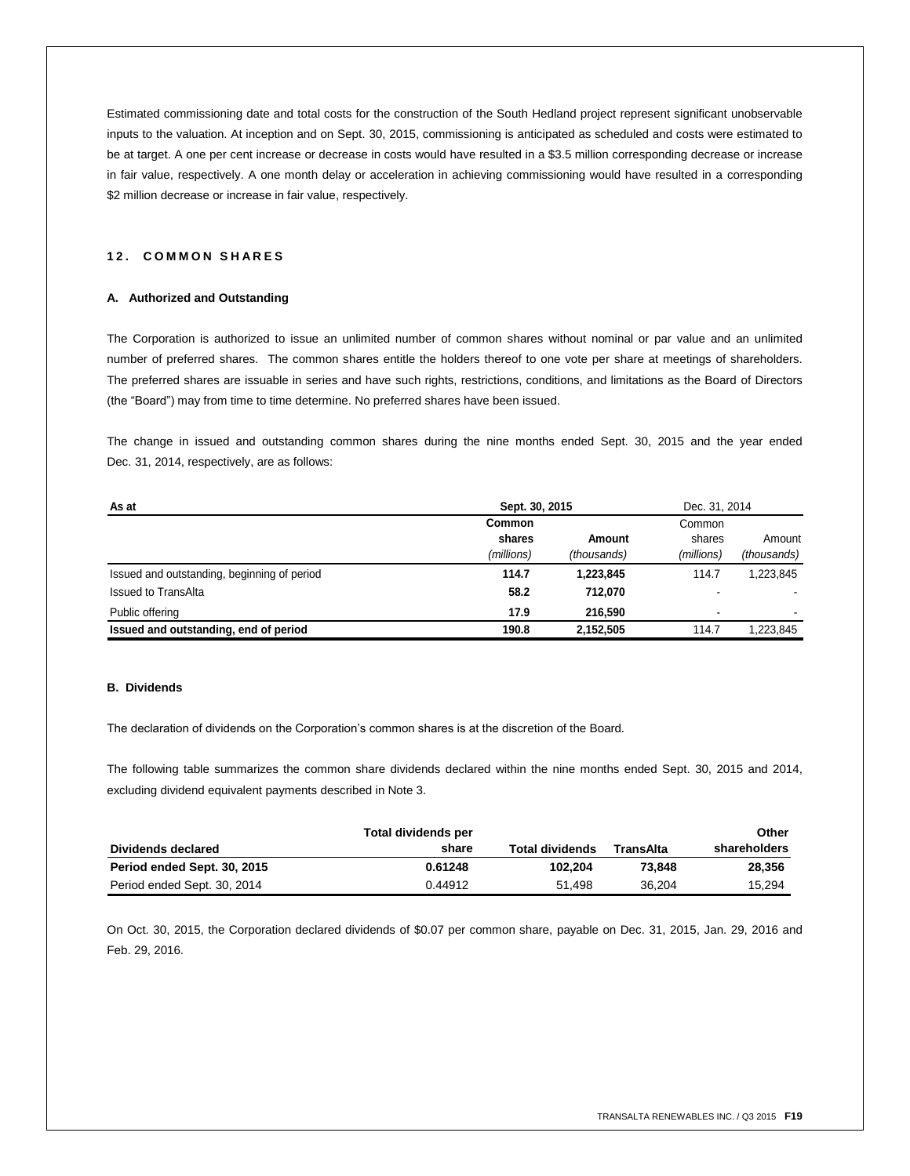Estimated commissioning date and total costs for the construction of the South Hedland project represent significant unobservable inputs to the valuation. At inception and on Sept. 30, 2015, commissioning is anticipated as scheduled and costs were estimated to be at target. A one per cent increase or decrease in costs would have resulted in a \$3.5 million corresponding decrease or increase in fair value, respectively. A one month delay or acceleration in achieving commissioning would have resulted in a corresponding \$2 million decrease or increase in fair value, respectively.

# **1 2 . C O M M O N S H A R E S**

## **A. Authorized and Outstanding**

The Corporation is authorized to issue an unlimited number of common shares without nominal or par value and an unlimited number of preferred shares. The common shares entitle the holders thereof to one vote per share at meetings of shareholders. The preferred shares are issuable in series and have such rights, restrictions, conditions, and limitations as the Board of Directors (the "Board") may from time to time determine. No preferred shares have been issued.

The change in issued and outstanding common shares during the nine months ended Sept. 30, 2015 and the year ended Dec. 31, 2014, respectively, are as follows:

| As at                                       | Sept. 30, 2015 | Dec. 31, 2014 |                          |             |
|---------------------------------------------|----------------|---------------|--------------------------|-------------|
|                                             | Common         |               | Common                   |             |
|                                             | shares         | Amount        | shares                   | Amount      |
|                                             | (millions)     | (thousands)   | (millions)               | (thousands) |
| Issued and outstanding, beginning of period | 114.7          | 1,223,845     | 114.7                    | 1.223.845   |
| <b>Issued to TransAlta</b>                  | 58.2           | 712.070       | $\overline{\phantom{a}}$ |             |
| Public offering                             | 17.9           | 216.590       | ۰                        |             |
| Issued and outstanding, end of period       | 190.8          | 2,152,505     | 114.7                    | 1.223.845   |

## **B. Dividends**

The declaration of dividends on the Corporation's common shares is at the discretion of the Board.

The following table summarizes the common share dividends declared within the nine months ended Sept. 30, 2015 and 2014, excluding dividend equivalent payments described in Note 3.

|                             | Total dividends per |                        |           | Other        |
|-----------------------------|---------------------|------------------------|-----------|--------------|
| Dividends declared          | share               | <b>Total dividends</b> | TransAlta | shareholders |
| Period ended Sept. 30, 2015 | 0.61248             | 102.204                | 73.848    | 28.356       |
| Period ended Sept. 30, 2014 | 0.44912             | 51.498                 | 36.204    | 15.294       |

On Oct. 30, 2015, the Corporation declared dividends of \$0.07 per common share, payable on Dec. 31, 2015, Jan. 29, 2016 and Feb. 29, 2016.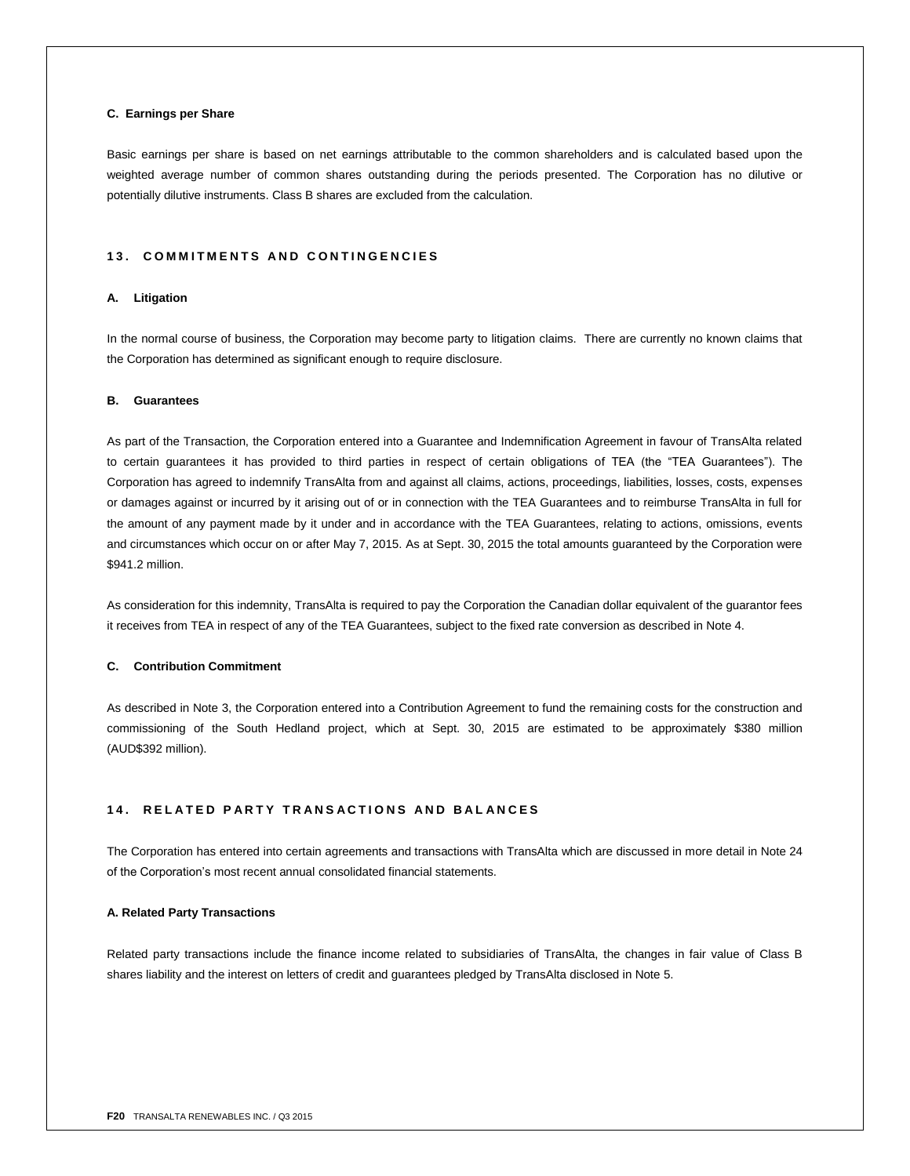## **C. Earnings per Share**

Basic earnings per share is based on net earnings attributable to the common shareholders and is calculated based upon the weighted average number of common shares outstanding during the periods presented. The Corporation has no dilutive or potentially dilutive instruments. Class B shares are excluded from the calculation.

## **1 3 . C O M M I T M E N T S A N D C O N T I N G E N C I E S**

## **A. Litigation**

In the normal course of business, the Corporation may become party to litigation claims. There are currently no known claims that the Corporation has determined as significant enough to require disclosure.

## **B. Guarantees**

As part of the Transaction, the Corporation entered into a Guarantee and Indemnification Agreement in favour of TransAlta related to certain guarantees it has provided to third parties in respect of certain obligations of TEA (the "TEA Guarantees"). The Corporation has agreed to indemnify TransAlta from and against all claims, actions, proceedings, liabilities, losses, costs, expenses or damages against or incurred by it arising out of or in connection with the TEA Guarantees and to reimburse TransAlta in full for the amount of any payment made by it under and in accordance with the TEA Guarantees, relating to actions, omissions, events and circumstances which occur on or after May 7, 2015. As at Sept. 30, 2015 the total amounts guaranteed by the Corporation were \$941.2 million.

As consideration for this indemnity, TransAlta is required to pay the Corporation the Canadian dollar equivalent of the guarantor fees it receives from TEA in respect of any of the TEA Guarantees, subject to the fixed rate conversion as described in Note 4.

## **C. Contribution Commitment**

As described in Note 3, the Corporation entered into a Contribution Agreement to fund the remaining costs for the construction and commissioning of the South Hedland project, which at Sept. 30, 2015 are estimated to be approximately \$380 million (AUD\$392 million).

## **1 4 . R E L A T E D P A R T Y T R A N S A C T I O N S A N D B A L A N C E S**

The Corporation has entered into certain agreements and transactions with TransAlta which are discussed in more detail in Note 24 of the Corporation's most recent annual consolidated financial statements.

## **A. Related Party Transactions**

Related party transactions include the finance income related to subsidiaries of TransAlta, the changes in fair value of Class B shares liability and the interest on letters of credit and guarantees pledged by TransAlta disclosed in Note 5.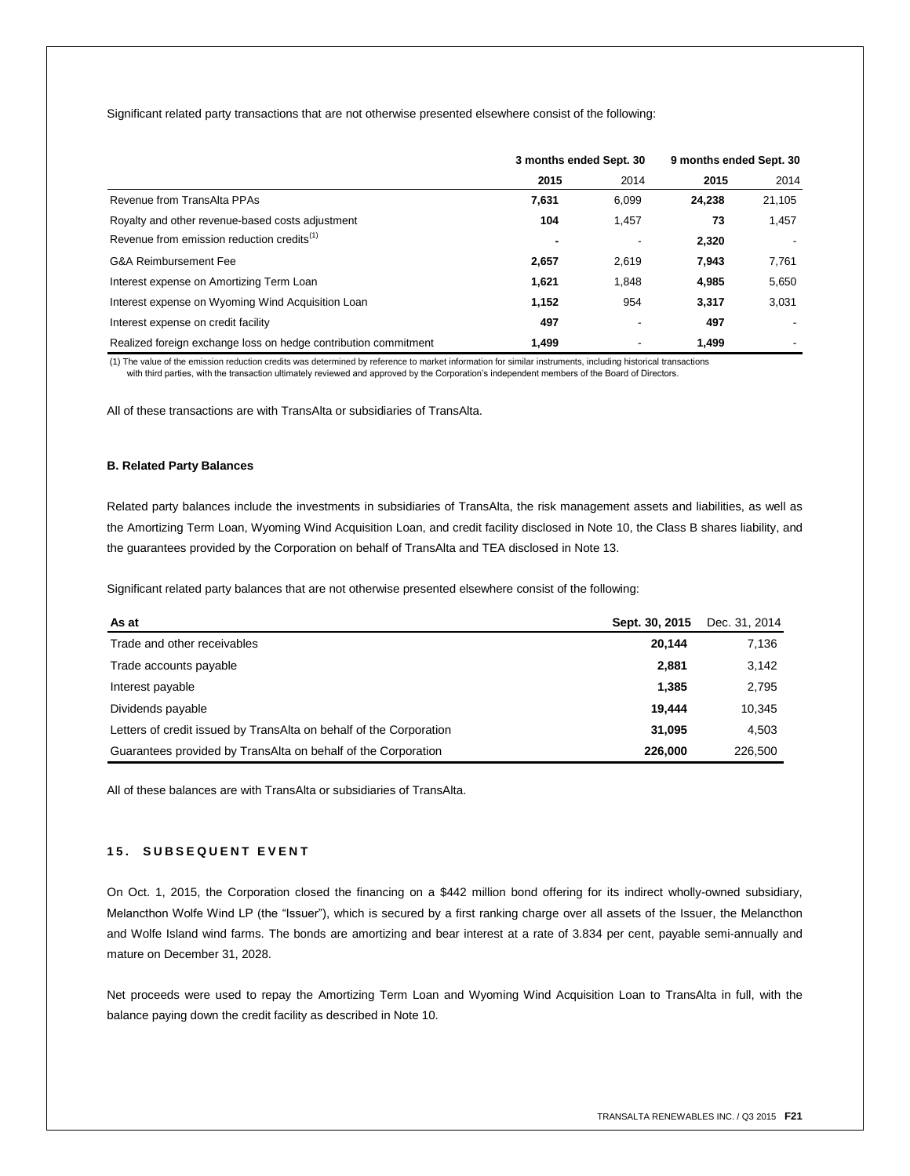Significant related party transactions that are not otherwise presented elsewhere consist of the following:

|                                                                 | 3 months ended Sept. 30 |       | 9 months ended Sept. 30 |        |
|-----------------------------------------------------------------|-------------------------|-------|-------------------------|--------|
|                                                                 | 2015                    | 2014  | 2015                    | 2014   |
| Revenue from TransAlta PPAs                                     | 7,631                   | 6,099 | 24.238                  | 21,105 |
| Royalty and other revenue-based costs adjustment                | 104                     | 1.457 | 73                      | 1,457  |
| Revenue from emission reduction credits <sup>(1)</sup>          |                         |       | 2.320                   |        |
| G&A Reimbursement Fee                                           | 2,657                   | 2.619 | 7,943                   | 7,761  |
| Interest expense on Amortizing Term Loan                        | 1,621                   | 1.848 | 4.985                   | 5,650  |
| Interest expense on Wyoming Wind Acquisition Loan               | 1,152                   | 954   | 3.317                   | 3,031  |
| Interest expense on credit facility                             | 497                     |       | 497                     |        |
| Realized foreign exchange loss on hedge contribution commitment | 1,499                   |       | 1.499                   |        |

(1) The value of the emission reduction credits was determined by reference to market information for similar instruments, including historical transactions with third parties, with the transaction ultimately reviewed and approved by the Corporation's independent members of the Board of Directors.

All of these transactions are with TransAlta or subsidiaries of TransAlta.

## **B. Related Party Balances**

Related party balances include the investments in subsidiaries of TransAlta, the risk management assets and liabilities, as well as the Amortizing Term Loan, Wyoming Wind Acquisition Loan, and credit facility disclosed in Note 10, the Class B shares liability, and the guarantees provided by the Corporation on behalf of TransAlta and TEA disclosed in Note 13.

Significant related party balances that are not otherwise presented elsewhere consist of the following:

| As at                                                              | Sept. 30, 2015 | Dec. 31, 2014 |
|--------------------------------------------------------------------|----------------|---------------|
| Trade and other receivables                                        | 20.144         | 7,136         |
| Trade accounts payable                                             | 2,881          | 3,142         |
| Interest payable                                                   | 1,385          | 2,795         |
| Dividends payable                                                  | 19.444         | 10,345        |
| Letters of credit issued by TransAlta on behalf of the Corporation | 31.095         | 4.503         |
| Guarantees provided by TransAlta on behalf of the Corporation      | 226,000        | 226,500       |

All of these balances are with TransAlta or subsidiaries of TransAlta.

# 15. SUBSEQUENT EVENT

On Oct. 1, 2015, the Corporation closed the financing on a \$442 million bond offering for its indirect wholly-owned subsidiary, Melancthon Wolfe Wind LP (the "Issuer"), which is secured by a first ranking charge over all assets of the Issuer, the Melancthon and Wolfe Island wind farms. The bonds are amortizing and bear interest at a rate of 3.834 per cent, payable semi-annually and mature on December 31, 2028.

Net proceeds were used to repay the Amortizing Term Loan and Wyoming Wind Acquisition Loan to TransAlta in full, with the balance paying down the credit facility as described in Note 10.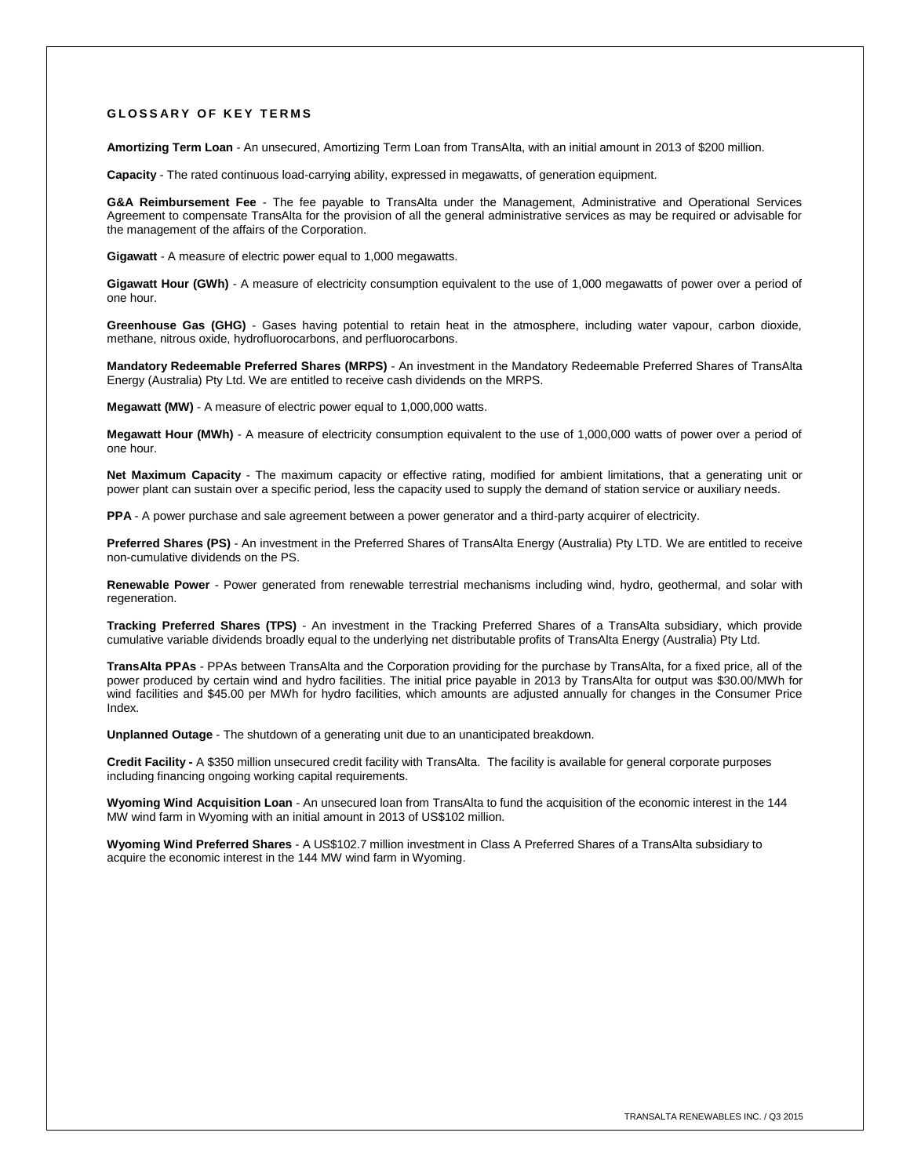## **GLOSSARY OF KEY TERMS**

**Amortizing Term Loan** - An unsecured, Amortizing Term Loan from TransAlta, with an initial amount in 2013 of \$200 million.

**Capacity** - The rated continuous load-carrying ability, expressed in megawatts, of generation equipment.

**G&A Reimbursement Fee** - The fee payable to TransAlta under the Management, Administrative and Operational Services Agreement to compensate TransAlta for the provision of all the general administrative services as may be required or advisable for the management of the affairs of the Corporation.

**Gigawatt** - A measure of electric power equal to 1,000 megawatts.

**Gigawatt Hour (GWh)** - A measure of electricity consumption equivalent to the use of 1,000 megawatts of power over a period of one hour.

**Greenhouse Gas (GHG)** - Gases having potential to retain heat in the atmosphere, including water vapour, carbon dioxide, methane, nitrous oxide, hydrofluorocarbons, and perfluorocarbons.

**Mandatory Redeemable Preferred Shares (MRPS)** - An investment in the Mandatory Redeemable Preferred Shares of TransAlta Energy (Australia) Pty Ltd. We are entitled to receive cash dividends on the MRPS.

**Megawatt (MW)** - A measure of electric power equal to 1,000,000 watts.

**Megawatt Hour (MWh)** - A measure of electricity consumption equivalent to the use of 1,000,000 watts of power over a period of one hour.

**Net Maximum Capacity** - The maximum capacity or effective rating, modified for ambient limitations, that a generating unit or power plant can sustain over a specific period, less the capacity used to supply the demand of station service or auxiliary needs.

**PPA** - A power purchase and sale agreement between a power generator and a third-party acquirer of electricity.

**Preferred Shares (PS)** - An investment in the Preferred Shares of TransAlta Energy (Australia) Pty LTD. We are entitled to receive non-cumulative dividends on the PS.

**Renewable Power** - Power generated from renewable terrestrial mechanisms including wind, hydro, geothermal, and solar with regeneration.

**Tracking Preferred Shares (TPS)** - An investment in the Tracking Preferred Shares of a TransAlta subsidiary, which provide cumulative variable dividends broadly equal to the underlying net distributable profits of TransAlta Energy (Australia) Pty Ltd.

**TransAlta PPAs** - PPAs between TransAlta and the Corporation providing for the purchase by TransAlta, for a fixed price, all of the power produced by certain wind and hydro facilities. The initial price payable in 2013 by TransAlta for output was \$30.00/MWh for wind facilities and \$45.00 per MWh for hydro facilities, which amounts are adjusted annually for changes in the Consumer Price Index.

**Unplanned Outage** - The shutdown of a generating unit due to an unanticipated breakdown.

Credit Facility - A \$350 million unsecured credit facility with TransAlta. The facility is available for general corporate purposes including financing ongoing working capital requirements.

**Wyoming Wind Acquisition Loan** - An unsecured loan from TransAlta to fund the acquisition of the economic interest in the 144 MW wind farm in Wyoming with an initial amount in 2013 of US\$102 million.

**Wyoming Wind Preferred Shares** - A US\$102.7 million investment in Class A Preferred Shares of a TransAlta subsidiary to acquire the economic interest in the 144 MW wind farm in Wyoming.